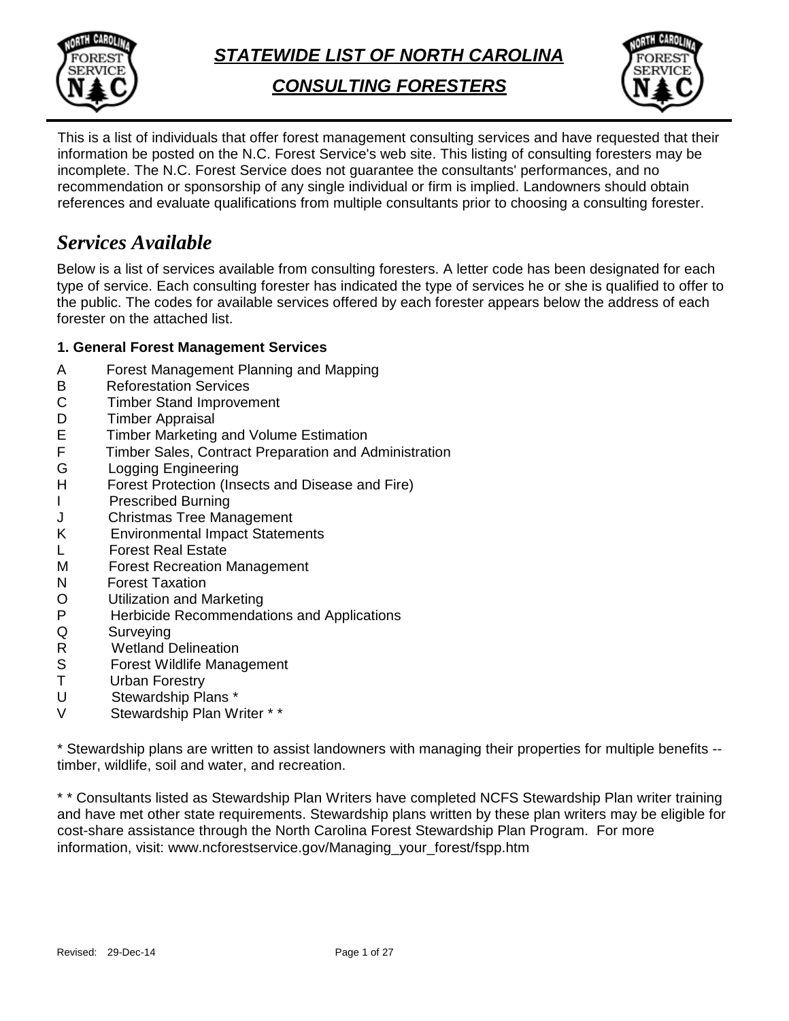

*STATEWIDE LIST OF NORTH CAROLINA*

*CONSULTING FORESTERS*



This is a list of individuals that offer forest management consulting services and have requested that their information be posted on the N.C. Forest Service's web site. This listing of consulting foresters may be incomplete. The N.C. Forest Service does not guarantee the consultants' performances, and no recommendation or sponsorship of any single individual or firm is implied. Landowners should obtain references and evaluate qualifications from multiple consultants prior to choosing a consulting forester.

## *Services Available*

Below is a list of services available from consulting foresters. A letter code has been designated for each type of service. Each consulting forester has indicated the type of services he or she is qualified to offer to the public. The codes for available services offered by each forester appears below the address of each forester on the attached list.

### **1. General Forest Management Services**

- A Forest Management Planning and Mapping<br>B Reforestation Services
- B Reforestation Services<br>C Timber Stand Improver
- **Timber Stand Improvement**
- D Timber Appraisal<br>E Timber Marketing
- E Timber Marketing and Volume Estimation<br>F Timber Sales. Contract Preparation and A
- Timber Sales, Contract Preparation and Administration
- G Logging Engineering
- H Forest Protection (Insects and Disease and Fire)
- I Prescribed Burning
- J Christmas Tree Management
- K Environmental Impact Statements
- L Forest Real Estate
- M Forest Recreation Management
- N Forest Taxation
- O Utilization and Marketing<br>P Herbicide Recommendat
- Herbicide Recommendations and Applications
- Q Surveying
- R Wetland Delineation<br>S Forest Wildlife Mana
- S Forest Wildlife Management<br>T Urban Forestry
- **Urban Forestry**
- U Stewardship Plans \*<br>V Stewardship Plan W
- Stewardship Plan Writer \* \*

\* Stewardship plans are written to assist landowners with managing their properties for multiple benefits - timber, wildlife, soil and water, and recreation.

\* \* Consultants listed as Stewardship Plan Writers have completed NCFS Stewardship Plan writer training and have met other state requirements. Stewardship plans written by these plan writers may be eligible for cost-share assistance through the North Carolina Forest Stewardship Plan Program. For more information, visit: www.ncforestservice.gov/Managing\_your\_forest/fspp.htm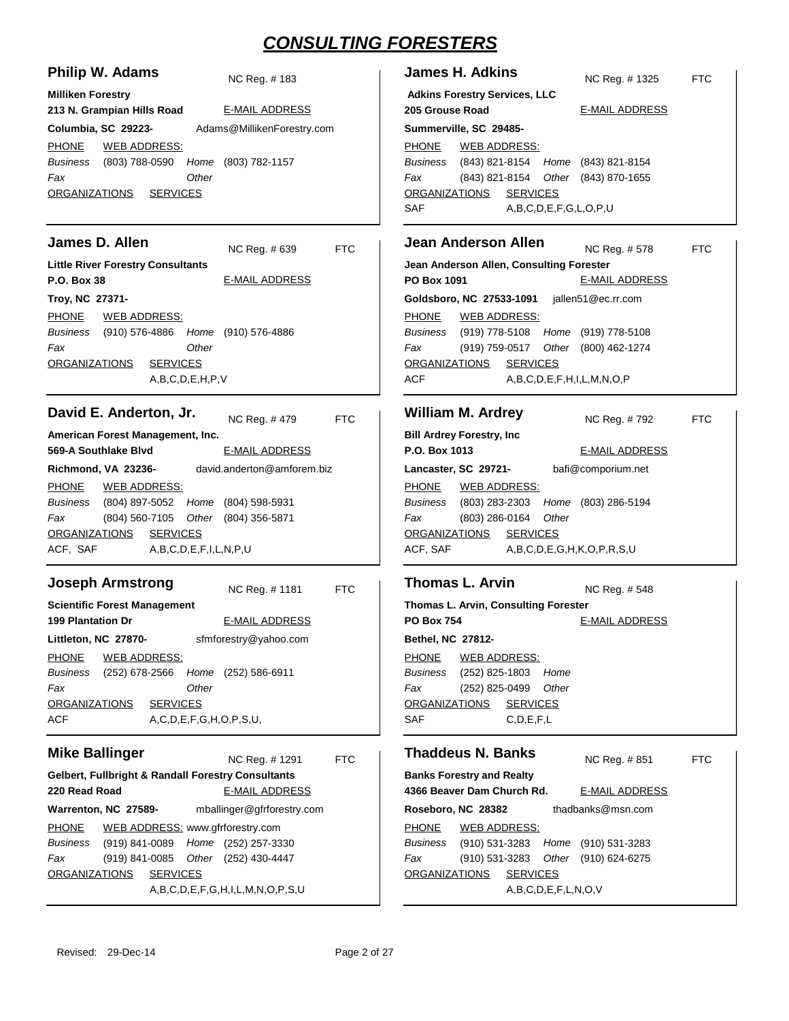| Philip W. Adams<br>NC Reg. #183                                                                                                                                                                                                                                                                                                                                                                                                 | <b>James H. Adkins</b><br>NC Reg. # 1325                                                                                                                                                                                                                                                                                                                                                                                 | <b>FTC</b> |
|---------------------------------------------------------------------------------------------------------------------------------------------------------------------------------------------------------------------------------------------------------------------------------------------------------------------------------------------------------------------------------------------------------------------------------|--------------------------------------------------------------------------------------------------------------------------------------------------------------------------------------------------------------------------------------------------------------------------------------------------------------------------------------------------------------------------------------------------------------------------|------------|
| <b>Milliken Forestry</b><br>213 N. Grampian Hills Road<br><b>E-MAIL ADDRESS</b><br>Columbia, SC 29223-<br>Adams@MillikenForestry.com<br><b>PHONE</b><br><b>WEB ADDRESS:</b><br>(803) 788-0590<br>(803) 782-1157<br>Business<br>Home<br>Other<br>Fax<br><b>ORGANIZATIONS</b><br><b>SERVICES</b>                                                                                                                                  | <b>Adkins Forestry Services, LLC</b><br>205 Grouse Road<br><b>E-MAIL ADDRESS</b><br>Summerville, SC 29485-<br><b>PHONE</b><br><b>WEB ADDRESS:</b><br>(843) 821-8154 Home (843) 821-8154<br>Business<br>(843) 821-8154 Other (843) 870-1655<br>Fax<br><b>SERVICES</b><br><b>ORGANIZATIONS</b><br><b>SAF</b><br>A,B,C,D,E,F,G,L,O,P,U                                                                                      |            |
| James D. Allen<br>NC Reg. # 639<br><b>FTC</b><br><b>Little River Forestry Consultants</b><br><b>P.O. Box 38</b><br><b>E-MAIL ADDRESS</b><br>Troy, NC 27371-<br><b>PHONE</b><br><b>WEB ADDRESS:</b><br>Business<br>(910) 576-4886 Home<br>(910) 576-4886<br>Fax<br>Other<br><b>SERVICES</b><br>ORGANIZATIONS<br>A,B,C,D,E,H,P,V                                                                                                  | <b>Jean Anderson Allen</b><br>NC Reg. #578<br>Jean Anderson Allen, Consulting Forester<br>PO Box 1091<br><b>E-MAIL ADDRESS</b><br>Goldsboro, NC 27533-1091<br>jallen51@ec.rr.com<br><b>PHONE</b><br><b>WEB ADDRESS:</b><br>Business<br>(919) 778-5108<br>Home (919) 778-5108<br>Fax<br>(919) 759-0517<br>Other (800) 462-1274<br><b>SERVICES</b><br><b>ORGANIZATIONS</b><br>ACF<br>A, B, C, D, E, F, H, I, L, M, N, O, P | <b>FTC</b> |
| David E. Anderton, Jr.<br>NC Reg. #479<br><b>FTC</b><br>American Forest Management, Inc.<br>569-A Southlake Blyd<br><b>E-MAIL ADDRESS</b><br>david.anderton@amforem.biz<br>Richmond, VA 23236-<br><b>PHONE</b><br><b>WEB ADDRESS:</b><br><b>Business</b><br>(804) 897-5052 Home<br>(804) 598-5931<br>(804) 560-7105 Other (804) 356-5871<br>Fax<br><b>SERVICES</b><br><b>ORGANIZATIONS</b><br>ACF, SAF<br>A,B,C,D,E,F,I,L,N,P,U | <b>William M. Ardrey</b><br>NC Reg. #792<br><b>Bill Ardrey Forestry, Inc.</b><br>P.O. Box 1013<br><b>E-MAIL ADDRESS</b><br>Lancaster, SC 29721-<br>bafi@comporium.net<br><b>PHONE</b><br><b>WEB ADDRESS:</b><br><b>Business</b><br>$(803)$ 283-2303<br>Home (803) 286-5194<br>(803) 286-0164<br>Other<br>Fax<br><b>SERVICES</b><br><b>ORGANIZATIONS</b><br>ACF, SAF<br>A,B,C,D,E,G,H,K,O,P,R,S,U                         | <b>FTC</b> |
| <b>Joseph Armstrong</b><br><b>FTC</b><br>NC Reg. #1181<br><b>Scientific Forest Management</b><br><b>199 Plantation Dr</b><br><b>E-MAIL ADDRESS</b><br>sfmforestry@yahoo.com<br>Littleton, NC 27870-<br><b>PHONE</b><br><b>WEB ADDRESS:</b><br><b>Business</b><br>(252) 678-2566<br>Home<br>(252) 586-6911<br>Fax<br>Other<br><b>SERVICES</b><br><b>ORGANIZATIONS</b><br><b>ACF</b><br>A,C,D,E,F,G,H,O,P,S,U,                    | <b>Thomas L. Arvin</b><br>NC Reg. #548<br>Thomas L. Arvin, Consulting Forester<br><b>PO Box 754</b><br><b>E-MAIL ADDRESS</b><br>Bethel, NC 27812-<br><b>PHONE</b><br><b>WEB ADDRESS:</b><br><b>Business</b><br>(252) 825-1803<br>Home<br>(252) 825-0499<br>Other<br>Fax<br><b>ORGANIZATIONS</b><br><b>SERVICES</b><br><b>SAF</b><br>C, D, E, F, L                                                                        |            |
| <b>Mike Ballinger</b><br>NC Reg. #1291<br><b>FTC</b><br><b>Gelbert, Fullbright &amp; Randall Forestry Consultants</b><br><b>E-MAIL ADDRESS</b><br>220 Read Road                                                                                                                                                                                                                                                                 | <b>Thaddeus N. Banks</b><br>NC Reg. #851<br><b>Banks Forestry and Realty</b><br>4366 Beaver Dam Church Rd.<br><b>E-MAIL ADDRESS</b>                                                                                                                                                                                                                                                                                      | <b>FTC</b> |

**ADDRESS** thadbanks@msn.com WEB ADDRESS:

PHONE (910) 531-3283 (910) 531-3283 *Business Home* (910) 531-3283 (910) 624-6275 *Other* A,B,C,D,E,F,L,N,O,V *Fax* ORGANIZATIONS SERVICES

**Roseboro, NC 28382**

**Warrenton, NC 27589-**

ORGANIZATIONS SERVICES

(919) 841-0089 (252) 257-3330 *Business Home*

(919) 841-0085 (252) 430-4447 *Other*

WEB ADDRESS: www.gfrforestry.com

A,B,C,D,E,F,G,H,I,L,M,N,O,P,S,U

PHONE

*Fax*

mballinger@gfrforestry.com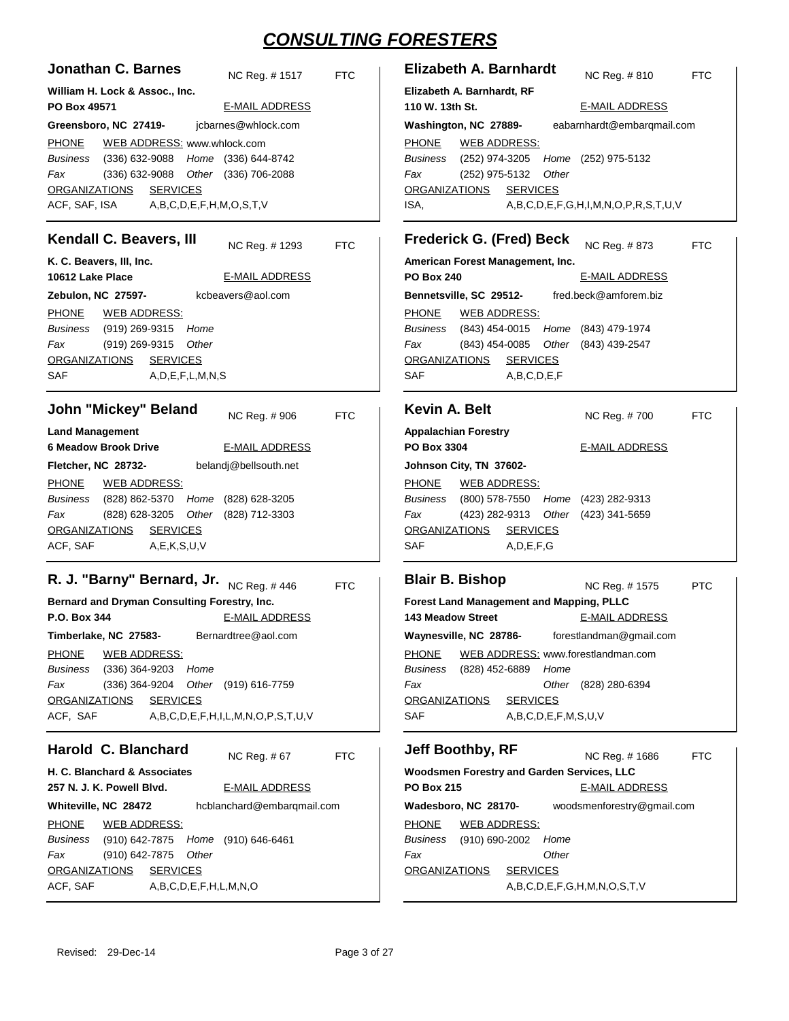| <b>Jonathan C. Barnes</b><br>NC Reg. #1517<br>William H. Lock & Assoc., Inc.                                                                                                                                                                                                                                                                                                                                 | Elizabeth A. Barnhardt<br><b>FTC</b><br>NC Reg. #810<br><b>FTC</b><br>Elizabeth A. Barnhardt, RF                                                                                                                                                                                                                                                                                            |
|--------------------------------------------------------------------------------------------------------------------------------------------------------------------------------------------------------------------------------------------------------------------------------------------------------------------------------------------------------------------------------------------------------------|---------------------------------------------------------------------------------------------------------------------------------------------------------------------------------------------------------------------------------------------------------------------------------------------------------------------------------------------------------------------------------------------|
| <b>E-MAIL ADDRESS</b>                                                                                                                                                                                                                                                                                                                                                                                        | 110 W. 13th St.                                                                                                                                                                                                                                                                                                                                                                             |
| PO Box 49571                                                                                                                                                                                                                                                                                                                                                                                                 | <b>E-MAIL ADDRESS</b>                                                                                                                                                                                                                                                                                                                                                                       |
| jcbarnes@whlock.com                                                                                                                                                                                                                                                                                                                                                                                          | eabarnhardt@embarqmail.com                                                                                                                                                                                                                                                                                                                                                                  |
| Greensboro, NC 27419-                                                                                                                                                                                                                                                                                                                                                                                        | Washington, NC 27889-                                                                                                                                                                                                                                                                                                                                                                       |
| <b>PHONE</b>                                                                                                                                                                                                                                                                                                                                                                                                 | <b>PHONE</b>                                                                                                                                                                                                                                                                                                                                                                                |
| WEB ADDRESS: www.whlock.com                                                                                                                                                                                                                                                                                                                                                                                  | <b>WEB ADDRESS:</b>                                                                                                                                                                                                                                                                                                                                                                         |
| Home (336) 644-8742                                                                                                                                                                                                                                                                                                                                                                                          | <b>Business</b>                                                                                                                                                                                                                                                                                                                                                                             |
| <b>Business</b>                                                                                                                                                                                                                                                                                                                                                                                              | (252) 974-3205                                                                                                                                                                                                                                                                                                                                                                              |
| $(336)$ 632-9088                                                                                                                                                                                                                                                                                                                                                                                             | Home (252) 975-5132                                                                                                                                                                                                                                                                                                                                                                         |
| Fax                                                                                                                                                                                                                                                                                                                                                                                                          | Other                                                                                                                                                                                                                                                                                                                                                                                       |
| $(336)$ 632-9088                                                                                                                                                                                                                                                                                                                                                                                             | Fax                                                                                                                                                                                                                                                                                                                                                                                         |
| Other (336) 706-2088                                                                                                                                                                                                                                                                                                                                                                                         | (252) 975-5132                                                                                                                                                                                                                                                                                                                                                                              |
| <b>ORGANIZATIONS</b>                                                                                                                                                                                                                                                                                                                                                                                         | <b>SERVICES</b>                                                                                                                                                                                                                                                                                                                                                                             |
| <b>SERVICES</b>                                                                                                                                                                                                                                                                                                                                                                                              | <b>ORGANIZATIONS</b>                                                                                                                                                                                                                                                                                                                                                                        |
| A,B,C,D,E,F,H,M,O,S,T,V                                                                                                                                                                                                                                                                                                                                                                                      | ISA,                                                                                                                                                                                                                                                                                                                                                                                        |
| ACF, SAF, ISA                                                                                                                                                                                                                                                                                                                                                                                                | A,B,C,D,E,F,G,H,I,M,N,O,P,R,S,T,U,V                                                                                                                                                                                                                                                                                                                                                         |
| Kendall C. Beavers, III<br>NC Reg. #1293                                                                                                                                                                                                                                                                                                                                                                     | <b>Frederick G. (Fred) Beck</b><br>NC Reg. # 873<br><b>FTC</b><br>FTC                                                                                                                                                                                                                                                                                                                       |
| K. C. Beavers, III, Inc.<br>10612 Lake Place<br><b>E-MAIL ADDRESS</b><br>Zebulon, NC 27597-<br>kcbeavers@aol.com<br><b>PHONE</b><br><b>WEB ADDRESS:</b><br><b>Business</b><br>Home<br>(919) 269-9315<br>Fax<br>(919) 269-9315<br>Other<br>ORGANIZATIONS<br><b>SERVICES</b><br><b>SAF</b><br>A, D, E, F, L, M, N, S                                                                                           | American Forest Management, Inc.<br><b>PO Box 240</b><br><b>E-MAIL ADDRESS</b><br>Bennetsville, SC 29512-<br>fred.beck@amforem.biz<br><b>PHONE</b><br><b>WEB ADDRESS:</b><br><b>Business</b><br>Home<br>(843) 454-0015<br>(843) 479-1974<br>Fax<br>(843) 454-0085<br>Other<br>(843) 439-2547<br><b>SERVICES</b><br><b>ORGANIZATIONS</b><br>SAF<br>A,B,C,D,E,F                               |
| John "Mickey" Beland<br>NC Reg. # 906<br><b>Land Management</b><br><b>6 Meadow Brook Drive</b><br><b>E-MAIL ADDRESS</b><br>belandj@bellsouth.net<br>Fletcher, NC 28732-<br><b>PHONE</b><br><b>WEB ADDRESS:</b><br>(828) 628-3205<br><b>Business</b><br>(828) 862-5370<br>Home<br>(828) 628-3205<br>Other<br>(828) 712-3303<br>Fax<br><b>SERVICES</b><br><b>ORGANIZATIONS</b><br>ACF, SAF<br>A, E, K, S, U, V | <b>Kevin A. Belt</b><br><b>FTC</b><br>NC Reg. #700<br><b>FTC</b><br><b>Appalachian Forestry</b><br>PO Box 3304<br><b>E-MAIL ADDRESS</b><br>Johnson City, TN 37602-<br><b>PHONE</b><br><u>WEB ADDRESS:</u><br><b>Business</b><br>$(800)$ 578-7550<br>Home (423) 282-9313<br>(423) 282-9313<br>Fax<br>Other (423) 341-5659<br><b>SERVICES</b><br><b>ORGANIZATIONS</b><br>SAF<br>A, D, E, F, G |
| R. J. "Barny" Bernard, Jr.                                                                                                                                                                                                                                                                                                                                                                                   | <b>Blair B. Bishop</b>                                                                                                                                                                                                                                                                                                                                                                      |
| NC Reg. #446                                                                                                                                                                                                                                                                                                                                                                                                 | <b>FTC</b>                                                                                                                                                                                                                                                                                                                                                                                  |
| Bernard and Dryman Consulting Forestry, Inc.                                                                                                                                                                                                                                                                                                                                                                 | NC Reg. #1575                                                                                                                                                                                                                                                                                                                                                                               |
| <b>E-MAIL ADDRESS</b>                                                                                                                                                                                                                                                                                                                                                                                        | <b>PTC</b>                                                                                                                                                                                                                                                                                                                                                                                  |
| P.O. Box 344                                                                                                                                                                                                                                                                                                                                                                                                 | Forest Land Management and Mapping, PLLC                                                                                                                                                                                                                                                                                                                                                    |
| Bernardtree@aol.com                                                                                                                                                                                                                                                                                                                                                                                          | <b>E-MAIL ADDRESS</b>                                                                                                                                                                                                                                                                                                                                                                       |
| Timberlake, NC 27583-                                                                                                                                                                                                                                                                                                                                                                                        | <b>143 Meadow Street</b>                                                                                                                                                                                                                                                                                                                                                                    |
| <b>PHONE</b>                                                                                                                                                                                                                                                                                                                                                                                                 | Waynesville, NC 28786- forestlandman@gmail.com                                                                                                                                                                                                                                                                                                                                              |
| <b>WEB ADDRESS:</b>                                                                                                                                                                                                                                                                                                                                                                                          | <b>PHONE</b>                                                                                                                                                                                                                                                                                                                                                                                |
| <b>Business</b>                                                                                                                                                                                                                                                                                                                                                                                              | WEB ADDRESS: www.forestlandman.com                                                                                                                                                                                                                                                                                                                                                          |
| $(336)$ 364-9203                                                                                                                                                                                                                                                                                                                                                                                             | <b>Business</b>                                                                                                                                                                                                                                                                                                                                                                             |
| Home                                                                                                                                                                                                                                                                                                                                                                                                         | (828) 452-6889                                                                                                                                                                                                                                                                                                                                                                              |
| Fax                                                                                                                                                                                                                                                                                                                                                                                                          | Home                                                                                                                                                                                                                                                                                                                                                                                        |
| (336) 364-9204                                                                                                                                                                                                                                                                                                                                                                                               | Fax                                                                                                                                                                                                                                                                                                                                                                                         |
| Other (919) 616-7759                                                                                                                                                                                                                                                                                                                                                                                         | Other (828) 280-6394                                                                                                                                                                                                                                                                                                                                                                        |
| <b>SERVICES</b>                                                                                                                                                                                                                                                                                                                                                                                              | <b>SERVICES</b>                                                                                                                                                                                                                                                                                                                                                                             |
| <b>ORGANIZATIONS</b>                                                                                                                                                                                                                                                                                                                                                                                         | <b>ORGANIZATIONS</b>                                                                                                                                                                                                                                                                                                                                                                        |
| ACF, SAF                                                                                                                                                                                                                                                                                                                                                                                                     | A,B,C,D,E,F,M,S,U,V                                                                                                                                                                                                                                                                                                                                                                         |
| A,B,C,D,E,F,H,I,L,M,N,O,P,S,T,U,V                                                                                                                                                                                                                                                                                                                                                                            | SAF                                                                                                                                                                                                                                                                                                                                                                                         |
| Harold C. Blanchard                                                                                                                                                                                                                                                                                                                                                                                          | Jeff Boothby, RF                                                                                                                                                                                                                                                                                                                                                                            |
| NC Reg. #67                                                                                                                                                                                                                                                                                                                                                                                                  | <b>FTC</b>                                                                                                                                                                                                                                                                                                                                                                                  |
| H. C. Blanchard & Associates                                                                                                                                                                                                                                                                                                                                                                                 | NC Reg. #1686                                                                                                                                                                                                                                                                                                                                                                               |
| 257 N. J. K. Powell Blvd.                                                                                                                                                                                                                                                                                                                                                                                    | <b>FTC</b>                                                                                                                                                                                                                                                                                                                                                                                  |
| <b>E-MAIL ADDRESS</b>                                                                                                                                                                                                                                                                                                                                                                                        | Woodsmen Forestry and Garden Services, LLC                                                                                                                                                                                                                                                                                                                                                  |
| hcblanchard@embargmail.com                                                                                                                                                                                                                                                                                                                                                                                   | <b>PO Box 215</b>                                                                                                                                                                                                                                                                                                                                                                           |
| Whiteville, NC 28472                                                                                                                                                                                                                                                                                                                                                                                         | <b>E-MAIL ADDRESS</b>                                                                                                                                                                                                                                                                                                                                                                       |
| <b>PHONE</b>                                                                                                                                                                                                                                                                                                                                                                                                 | woodsmenforestry@gmail.com                                                                                                                                                                                                                                                                                                                                                                  |
| <b>WEB ADDRESS:</b>                                                                                                                                                                                                                                                                                                                                                                                          | Wadesboro, NC 28170-                                                                                                                                                                                                                                                                                                                                                                        |
| Business                                                                                                                                                                                                                                                                                                                                                                                                     | <b>PHONE</b>                                                                                                                                                                                                                                                                                                                                                                                |
| (910) 642-7875                                                                                                                                                                                                                                                                                                                                                                                               | <b>WEB ADDRESS:</b>                                                                                                                                                                                                                                                                                                                                                                         |
| Home (910) 646-6461                                                                                                                                                                                                                                                                                                                                                                                          | <b>Business</b>                                                                                                                                                                                                                                                                                                                                                                             |
| Fax                                                                                                                                                                                                                                                                                                                                                                                                          | $(910) 690 - 2002$                                                                                                                                                                                                                                                                                                                                                                          |
| (910) 642-7875                                                                                                                                                                                                                                                                                                                                                                                               | Home                                                                                                                                                                                                                                                                                                                                                                                        |
| Other                                                                                                                                                                                                                                                                                                                                                                                                        | Other                                                                                                                                                                                                                                                                                                                                                                                       |
| <b>ORGANIZATIONS</b>                                                                                                                                                                                                                                                                                                                                                                                         | Fax                                                                                                                                                                                                                                                                                                                                                                                         |
| <b>SERVICES</b>                                                                                                                                                                                                                                                                                                                                                                                              | <b>ORGANIZATIONS</b>                                                                                                                                                                                                                                                                                                                                                                        |
| ACF, SAF                                                                                                                                                                                                                                                                                                                                                                                                     | <b>SERVICES</b>                                                                                                                                                                                                                                                                                                                                                                             |
| A,B,C,D,E,F,H,L,M,N,O                                                                                                                                                                                                                                                                                                                                                                                        | A,B,C,D,E,F,G,H,M,N,O,S,T,V                                                                                                                                                                                                                                                                                                                                                                 |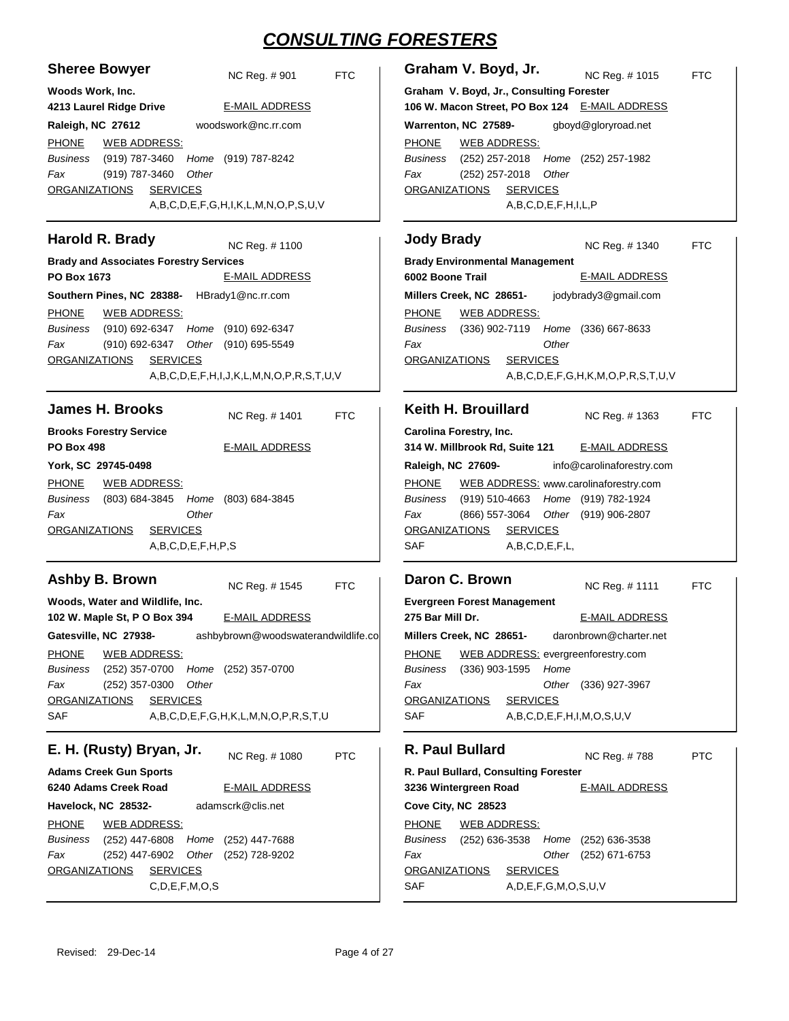| <b>Sheree Bowyer</b><br>NC Reg. #901<br><b>FTC</b>                                                                                                                                                           | Graham V. Boyd, Jr.<br>NC Reg. #1015                                                                                                                                                        | <b>FTC</b> |
|--------------------------------------------------------------------------------------------------------------------------------------------------------------------------------------------------------------|---------------------------------------------------------------------------------------------------------------------------------------------------------------------------------------------|------------|
| Woods Work, Inc.<br><b>E-MAIL ADDRESS</b><br>4213 Laurel Ridge Drive                                                                                                                                         | Graham V. Boyd, Jr., Consulting Forester<br>106 W. Macon Street, PO Box 124 E-MAIL ADDRESS                                                                                                  |            |
| woodswork@nc.rr.com<br>Raleigh, NC 27612                                                                                                                                                                     | gboyd@gloryroad.net<br>Warrenton, NC 27589-                                                                                                                                                 |            |
| <b>PHONE</b><br><b>WEB ADDRESS:</b><br>(919) 787-3460<br>Business<br>Home (919) 787-8242<br>(919) 787-3460<br>Fax<br>Other<br><b>SERVICES</b><br><b>ORGANIZATIONS</b><br>A,B,C,D,E,F,G,H,I,K,L,M,N,O,P,S,U,V | <b>PHONE</b><br><b>WEB ADDRESS:</b><br>(252) 257-2018 Home (252) 257-1982<br>Business<br>Fax<br>$(252)$ 257-2018<br>Other<br><b>ORGANIZATIONS</b><br><b>SERVICES</b><br>A,B,C,D,E,F,H,I,L,P |            |
| Harold R. Brady<br>NC Reg. # 1100                                                                                                                                                                            | <b>Jody Brady</b><br>NC Reg. # 1340                                                                                                                                                         | <b>FTC</b> |
| <b>Brady and Associates Forestry Services</b>                                                                                                                                                                | <b>Brady Environmental Management</b>                                                                                                                                                       |            |
| PO Box 1673<br><b>E-MAIL ADDRESS</b>                                                                                                                                                                         | 6002 Boone Trail<br><b>E-MAIL ADDRESS</b>                                                                                                                                                   |            |
| Southern Pines, NC 28388-<br>HBrady1@nc.rr.com                                                                                                                                                               | Millers Creek, NC 28651-<br>jodybrady3@gmail.com                                                                                                                                            |            |
| <b>PHONE</b><br><b>WEB ADDRESS:</b>                                                                                                                                                                          | <b>WEB ADDRESS:</b><br><b>PHONE</b>                                                                                                                                                         |            |
| Business<br>(910) 692-6347 Home<br>(910) 692-6347                                                                                                                                                            | Business<br>(336) 902-7119 Home (336) 667-8633                                                                                                                                              |            |
| Fax<br>(910) 692-6347<br>Other (910) 695-5549                                                                                                                                                                | Fax<br>Other                                                                                                                                                                                |            |
| <b>SERVICES</b><br><b>ORGANIZATIONS</b>                                                                                                                                                                      | <b>ORGANIZATIONS</b><br><b>SERVICES</b>                                                                                                                                                     |            |
| A,B,C,D,E,F,H,I,J,K,L,M,N,O,P,R,S,T,U,V                                                                                                                                                                      | A,B,C,D,E,F,G,H,K,M,O,P,R,S,T,U,V                                                                                                                                                           |            |
|                                                                                                                                                                                                              |                                                                                                                                                                                             |            |
| <b>James H. Brooks</b><br>NC Reg. #1401<br><b>FTC</b>                                                                                                                                                        | Keith H. Brouillard<br>NC Reg. #1363                                                                                                                                                        | <b>FTC</b> |
| <b>Brooks Forestry Service</b>                                                                                                                                                                               | Carolina Forestry, Inc.                                                                                                                                                                     |            |
| <b>PO Box 498</b><br><b>E-MAIL ADDRESS</b>                                                                                                                                                                   | 314 W. Millbrook Rd, Suite 121<br><b>E-MAIL ADDRESS</b>                                                                                                                                     |            |
| York, SC 29745-0498                                                                                                                                                                                          | Raleigh, NC 27609-<br>info@carolinaforestry.com                                                                                                                                             |            |
| <b>PHONE</b><br><b>WEB ADDRESS:</b>                                                                                                                                                                          | WEB ADDRESS: www.carolinaforestry.com<br><b>PHONE</b>                                                                                                                                       |            |
| Business<br>(803) 684-3845<br>Home<br>$(803)$ 684-3845                                                                                                                                                       | (919) 510-4663<br>Home (919) 782-1924<br>Business                                                                                                                                           |            |
| Fax<br>Other                                                                                                                                                                                                 | (866) 557-3064<br>Other (919) 906-2807<br>Fax                                                                                                                                               |            |
| <b>ORGANIZATIONS</b><br><b>SERVICES</b>                                                                                                                                                                      | <b>ORGANIZATIONS</b><br><b>SERVICES</b>                                                                                                                                                     |            |
| A,B,C,D,E,F,H,P,S                                                                                                                                                                                            | SAF<br>A,B,C,D,E,F,L,                                                                                                                                                                       |            |
| Ashby B. Brown<br><b>FTC</b><br>NC Reg. #1545                                                                                                                                                                | Daron C. Brown<br>NC Reg. # 1111                                                                                                                                                            | <b>FTC</b> |
| Woods, Water and Wildlife, Inc.                                                                                                                                                                              | <b>Evergreen Forest Management</b>                                                                                                                                                          |            |
| <b>E-MAIL ADDRESS</b><br>102 W. Maple St, P O Box 394                                                                                                                                                        | <b>E-MAIL ADDRESS</b><br>275 Bar Mill Dr.                                                                                                                                                   |            |
| Gatesville, NC 27938-<br>ashbybrown@woodswaterandwildlife.co                                                                                                                                                 | daronbrown@charter.net<br>Millers Creek, NC 28651-                                                                                                                                          |            |
| <b>PHONE</b><br><b>WEB ADDRESS:</b>                                                                                                                                                                          | <b>PHONE</b><br>WEB ADDRESS: evergreenforestry.com                                                                                                                                          |            |
| Business<br>(252) 357-0700<br>Home (252) 357-0700                                                                                                                                                            | Business<br>$(336)$ 903-1595<br>Home                                                                                                                                                        |            |
| Fax<br>$(252)$ 357-0300<br>Other                                                                                                                                                                             | Other<br>Fax<br>(336) 927-3967                                                                                                                                                              |            |
| <b>SERVICES</b><br><b>ORGANIZATIONS</b>                                                                                                                                                                      | <b>ORGANIZATIONS</b><br><b>SERVICES</b>                                                                                                                                                     |            |
| SAF<br>A,B,C,D,E,F,G,H,K,L,M,N,O,P,R,S,T,U                                                                                                                                                                   | SAF<br>A,B,C,D,E,F,H,I,M,O,S,U,V                                                                                                                                                            |            |
|                                                                                                                                                                                                              |                                                                                                                                                                                             |            |
| E. H. (Rusty) Bryan, Jr.<br><b>PTC</b><br>NC Reg. #1080                                                                                                                                                      | R. Paul Bullard<br>NC Reg. #788                                                                                                                                                             | <b>PTC</b> |
| <b>Adams Creek Gun Sports</b>                                                                                                                                                                                | R. Paul Bullard, Consulting Forester                                                                                                                                                        |            |
| <b>E-MAIL ADDRESS</b><br>6240 Adams Creek Road                                                                                                                                                               | 3236 Wintergreen Road<br><b>E-MAIL ADDRESS</b>                                                                                                                                              |            |
| adamscrk@clis.net<br>Havelock, NC 28532-                                                                                                                                                                     | Cove City, NC 28523                                                                                                                                                                         |            |
| <b>PHONE</b><br><b>WEB ADDRESS:</b>                                                                                                                                                                          | <b>PHONE</b><br><b>WEB ADDRESS:</b>                                                                                                                                                         |            |
| Business<br>(252) 447-6808<br>Home<br>(252) 447-7688                                                                                                                                                         | Business<br>$(252)$ 636-3538<br>Home<br>$(252)$ 636-3538                                                                                                                                    |            |
| Fax<br>(252) 447-6902<br>Other<br>(252) 728-9202                                                                                                                                                             | Fax<br>Other<br>(252) 671-6753                                                                                                                                                              |            |
| <b>ORGANIZATIONS</b><br><b>SERVICES</b>                                                                                                                                                                      | <b>ORGANIZATIONS</b><br><b>SERVICES</b>                                                                                                                                                     |            |
| C, D, E, F, M, O, S                                                                                                                                                                                          | SAF<br>A, D, E, F, G, M, O, S, U, V                                                                                                                                                         |            |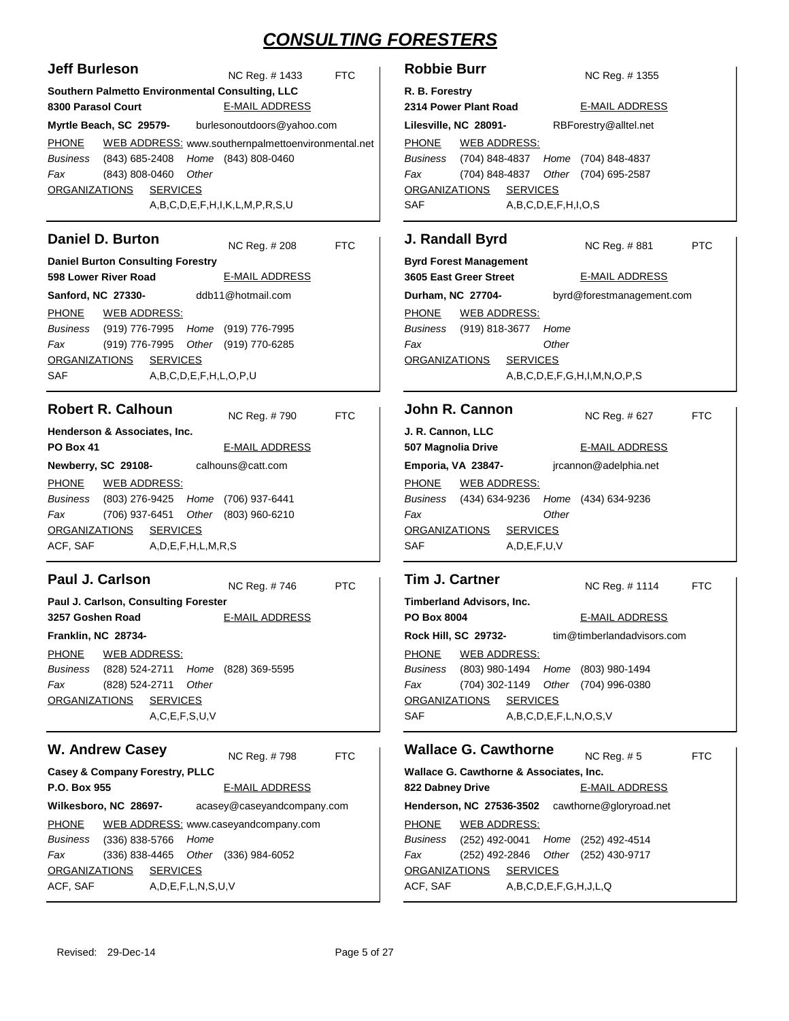| <b>Jeff Burleson</b>                                                                                                                                                                                                                      | NC Reg. # 1433             | <b>FTC</b> | <b>Robbie Burr</b>                                                                                                                                                               |
|-------------------------------------------------------------------------------------------------------------------------------------------------------------------------------------------------------------------------------------------|----------------------------|------------|----------------------------------------------------------------------------------------------------------------------------------------------------------------------------------|
| Southern Palmetto Environmental Consulting, LLC<br>8300 Parasol Court                                                                                                                                                                     | <b>E-MAIL ADDRESS</b>      |            | R. B. Forestry<br>2314 Power Plant Road                                                                                                                                          |
|                                                                                                                                                                                                                                           | burlesonoutdoors@yahoo.com |            | R<br>Lilesville, NC 28091-                                                                                                                                                       |
| Myrtle Beach, SC 29579-<br>WEB ADDRESS: www.southernpalmettoenvironmental.net<br><b>PHONE</b><br>Business<br>(843) 685-2408<br>Fax<br>(843) 808-0460<br>Other<br><b>ORGANIZATIONS</b><br><b>SERVICES</b><br>A,B,C,D,E,F,H,I,K,L,M,P,R,S,U | Home (843) 808-0460        |            | <b>PHONE</b><br><b>WEB ADDRESS:</b><br>Business<br>(704) 848-4837<br>Hor<br>Fax<br>(704) 848-4837<br>Oth<br><b>SERVICES</b><br><u>ORGANIZATIONS</u><br><b>SAF</b><br>A,B,C,D,E,F |
| <b>Daniel D. Burton</b>                                                                                                                                                                                                                   | NC Reg. # 208              | <b>FTC</b> | J. Randall Byrd                                                                                                                                                                  |
| <b>Daniel Burton Consulting Forestry</b><br>598 Lower River Road                                                                                                                                                                          | <b>E-MAIL ADDRESS</b>      |            | <b>Byrd Forest Management</b><br>3605 East Greer Street                                                                                                                          |
| Sanford, NC 27330-                                                                                                                                                                                                                        | ddb11@hotmail.com          |            | Durham, NC 27704-<br>b                                                                                                                                                           |
| <b>PHONE</b><br>WEB ADDRESS:<br>Business<br>(919) 776-7995 Home (919) 776-7995<br>Fax<br>(919) 776-7995 Other (919) 770-6285<br><u>ORGANIZATIONS</u><br><b>SERVICES</b><br><b>SAF</b><br>A,B,C,D,E,F,H,L,O,P,U                            |                            |            | <b>PHONE</b><br>WEB ADDRESS:<br>Business (919) 818-3677<br>Hor<br>Fax<br>Oth<br><b>SERVICES</b><br><u>ORGANIZATIONS</u><br>A,B,C,D,E,F                                           |
| <b>Robert R. Calhoun</b>                                                                                                                                                                                                                  | NC Reg. #790               | <b>FTC</b> | John R. Cannon                                                                                                                                                                   |
| Henderson & Associates, Inc.<br><b>PO Box 41</b>                                                                                                                                                                                          | <b>E-MAIL ADDRESS</b>      |            | J. R. Cannon, LLC<br>507 Magnolia Drive                                                                                                                                          |
| Newberry, SC 29108-                                                                                                                                                                                                                       | calhouns@catt.com          |            | Emporia, VA 23847-<br>jr                                                                                                                                                         |
| <b>PHONE</b><br><u>WEB ADDRESS:</u><br>Business<br>(803) 276-9425 Home (706) 937-6441<br>Fax<br>(706) 937-6451 Other (803) 960-6210<br>ORGANIZATIONS SERVICES<br>A,D,E,F,H,L,M,R,S<br>ACF, SAF                                            |                            |            | <b>PHONE</b><br><u>WEB ADDRESS:</u><br>Business (434) 634-9236<br>Hor<br>Fax<br>Oth<br><b>SERVICES</b><br><u>ORGANIZATIONS</u><br><b>SAF</b><br>A, D, E, F, U, V                 |
| <b>Paul J. Carlson</b>                                                                                                                                                                                                                    | NC Reg. #746               | <b>PTC</b> | <b>Tim J. Cartner</b>                                                                                                                                                            |
| Paul J. Carlson, Consulting Forester<br>3257 Goshen Road<br>Franklin, NC 28734-<br><b>PHONE</b><br><b>WEB ADDRESS:</b>                                                                                                                    | <b>E-MAIL ADDRESS</b>      |            | Timberland Advisors, Inc.<br><b>PO Box 8004</b><br>Rock Hill, SC 29732-<br>ti<br><b>PHONE</b><br><b>WEB ADDRESS:</b>                                                             |
| Business<br>(828) 524-2711 Home (828) 369-5595<br>Other<br>Fax<br>(828) 524-2711<br><b>ORGANIZATIONS</b><br><b>SERVICES</b><br>A, C, E, F, S, U, V                                                                                        |                            |            | Business<br>(803) 980-1494<br>Hor<br>Fax<br>(704) 302-1149<br>Oth<br><b>ORGANIZATIONS</b><br><b>SERVICES</b><br>SAF<br>A,B,C,D,E,F                                               |
| <b>W. Andrew Casey</b>                                                                                                                                                                                                                    | NC Reg. #798               | <b>FTC</b> | <b>Wallace G. Cawthorne</b>                                                                                                                                                      |
| <b>Casey &amp; Company Forestry, PLLC</b><br>P.O. Box 955                                                                                                                                                                                 | <b>E-MAIL ADDRESS</b>      |            | <b>Wallace G. Cawthorne &amp; Associ</b><br>822 Dabney Drive                                                                                                                     |
| Wilkesboro, NC 28697-                                                                                                                                                                                                                     | acasey@caseyandcompany.com |            | Henderson, NC 27536-3502<br>C.                                                                                                                                                   |
| WEB ADDRESS: www.caseyandcompany.com<br><b>PHONE</b><br>Business<br>$(336) 838 - 5766$<br>Home<br>Fax<br>$(336)$ 838-4465<br><b>ORGANIZATIONS</b><br><b>SERVICES</b><br>ACF, SAF<br>A, D, E, F, L, N, S, U, V                             | Other (336) 984-6052       |            | <b>PHONE</b><br><b>WEB ADDRESS:</b><br>Business<br>(252) 492-0041<br>Hor<br>Fax<br>(252) 492-2846<br>Oth<br><b>ORGANIZATIONS</b><br><b>SERVICES</b><br>ACF, SAF<br>A,B,C,D,E,F   |

| <b>Robbie Burr</b>                      |  |                              | NC Reg. #1355                               |  |
|-----------------------------------------|--|------------------------------|---------------------------------------------|--|
| R. B. Forestry<br>2314 Power Plant Road |  |                              | E-MAIL ADDRESS                              |  |
| Lilesville, NC 28091-                   |  |                              | RBForestry@alltel.net                       |  |
| PHONE WEB ADDRESS:                      |  |                              |                                             |  |
|                                         |  |                              | Business (704) 848-4837 Home (704) 848-4837 |  |
| Fax                                     |  |                              | (704) 848-4837 Other (704) 695-2587         |  |
| ORGANIZATIONS SERVICES                  |  |                              |                                             |  |
| <b>SAF</b>                              |  | A, B, C, D, E, F, H, I, O, S |                                             |  |

#### **Randall Byrd Byrd Forest Management 3605 East Greer Street Durham, NC 27704-** NC Reg. # PTC E-MAIL ADDRESS byrd@forestmanagement.com HONE (919) 818-3677 *Business Home Other* WEB ADDRESS:

A,B,C,D,E,F,G,H,I,M,N,O,P,S **ohn R. Cannon J. R. Cannon, LLC 507 Magnolia Drive Emporia, VA 23847-** NC Reg. # FTC E-MAIL ADDRESS jrcannon@adelphia.net HONE (434) 634-9236 (434) 634-9236 *Home* AF A,D,E,F,U,V *Business Fax Other* RGANIZATIONS SERVICES WEB ADDRESS:

**Tim J. Cartner 1114 NC Reg. # 1114 FTC Timberland Advisors, Inc. PO Box 8004 Rock Hill, SC 29732-** E-MAIL ADDRESS tim@timberlandadvisors.com HONE (803) 980-1494 (803) 980-1494 *Home* (704) 302-1149 (704) 996-0380 *Other* A,B,C,D,E,F,L,N,O,S,V *Business Fax* RGANIZATIONS SERVICES WEB ADDRESS:

#### **Wallace G. Cawthorne**

NC Reg. # FTC

| Wallace G. Cawthorne & Associates, Inc. |                        |                                 |                                                  |  |
|-----------------------------------------|------------------------|---------------------------------|--------------------------------------------------|--|
| 822 Dabney Drive                        |                        |                                 | <b>E-MAIL ADDRESS</b>                            |  |
|                                         |                        |                                 | Henderson, NC 27536-3502 cawthorne@gloryroad.net |  |
|                                         | PHONE WEB ADDRESS:     |                                 |                                                  |  |
|                                         |                        |                                 | Business (252) 492-0041 Home (252) 492-4514      |  |
| Fax                                     |                        |                                 | (252) 492-2846 Other (252) 430-9717              |  |
|                                         | ORGANIZATIONS SERVICES |                                 |                                                  |  |
| ACF, SAF                                |                        | A, B, C, D, E, F, G, H, J, L, Q |                                                  |  |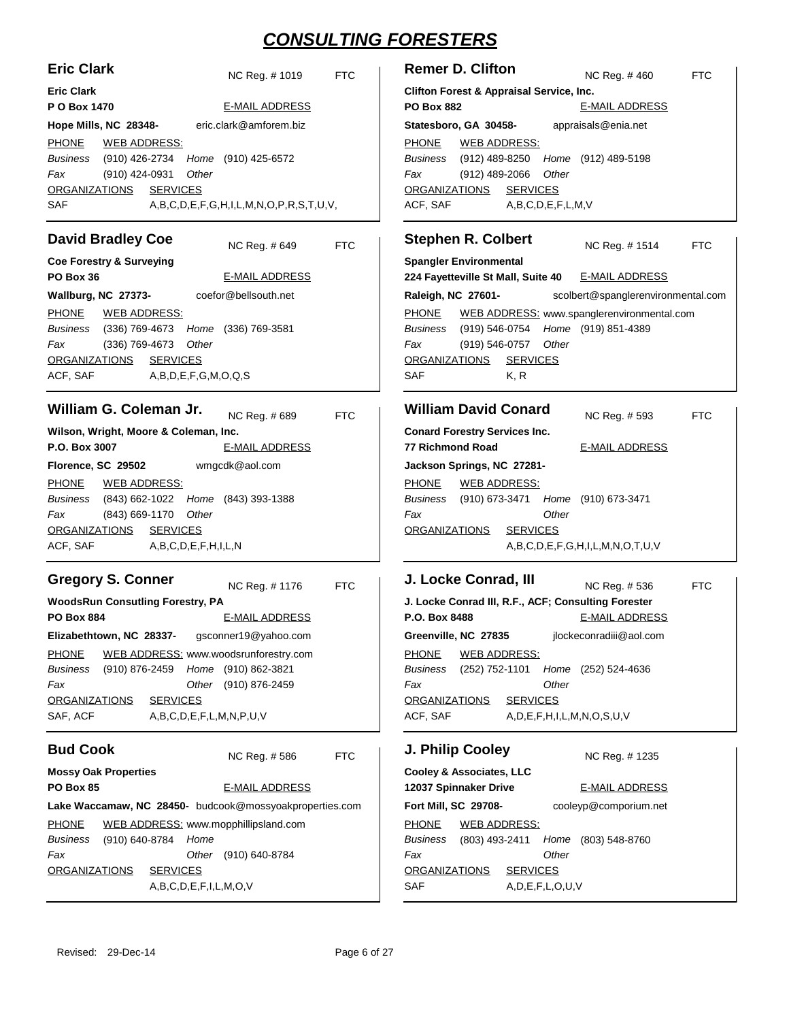| <b>Eric Clark</b>                                       | <b>Remer D. Clifton</b>                                     |
|---------------------------------------------------------|-------------------------------------------------------------|
| NC Reg. # 1019                                          | NC Reg. #460                                                |
| <b>FTC</b>                                              | <b>FTC</b>                                                  |
| <b>Eric Clark</b>                                       | Clifton Forest & Appraisal Service, Inc.                    |
| P O Box 1470                                            | <b>E-MAIL ADDRESS</b>                                       |
| <b>E-MAIL ADDRESS</b>                                   | <b>PO Box 882</b>                                           |
| eric.clark@amforem.biz                                  | appraisals@enia.net                                         |
| Hope Mills, NC 28348-                                   | Statesboro, GA 30458-                                       |
| <b>PHONE</b>                                            | <b>PHONE</b>                                                |
| <b>WEB ADDRESS:</b>                                     | <b>WEB ADDRESS:</b>                                         |
| (910) 426-2734                                          | (912) 489-8250                                              |
| (910) 425-6572                                          | <b>Business</b>                                             |
| Business                                                | Home                                                        |
| Home                                                    | (912) 489-5198                                              |
| (910) 424-0931                                          | Fax                                                         |
| Other                                                   | $(912)$ 489-2066                                            |
| Fax                                                     | Other                                                       |
| <b>SERVICES</b>                                         | <b>ORGANIZATIONS</b>                                        |
| <b>ORGANIZATIONS</b>                                    | <b>SERVICES</b>                                             |
| SAF                                                     | ACF, SAF                                                    |
| A,B,C,D,E,F,G,H,I,L,M,N,O,P,R,S,T,U,V,                  | A,B,C,D,E,F,L,M,V                                           |
| <b>David Bradley Coe</b>                                | <b>Stephen R. Colbert</b>                                   |
| <b>FTC</b>                                              | NC Reg. #1514                                               |
| NC Reg. #649                                            | <b>FTC</b>                                                  |
| <b>Coe Forestry &amp; Surveying</b>                     | <b>Spangler Environmental</b>                               |
| PO Box 36                                               | 224 Fayetteville St Mall, Suite 40                          |
| <b>E-MAIL ADDRESS</b>                                   | <b>E-MAIL ADDRESS</b>                                       |
| coefor@bellsouth.net                                    | Raleigh, NC 27601-                                          |
| Wallburg, NC 27373-                                     | scolbert@spanglerenvironmental.com                          |
| <b>PHONE</b>                                            | <b>PHONE</b>                                                |
| <b>WEB ADDRESS:</b>                                     | WEB ADDRESS: www.spanglerenvironmental.com                  |
| Business                                                | <b>Business</b>                                             |
| (336) 769-4673                                          | (919) 546-0754                                              |
| Home (336) 769-3581                                     | Home (919) 851-4389                                         |
| Other                                                   | Other                                                       |
| Fax                                                     | Fax                                                         |
| (336) 769-4673                                          | (919) 546-0757                                              |
| <b>ORGANIZATIONS</b>                                    | <b>ORGANIZATIONS</b>                                        |
| <b>SERVICES</b>                                         | <b>SERVICES</b>                                             |
| ACF, SAF                                                | SAF                                                         |
| A,B,D,E,F,G,M,O,Q,S                                     | K, R                                                        |
| William G. Coleman Jr.                                  | <b>William David Conard</b>                                 |
| NC Reg. #689                                            | NC Reg. # 593                                               |
| <b>FTC</b>                                              | <b>FTC</b>                                                  |
| Wilson, Wright, Moore & Coleman, Inc.                   | <b>Conard Forestry Services Inc.</b>                        |
| P.O. Box 3007                                           | <b>77 Richmond Road</b>                                     |
| <b>E-MAIL ADDRESS</b>                                   | <b>E-MAIL ADDRESS</b>                                       |
| wmgcdk@aol.com<br>Florence, SC 29502                    | Jackson Springs, NC 27281-                                  |
| <b>PHONE</b>                                            | <b>PHONE</b>                                                |
| <b>WEB ADDRESS:</b>                                     | <b>WEB ADDRESS:</b>                                         |
| Home (843) 393-1388<br>Business<br>(843) 662-1022       | (910) 673-3471<br><b>Business</b><br>Home<br>(910) 673-3471 |
| (843) 669-1170<br>Other<br>Fax                          | Other<br>Fax                                                |
| <b>ORGANIZATIONS</b>                                    | <b>ORGANIZATIONS</b>                                        |
| <b>SERVICES</b>                                         | <b>SERVICES</b>                                             |
| ACF, SAF<br>A,B,C,D,E,F,H,I,L,N                         | A,B,C,D,E,F,G,H,I,L,M,N,O,T,U,V                             |
| <b>Gregory S. Conner</b>                                | J. Locke Conrad, III                                        |
| NC Reg. #1176                                           | NC Reg. #536                                                |
| <b>FTC</b>                                              | <b>FTC</b>                                                  |
| <b>WoodsRun Consutling Forestry, PA</b>                 | J. Locke Conrad III, R.F., ACF; Consulting Forester         |
| <b>PO Box 884</b>                                       | P.O. Box 8488                                               |
| <b>E-MAIL ADDRESS</b>                                   | <b>E-MAIL ADDRESS</b>                                       |
| Elizabethtown, NC 28337- gsconner19@yahoo.com           | jlockeconradiii@aol.com<br>Greenville, NC 27835             |
| WEB ADDRESS: www.woodsrunforestry.com                   | <b>PHONE</b>                                                |
| <b>PHONE</b>                                            | <b>WEB ADDRESS:</b>                                         |
| Home (910) 862-3821<br>Business<br>(910) 876-2459       | (252) 752-1101<br><b>Business</b><br>Home<br>(252) 524-4636 |
| Fax                                                     | Other                                                       |
| Other (910) 876-2459                                    | Fax                                                         |
| <b>ORGANIZATIONS</b>                                    | <b>ORGANIZATIONS</b>                                        |
| <b>SERVICES</b>                                         | <b>SERVICES</b>                                             |
| SAF, ACF                                                | ACF, SAF                                                    |
| A,B,C,D,E,F,L,M,N,P,U,V                                 | A, D, E, F, H, I, L, M, N, O, S, U, V                       |
| <b>Bud Cook</b><br><b>FTC</b><br>NC Reg. #586           | J. Philip Cooley<br>NC Reg. #1235                           |
| <b>Mossy Oak Properties</b>                             | Cooley & Associates, LLC                                    |
| <b>PO Box 85</b>                                        | 12037 Spinnaker Drive                                       |
| <b>E-MAIL ADDRESS</b>                                   | <b>E-MAIL ADDRESS</b>                                       |
| Lake Waccamaw, NC 28450- budcook@mossyoakproperties.com | cooleyp@comporium.net<br>Fort Mill, SC 29708-               |
| <b>PHONE</b>                                            | <b>PHONE</b>                                                |
| WEB ADDRESS: www.mopphillipsland.com                    | <b>WEB ADDRESS:</b>                                         |
| (910) 640-8784<br>Business<br>Home                      | (803) 493-2411<br><b>Business</b><br>Home<br>(803) 548-8760 |
| (910) 640-8784<br>Fax<br>Other                          | Other<br>Fax                                                |
| <b>ORGANIZATIONS</b>                                    | <b>ORGANIZATIONS</b>                                        |
| <b>SERVICES</b>                                         | <b>SERVICES</b>                                             |
| A,B,C,D,E,F,I,L,M,O,V                                   | <b>SAF</b><br>A, D, E, F, L, O, U, V                        |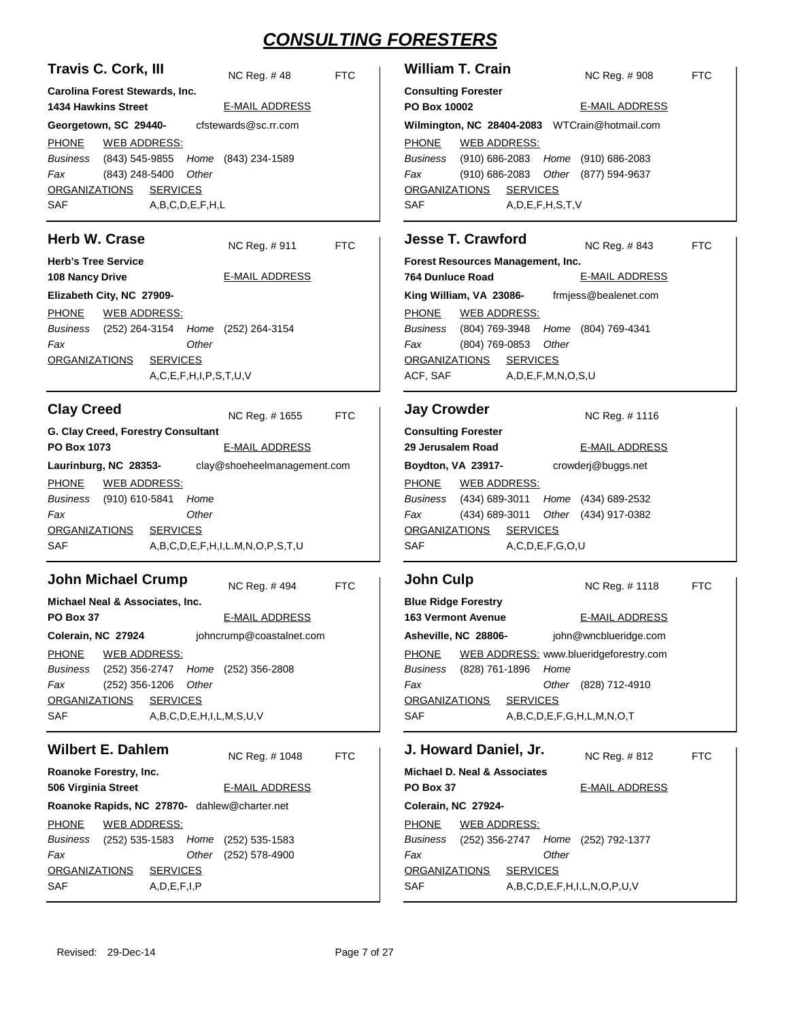| <b>Travis C. Cork, III</b><br>NC Reg. #48                                                                                                                                                                                                                                                                                   | <b>FTC</b> | <b>William T. Crain</b>                                                                                                                                                                                                                                | NC Reg. #908<br><b>FTC</b>                                                                 |
|-----------------------------------------------------------------------------------------------------------------------------------------------------------------------------------------------------------------------------------------------------------------------------------------------------------------------------|------------|--------------------------------------------------------------------------------------------------------------------------------------------------------------------------------------------------------------------------------------------------------|--------------------------------------------------------------------------------------------|
| Carolina Forest Stewards, Inc.<br><b>1434 Hawkins Street</b><br><b>E-MAIL ADDRESS</b>                                                                                                                                                                                                                                       |            | <b>Consulting Forester</b><br>PO Box 10002                                                                                                                                                                                                             | <b>E-MAIL ADDRESS</b>                                                                      |
| cfstewards@sc.rr.com<br>Georgetown, SC 29440-                                                                                                                                                                                                                                                                               |            | Wilmington, NC 28404-2083 WTCrain@hotmail.com                                                                                                                                                                                                          |                                                                                            |
| <b>PHONE</b><br><b>WEB ADDRESS:</b><br>Business<br>(843) 545-9855<br>Home (843) 234-1589<br>Fax<br>(843) 248-5400<br>Other<br><b>SERVICES</b><br><b>ORGANIZATIONS</b><br>SAF<br>A,B,C,D,E,F,H,L                                                                                                                             |            | <b>PHONE</b><br><b>WEB ADDRESS:</b><br>Business<br>$(910) 686 - 2083$<br>Home<br>$(910) 686 - 2083$<br>Fax<br>Other<br><b>SERVICES</b><br><b>ORGANIZATIONS</b><br>SAF<br>A, D, E, F, H, S, T, V                                                        | $(910)$ 686-2083<br>(877) 594-9637                                                         |
| <b>Herb W. Crase</b><br>NC Reg. #911                                                                                                                                                                                                                                                                                        | <b>FTC</b> | <b>Jesse T. Crawford</b>                                                                                                                                                                                                                               | NC Reg. # 843<br><b>FTC</b>                                                                |
| <b>Herb's Tree Service</b><br><b>E-MAIL ADDRESS</b><br>108 Nancy Drive<br>Elizabeth City, NC 27909-                                                                                                                                                                                                                         |            | Forest Resources Management, Inc.<br>764 Dunluce Road<br>King William, VA 23086-                                                                                                                                                                       | <b>E-MAIL ADDRESS</b><br>frmjess@bealenet.com                                              |
| <b>PHONE</b><br><b>WEB ADDRESS:</b><br>Business<br>$(252)$ 264-3154 Home $(252)$ 264-3154<br>Other<br>Fax<br>ORGANIZATIONS<br><b>SERVICES</b><br>A, C, E, F, H, I, P, S, T, U, V                                                                                                                                            |            | <b>PHONE</b><br><b>WEB ADDRESS:</b><br>Business<br>(804) 769-3948<br>Home<br>Other<br>Fax<br>(804) 769-0853<br><b>SERVICES</b><br><b>ORGANIZATIONS</b><br>ACF, SAF<br>A, D, E, F, M, N, O, S, U                                                        | (804) 769-4341                                                                             |
| <b>Clay Creed</b><br>NC Reg. # 1655                                                                                                                                                                                                                                                                                         | <b>FTC</b> | <b>Jay Crowder</b>                                                                                                                                                                                                                                     | NC Reg. # 1116                                                                             |
| G. Clay Creed, Forestry Consultant<br><b>PO Box 1073</b><br><b>E-MAIL ADDRESS</b><br>Laurinburg, NC 28353-<br>clay@shoeheelmanagement.com<br><b>PHONE</b><br><u>WEB ADDRESS:</u><br>Business<br>(910) 610-5841<br>Home<br>Fax<br>Other<br><b>ORGANIZATIONS</b><br><b>SERVICES</b><br>SAF<br>A,B,C,D,E,F,H,I,L.M,N,O,P,S,T,U |            | <b>Consulting Forester</b><br>29 Jerusalem Road<br>Boydton, VA 23917-<br><b>PHONE</b><br><u>WEB ADDRESS:</u><br>(434) 689-3011<br><b>Business</b><br>(434) 689-3011<br>Fax<br><b>SERVICES</b><br><b>ORGANIZATIONS</b><br>SAF<br>A, C, D, E, F, G, O, U | <b>E-MAIL ADDRESS</b><br>crowderj@buggs.net<br>Home (434) 689-2532<br>Other (434) 917-0382 |
| <b>John Michael Crump</b><br>NC Reg. #494<br>Michael Neal & Associates, Inc.<br>PO Box 37<br><b>E-MAIL ADDRESS</b><br>johncrump@coastalnet.com<br>Colerain, NC 27924<br><b>PHONE</b><br><b>WEB ADDRESS:</b><br>Business<br>(252) 356-2747<br>Home (252) 356-2808                                                            | <b>FTC</b> | <b>John Culp</b><br><b>Blue Ridge Forestry</b><br><b>163 Vermont Avenue</b><br>Asheville, NC 28806-<br><b>PHONE</b><br>WEB ADDRESS: www.blueridgeforestry.com<br>Business<br>(828) 761-1896<br>Home                                                    | <b>FTC</b><br>NC Reg. # 1118<br><b>E-MAIL ADDRESS</b><br>john@wncblueridge.com             |
| Fax<br>$(252)$ 356-1206<br>Other<br><b>SERVICES</b><br><b>ORGANIZATIONS</b><br>SAF<br>A,B,C,D,E,H,I,L,M,S,U,V                                                                                                                                                                                                               |            | Fax<br><b>ORGANIZATIONS</b><br><b>SERVICES</b><br>SAF<br>A, B, C, D, E, F, G, H, L, M, N, O, T                                                                                                                                                         | Other (828) 712-4910                                                                       |
| <b>Wilbert E. Dahlem</b><br>NC Reg. #1048                                                                                                                                                                                                                                                                                   | <b>FTC</b> | J. Howard Daniel, Jr.                                                                                                                                                                                                                                  | NC Reg. #812<br>FTC                                                                        |
| Roanoke Forestry, Inc.<br>506 Virginia Street<br><b>E-MAIL ADDRESS</b>                                                                                                                                                                                                                                                      |            | <b>Michael D. Neal &amp; Associates</b><br>PO Box 37                                                                                                                                                                                                   | <b>E-MAIL ADDRESS</b>                                                                      |
| Roanoke Rapids, NC 27870- dahlew@charter.net<br><b>PHONE</b><br><b>WEB ADDRESS:</b><br>Business<br>$(252)$ 535-1583<br>Home (252) 535-1583<br>Fax<br>Other<br>$(252)$ 578-4900<br><b>ORGANIZATIONS</b><br><b>SERVICES</b><br><b>SAF</b><br>A, D, E, F, I, P                                                                 |            | Colerain, NC 27924-<br><b>PHONE</b><br><b>WEB ADDRESS:</b><br>Business<br>(252) 356-2747<br>Other<br>Fax<br><b>ORGANIZATIONS</b><br><b>SERVICES</b><br>SAF<br>A,B,C,D,E,F,H,I,L,N,O,P,U,V                                                              | Home (252) 792-1377                                                                        |

| <b>PO Box 10002</b>                                                                           |                                              | <b>E-MAIL ADDRESS</b> |            |  |
|-----------------------------------------------------------------------------------------------|----------------------------------------------|-----------------------|------------|--|
| Wilmington, NC 28404-2083 WTCrain@hotmail.com                                                 |                                              |                       |            |  |
| <b>PHONE</b>                                                                                  | <b>WEB ADDRESS:</b>                          |                       |            |  |
|                                                                                               | Business (910) 686-2083 Home (910) 686-2083  |                       |            |  |
| Fax                                                                                           | (910) 686-2083 Other (877) 594-9637          |                       |            |  |
|                                                                                               | ORGANIZATIONS SERVICES                       |                       |            |  |
| <b>SAF</b>                                                                                    | A, D, E, F, H, S, T, V                       |                       |            |  |
|                                                                                               |                                              |                       |            |  |
|                                                                                               | <b>Jesse T. Crawford</b>                     | NC Reg. #843          | <b>FTC</b> |  |
|                                                                                               | Forest Resources Management, Inc.            |                       |            |  |
| 764 Dunluce Road                                                                              |                                              | <b>E-MAIL ADDRESS</b> |            |  |
|                                                                                               | King William, VA 23086- frmjess@bealenet.com |                       |            |  |
|                                                                                               | PHONE WEB ADDRESS:                           |                       |            |  |
|                                                                                               | Business (804) 769-3948 Home (804) 769-4341  |                       |            |  |
| Fax                                                                                           | (804) 769-0853 Other                         |                       |            |  |
|                                                                                               | ORGANIZATIONS SERVICES                       |                       |            |  |
| ACF, SAF                                                                                      | A, D, E, F, M, N, O, S, U                    |                       |            |  |
|                                                                                               |                                              |                       |            |  |
| <b>Jay Crowder</b><br>NC Reg. # 1116                                                          |                                              |                       |            |  |
|                                                                                               | <b>Consulting Forester</b>                   |                       |            |  |
| 29 Jerusalem Road                                                                             |                                              | <b>E-MAIL ADDRESS</b> |            |  |
|                                                                                               | Boydton, VA 23917-                           | crowderj@buggs.net    |            |  |
|                                                                                               | PHONE WEB ADDRESS:                           |                       |            |  |
|                                                                                               | Business (434) 689-3011 Home (434) 689-2532  |                       |            |  |
| Fax                                                                                           | (434) 689-3011 Other (434) 917-0382          |                       |            |  |
|                                                                                               | ORGANIZATIONS SERVICES                       |                       |            |  |
| <b>SAF</b>                                                                                    | A, C, D, E, F, G, O, U                       |                       |            |  |
|                                                                                               |                                              |                       |            |  |
| <b>John Culp</b>                                                                              |                                              |                       |            |  |
|                                                                                               | <b>Blue Ridge Forestry</b>                   | NC Reg. # 1118        | <b>FTC</b> |  |
|                                                                                               | <b>163 Vermont Avenue</b>                    | <b>E-MAIL ADDRESS</b> |            |  |
|                                                                                               |                                              |                       |            |  |
| john@wncblueridge.com<br>Asheville, NC 28806-<br>PHONE WEB ADDRESS: www.blueridgeforestry.com |                                              |                       |            |  |
|                                                                                               | (828) 761-1896 Home                          |                       |            |  |
| Business                                                                                      |                                              |                       |            |  |

Revised: 29-Dec-14 Page 7 of 27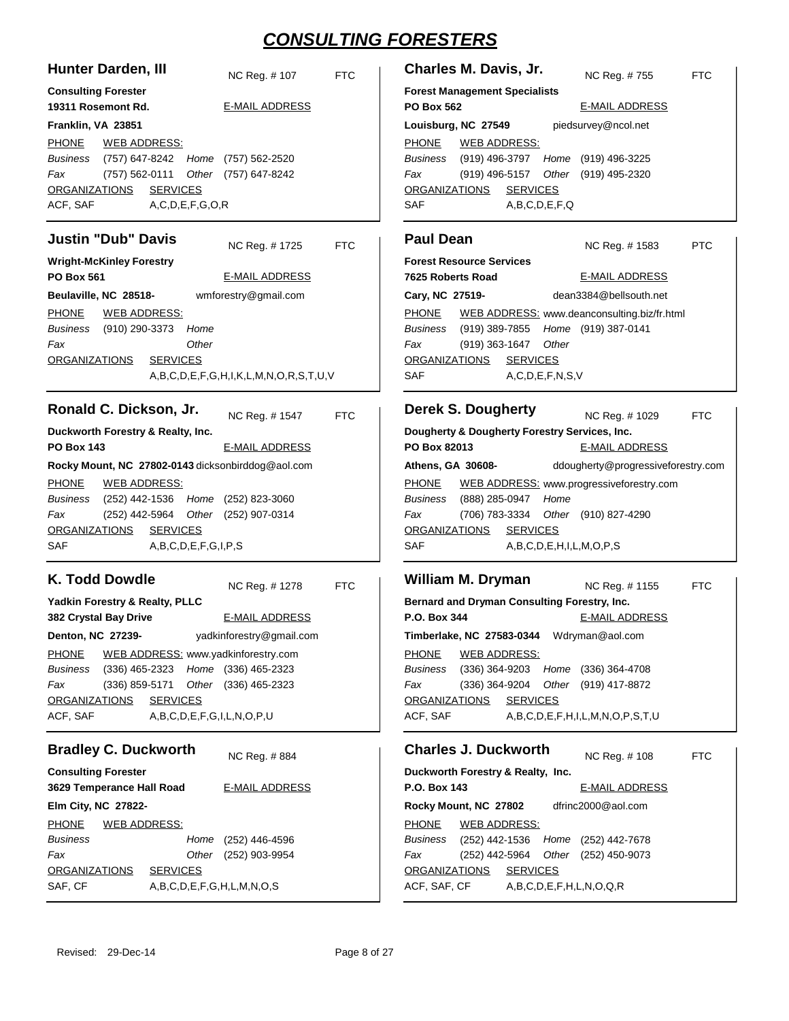| <b>Hunter Darden, III</b><br>NC Reg. #107<br><b>FTC</b>                                                                                                                                                                                                                                                                                                                                                                              | Charles M. Davis, Jr.<br><b>FTC</b><br>NC Reg. #755                                                                                                                                                                                                                                                                                                                                                                             |
|--------------------------------------------------------------------------------------------------------------------------------------------------------------------------------------------------------------------------------------------------------------------------------------------------------------------------------------------------------------------------------------------------------------------------------------|---------------------------------------------------------------------------------------------------------------------------------------------------------------------------------------------------------------------------------------------------------------------------------------------------------------------------------------------------------------------------------------------------------------------------------|
| <b>Consulting Forester</b><br>19311 Rosemont Rd.<br><b>E-MAIL ADDRESS</b>                                                                                                                                                                                                                                                                                                                                                            | <b>Forest Management Specialists</b><br><b>PO Box 562</b><br><b>E-MAIL ADDRESS</b>                                                                                                                                                                                                                                                                                                                                              |
| Franklin, VA 23851<br><b>PHONE</b><br><b>WEB ADDRESS:</b><br>Business<br>(757) 647-8242 Home<br>(757) 562-2520<br>Fax<br>(757) 562-0111<br>Other (757) 647-8242<br><b>SERVICES</b><br><b>ORGANIZATIONS</b><br>ACF, SAF<br>A, C, D, E, F, G, O, R                                                                                                                                                                                     | piedsurvey@ncol.net<br>Louisburg, NC 27549<br><b>PHONE</b><br><b>WEB ADDRESS:</b><br><b>Business</b><br>(919) 496-3797<br>Home<br>(919) 496-3225<br>(919) 496-5157<br>Other (919) 495-2320<br>Fax<br><b>SERVICES</b><br><b>ORGANIZATIONS</b><br>SAF<br>A,B,C,D,E,F,Q                                                                                                                                                            |
| <b>Justin "Dub" Davis</b><br>NC Reg. #1725<br><b>FTC</b>                                                                                                                                                                                                                                                                                                                                                                             | <b>Paul Dean</b><br><b>PTC</b><br>NC Reg. #1583                                                                                                                                                                                                                                                                                                                                                                                 |
| <b>Wright-McKinley Forestry</b><br><b>E-MAIL ADDRESS</b><br><b>PO Box 561</b><br>Beulaville, NC 28518-<br>wmforestry@gmail.com<br><b>PHONE</b><br><b>WEB ADDRESS:</b><br>Business<br>(910) 290-3373<br>Home<br>Other<br>Fax<br><b>ORGANIZATIONS</b><br><b>SERVICES</b><br>A,B,C,D,E,F,G,H,I,K,L,M,N,O,R,S,T,U,V                                                                                                                      | <b>Forest Resource Services</b><br><b>E-MAIL ADDRESS</b><br>7625 Roberts Road<br>Cary, NC 27519-<br>dean3384@bellsouth.net<br><b>PHONE</b><br>WEB ADDRESS: www.deanconsulting.biz/fr.html<br>Business<br>(919) 389-7855 Home (919) 387-0141<br>(919) 363-1647<br>Other<br>Fax<br><b>ORGANIZATIONS</b><br><b>SERVICES</b><br><b>SAF</b><br>A, C, D, E, F, N, S, V                                                                |
| Ronald C. Dickson, Jr.<br>NC Reg. # 1547<br><b>FTC</b><br>Duckworth Forestry & Realty, Inc.<br><b>PO Box 143</b><br><b>E-MAIL ADDRESS</b>                                                                                                                                                                                                                                                                                            | <b>Derek S. Dougherty</b><br>NC Reg. # 1029<br><b>FTC</b><br>Dougherty & Dougherty Forestry Services, Inc.<br>PO Box 82013<br><b>E-MAIL ADDRESS</b>                                                                                                                                                                                                                                                                             |
| Rocky Mount, NC 27802-0143 dicksonbirddog@aol.com<br><b>WEB ADDRESS:</b><br><b>PHONE</b><br>(252) 442-1536 Home (252) 823-3060<br>Business<br>(252) 442-5964 Other (252) 907-0314<br>Fax<br><b>SERVICES</b><br><b>ORGANIZATIONS</b><br>SAF<br>A,B,C,D,E,F,G,I,P,S                                                                                                                                                                    | ddougherty@progressiveforestry.com<br>Athens, GA 30608-<br>WEB ADDRESS: www.progressiveforestry.com<br><b>PHONE</b><br>(888) 285-0947<br>Home<br>Business<br>(706) 783-3334 Other (910) 827-4290<br>Fax<br><b>ORGANIZATIONS</b><br><b>SERVICES</b><br>SAF<br>A,B,C,D,E,H,I,L,M,O,P,S                                                                                                                                            |
| K. Todd Dowdle<br><b>FTC</b><br>NC Reg. #1278<br>Yadkin Forestry & Realty, PLLC<br><b>E-MAIL ADDRESS</b><br><b>382 Crystal Bay Drive</b><br>yadkinforestry@gmail.com<br>Denton, NC 27239-<br>WEB ADDRESS: www.yadkinforestry.com<br><b>PHONE</b><br>(336) 465-2323 Home (336) 465-2323<br>Business<br>Fax<br>(336) 859-5171 Other (336) 465-2323<br><b>ORGANIZATIONS</b><br><b>SERVICES</b><br>ACF, SAF<br>A,B,C,D,E,F,G,I,L,N,O,P,U | <b>William M. Dryman</b><br>NC Reg. # 1155<br><b>FTC</b><br>Bernard and Dryman Consulting Forestry, Inc.<br><b>E-MAIL ADDRESS</b><br>P.O. Box 344<br>Timberlake, NC 27583-0344 Wdryman@aol.com<br><b>WEB ADDRESS:</b><br><b>PHONE</b><br>(336) 364-9203 Home (336) 364-4708<br>Business<br>(336) 364-9204 Other (919) 417-8872<br>Fax<br><b>ORGANIZATIONS</b><br><b>SERVICES</b><br>ACF, SAF<br>A,B,C,D,E,F,H,I,L,M,N,O,P,S,T,U |
| <b>Bradley C. Duckworth</b><br>NC Reg. #884                                                                                                                                                                                                                                                                                                                                                                                          | <b>Charles J. Duckworth</b><br>NC Reg. # 108<br><b>FTC</b>                                                                                                                                                                                                                                                                                                                                                                      |
| <b>Consulting Forester</b><br>3629 Temperance Hall Road<br><b>E-MAIL ADDRESS</b><br>Elm City, NC 27822-<br><b>PHONE</b><br><b>WEB ADDRESS:</b><br>Business<br>Home (252) 446-4596<br>Fax<br>Other (252) 903-9954<br><b>ORGANIZATIONS</b><br><b>SERVICES</b><br>SAF, CF<br>A,B,C,D,E,F,G,H,L,M,N,O,S                                                                                                                                  | Duckworth Forestry & Realty, Inc.<br>P.O. Box 143<br><b>E-MAIL ADDRESS</b><br>dfrinc2000@aol.com<br>Rocky Mount, NC 27802<br><b>WEB ADDRESS:</b><br><b>PHONE</b><br>(252) 442-1536 Home (252) 442-7678<br>Business<br>(252) 442-5964 Other (252) 450-9073<br>Fax<br><b>ORGANIZATIONS</b><br><b>SERVICES</b><br>ACF, SAF, CF<br>A,B,C,D,E,F,H,L,N,O,Q,R                                                                          |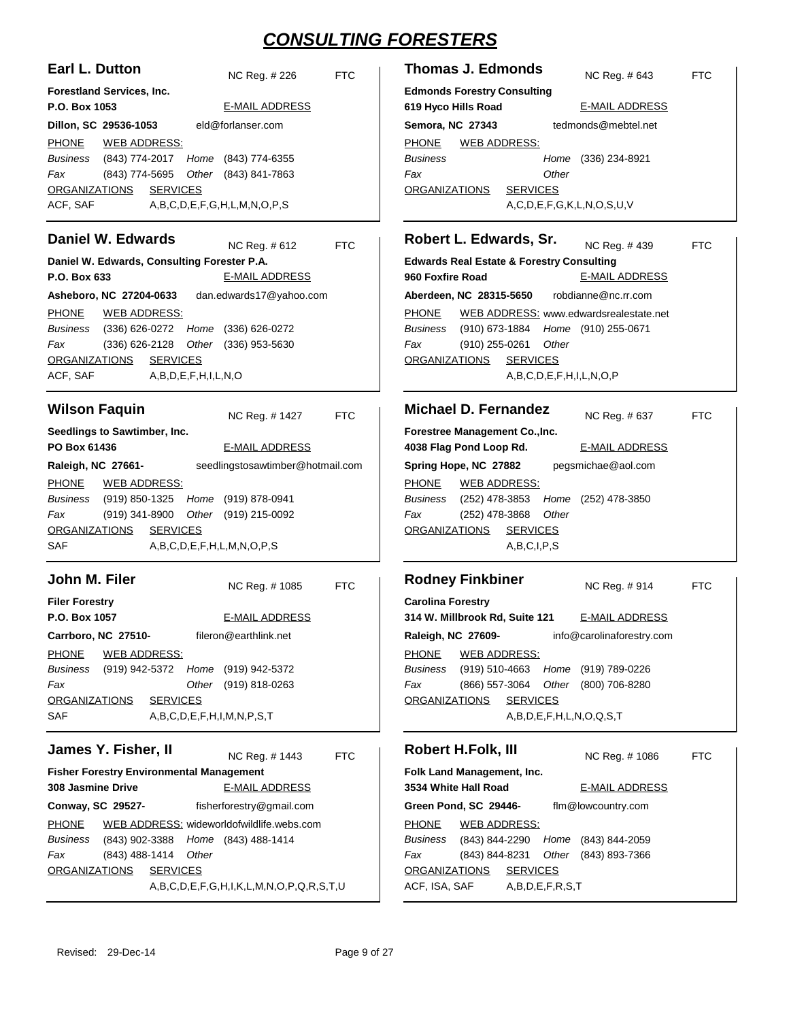| Earl L. Dutton                                                                                                                                                                                                                               | <b>Thomas J. Edmonds</b>                                                                                                                                                          |
|----------------------------------------------------------------------------------------------------------------------------------------------------------------------------------------------------------------------------------------------|-----------------------------------------------------------------------------------------------------------------------------------------------------------------------------------|
| <b>FTC</b>                                                                                                                                                                                                                                   | <b>FTC</b>                                                                                                                                                                        |
| NC Reg. # 226                                                                                                                                                                                                                                | NC Reg. # 643                                                                                                                                                                     |
| Forestland Services, Inc.                                                                                                                                                                                                                    | <b>Edmonds Forestry Consulting</b>                                                                                                                                                |
| P.O. Box 1053                                                                                                                                                                                                                                | 619 Hyco Hills Road                                                                                                                                                               |
| <b>E-MAIL ADDRESS</b>                                                                                                                                                                                                                        | <b>E-MAIL ADDRESS</b>                                                                                                                                                             |
| eld@forlanser.com                                                                                                                                                                                                                            | tedmonds@mebtel.net                                                                                                                                                               |
| Dillon, SC 29536-1053                                                                                                                                                                                                                        | Semora, NC 27343                                                                                                                                                                  |
| <b>PHONE</b><br><b>WEB ADDRESS:</b><br><b>Business</b><br>(843) 774-2017<br>Home<br>(843) 774-6355<br>(843) 774-5695<br>Fax<br>Other<br>(843) 841-7863<br><b>ORGANIZATIONS</b><br><b>SERVICES</b><br>ACF, SAF<br>A,B,C,D,E,F,G,H,L,M,N,O,P,S | <b>PHONE</b><br><b>WEB ADDRESS:</b><br><b>Business</b><br>Home (336) 234-8921<br>Other<br>Fax<br><b>SERVICES</b><br><b>ORGANIZATIONS</b><br>A, C, D, E, F, G, K, L, N, O, S, U, V |
| <b>Daniel W. Edwards</b>                                                                                                                                                                                                                     | Robert L. Edwards, Sr.                                                                                                                                                            |
| NC Reg. # 612                                                                                                                                                                                                                                | NC Reg. #439                                                                                                                                                                      |
| <b>FTC</b>                                                                                                                                                                                                                                   | <b>FTC</b>                                                                                                                                                                        |
| Daniel W. Edwards, Consulting Forester P.A.                                                                                                                                                                                                  | <b>Edwards Real Estate &amp; Forestry Consulting</b>                                                                                                                              |
| P.O. Box 633                                                                                                                                                                                                                                 | 960 Foxfire Road                                                                                                                                                                  |
| <b>E-MAIL ADDRESS</b>                                                                                                                                                                                                                        | <b>E-MAIL ADDRESS</b>                                                                                                                                                             |
| dan.edwards17@yahoo.com                                                                                                                                                                                                                      | Aberdeen, NC 28315-5650                                                                                                                                                           |
| Asheboro, NC 27204-0633                                                                                                                                                                                                                      | robdianne@nc.rr.com                                                                                                                                                               |
| <b>PHONE</b>                                                                                                                                                                                                                                 | <b>PHONE</b>                                                                                                                                                                      |
| <b>WEB ADDRESS:</b>                                                                                                                                                                                                                          | WEB ADDRESS: www.edwardsrealestate.net                                                                                                                                            |
| <b>Business</b><br>(336) 626-0272<br>Home<br>(336) 626-0272                                                                                                                                                                                  | <b>Business</b><br>(910) 673-1884<br>Home (910) 255-0671                                                                                                                          |
| Fax<br>(336) 626-2128<br>Other<br>(336) 953-5630                                                                                                                                                                                             | Fax<br>(910) 255-0261<br>Other                                                                                                                                                    |
| <b>ORGANIZATIONS</b>                                                                                                                                                                                                                         | <b>ORGANIZATIONS</b>                                                                                                                                                              |
| <b>SERVICES</b>                                                                                                                                                                                                                              | <b>SERVICES</b>                                                                                                                                                                   |
| ACF, SAF<br>A,B,D,E,F,H,I,L,N,O                                                                                                                                                                                                              | A,B,C,D,E,F,H,I,L,N,O,P                                                                                                                                                           |
| <b>Wilson Faquin</b>                                                                                                                                                                                                                         | <b>Michael D. Fernandez</b>                                                                                                                                                       |
| NC Reg. # 1427                                                                                                                                                                                                                               | NC Reg. # 637                                                                                                                                                                     |
| <b>FTC</b>                                                                                                                                                                                                                                   | <b>FTC</b>                                                                                                                                                                        |
| Seedlings to Sawtimber, Inc.                                                                                                                                                                                                                 | Forestree Management Co., Inc.                                                                                                                                                    |
| PO Box 61436                                                                                                                                                                                                                                 | 4038 Flag Pond Loop Rd.                                                                                                                                                           |
| <b>E-MAIL ADDRESS</b>                                                                                                                                                                                                                        | <b>E-MAIL ADDRESS</b>                                                                                                                                                             |
| seedlingstosawtimber@hotmail.com                                                                                                                                                                                                             | Spring Hope, NC 27882                                                                                                                                                             |
| Raleigh, NC 27661-                                                                                                                                                                                                                           | pegsmichae@aol.com                                                                                                                                                                |
| <b>PHONE</b>                                                                                                                                                                                                                                 | <b>PHONE</b>                                                                                                                                                                      |
| <b>WEB ADDRESS:</b>                                                                                                                                                                                                                          | <b>WEB ADDRESS:</b>                                                                                                                                                               |
| <b>Business</b><br>(919) 850-1325<br>(919) 878-0941<br>Home                                                                                                                                                                                  | <b>Business</b><br>(252) 478-3853<br>Home (252) 478-3850                                                                                                                          |
| Fax<br>(919) 341-8900<br>Other<br>(919) 215-0092                                                                                                                                                                                             | Fax<br>(252) 478-3868<br>Other                                                                                                                                                    |
| <b>ORGANIZATIONS</b>                                                                                                                                                                                                                         | <b>ORGANIZATIONS</b>                                                                                                                                                              |
| <b>SERVICES</b>                                                                                                                                                                                                                              | <b>SERVICES</b>                                                                                                                                                                   |
| <b>SAF</b><br>A,B,C,D,E,F,H,L,M,N,O,P,S                                                                                                                                                                                                      | A,B,C,I,P,S                                                                                                                                                                       |
|                                                                                                                                                                                                                                              |                                                                                                                                                                                   |
| John M. Filer                                                                                                                                                                                                                                | <b>Rodney Finkbiner</b>                                                                                                                                                           |
| NC Reg. # 1085                                                                                                                                                                                                                               | NC Reg. #914                                                                                                                                                                      |
| <b>FTC</b>                                                                                                                                                                                                                                   | <b>FTC</b>                                                                                                                                                                        |
| <b>Filer Forestry</b>                                                                                                                                                                                                                        | <b>Carolina Forestry</b>                                                                                                                                                          |
| <b>E-MAIL ADDRESS</b>                                                                                                                                                                                                                        | 314 W. Millbrook Rd, Suite 121                                                                                                                                                    |
| P.O. Box 1057                                                                                                                                                                                                                                | <b>E-MAIL ADDRESS</b>                                                                                                                                                             |
| fileron@earthlink.net                                                                                                                                                                                                                        | info@carolinaforestry.com                                                                                                                                                         |
| Carrboro, NC 27510-                                                                                                                                                                                                                          | Raleigh, NC 27609-                                                                                                                                                                |
| <b>PHONE</b>                                                                                                                                                                                                                                 | <b>PHONE</b>                                                                                                                                                                      |
| <b>WEB ADDRESS:</b>                                                                                                                                                                                                                          | <b>WEB ADDRESS:</b>                                                                                                                                                               |
| (919) 942-5372<br><b>Business</b><br>Home<br>(919) 942-5372                                                                                                                                                                                  | (919) 510-4663<br><b>Business</b><br>Home (919) 789-0226                                                                                                                          |
| Fax<br>Other<br>(919) 818-0263                                                                                                                                                                                                               | (866) 557-3064<br>Other<br>(800) 706-8280<br>Fax                                                                                                                                  |
| <b>ORGANIZATIONS</b>                                                                                                                                                                                                                         | <b>SERVICES</b>                                                                                                                                                                   |
| <b>SERVICES</b>                                                                                                                                                                                                                              | <b>ORGANIZATIONS</b>                                                                                                                                                              |
| SAF<br>A,B,C,D,E,F,H,I,M,N,P,S,T                                                                                                                                                                                                             | A,B,D,E,F,H,L,N,O,Q,S,T                                                                                                                                                           |
|                                                                                                                                                                                                                                              |                                                                                                                                                                                   |
| James Y. Fisher, II                                                                                                                                                                                                                          | Robert H.Folk, III                                                                                                                                                                |
| NC Reg. #1443                                                                                                                                                                                                                                | NC Reg. # 1086                                                                                                                                                                    |
| <b>FTC</b>                                                                                                                                                                                                                                   | <b>FTC</b>                                                                                                                                                                        |
| <b>Fisher Forestry Environmental Management</b>                                                                                                                                                                                              | Folk Land Management, Inc.                                                                                                                                                        |
| <b>E-MAIL ADDRESS</b>                                                                                                                                                                                                                        | 3534 White Hall Road                                                                                                                                                              |
| 308 Jasmine Drive                                                                                                                                                                                                                            | <b>E-MAIL ADDRESS</b>                                                                                                                                                             |
|                                                                                                                                                                                                                                              |                                                                                                                                                                                   |
| fisherforestry@gmail.com                                                                                                                                                                                                                     | Green Pond, SC 29446-                                                                                                                                                             |
| <b>Conway, SC 29527-</b>                                                                                                                                                                                                                     | flm@lowcountry.com                                                                                                                                                                |
| WEB ADDRESS: wideworldofwildlife.webs.com                                                                                                                                                                                                    | <b>PHONE</b>                                                                                                                                                                      |
| <b>PHONE</b>                                                                                                                                                                                                                                 | <b>WEB ADDRESS:</b>                                                                                                                                                               |
| Home (843) 488-1414<br><b>Business</b><br>(843) 902-3388                                                                                                                                                                                     | (843) 844-2290<br><b>Business</b><br>Home<br>(843) 844-2059                                                                                                                       |
| Fax<br>(843) 488-1414<br>Other<br><b>ORGANIZATIONS</b><br><b>SERVICES</b>                                                                                                                                                                    | (843) 844-8231<br>Fax<br>Other<br>(843) 893-7366<br><b>ORGANIZATIONS</b><br><b>SERVICES</b>                                                                                       |
| $A,B,C,D,E,F,G,H,I,K,L,M,N,O,P,Q,R,S,T,U$                                                                                                                                                                                                    | ACF, ISA, SAF<br>A,B,D,E,F,R,S,T                                                                                                                                                  |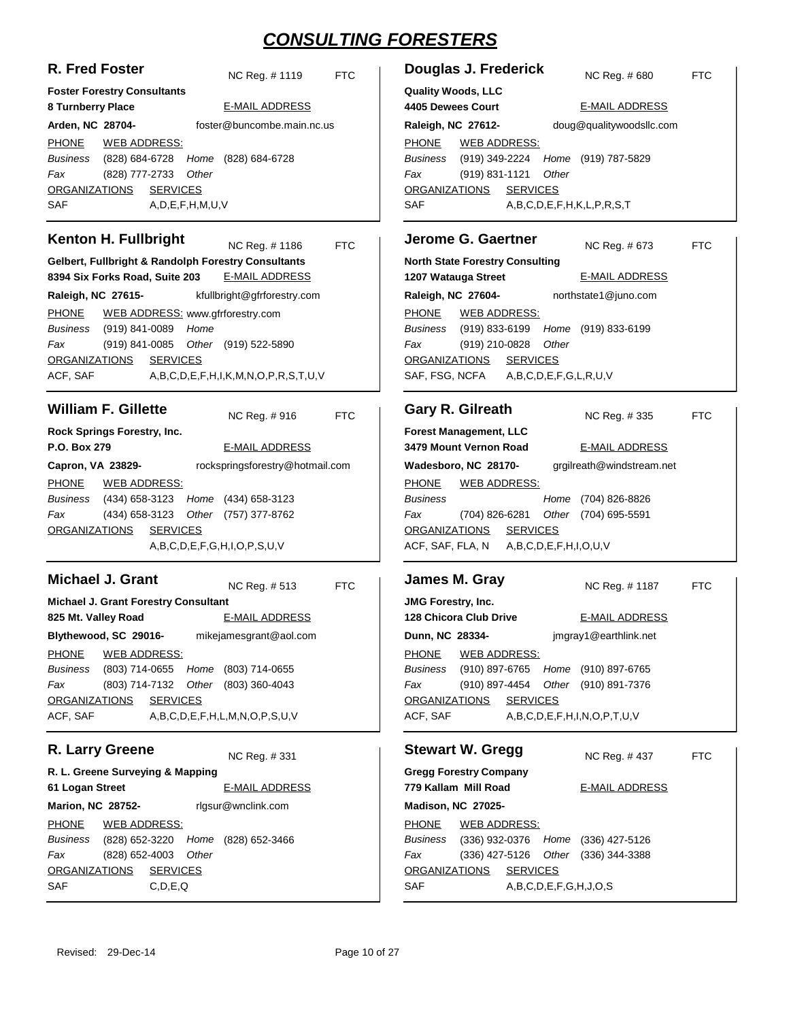| R. Fred Foster | NC Reg. #1119 | <b>FTC</b> |
|----------------|---------------|------------|
|                |               |            |

**8 Turnberry Place**

**Foster Forestry Consultants**

#### E-MAIL ADDRESS

| Arden, NC 28704-       |                      |                        | foster@buncombe.main.nc.us                  |
|------------------------|----------------------|------------------------|---------------------------------------------|
| PHONE WEB ADDRESS:     |                      |                        |                                             |
|                        |                      |                        | Business (828) 684-6728 Home (828) 684-6728 |
| Fax                    | (828) 777-2733 Other |                        |                                             |
| ORGANIZATIONS SERVICES |                      |                        |                                             |
| SAF                    |                      | A, D, E, F, H, M, U, V |                                             |

#### **Kenton H. Fullbright**

NC Reg. # FTC

**Gelbert, Fullbright & Randolph Forestry Consultants 8394 Six Forks Road, Suite 203** E-MAIL ADDRESS

**Raleigh, NC 27615** kfullbright@gfrforestry.com PHONE (919) 841-0089 *Home* (919) 841-0085 (919) 522-5890 *Other* ACF, SAF A,B,C,D,E,F,H,I,K,M,N,O,P,R,S,T,U,V *Business Fax* ORGANIZATIONS SERVICES WEB ADDRESS: www.gfrforestry.com

### **William F. Gillette**

NC Reg. # FTC

| Rock Springs Forestry, Inc. |              |  |                                             |
|-----------------------------|--------------|--|---------------------------------------------|
| P.O. Box 279                |              |  | E-MAIL ADDRESS                              |
| Capron, VA 23829-           |              |  | rockspringsforestry@hotmail.com             |
| PHONE                       | WEB ADDRESS: |  |                                             |
|                             |              |  | Business (434) 658-3123 Home (434) 658-3123 |
| Fax                         |              |  | (434) 658-3123 Other (757) 377-8762         |
| ORGANIZATIONS SERVICES      |              |  |                                             |
|                             |              |  | A.B.C.D.E.F.G.H.I.O.P.S.U.V                 |

#### **Michael J. Grant**

NC Reg. # FTC

**Michael J. Grant Forestry Consultant 825 Mt. Valley Road Blythewood, SC 29016-** E-MAIL ADDRESS mikejamesgrant@aol.com PHONE (803) 714-0655 (803) 714-0655 *Home* (803) 714-7132 (803) 360-4043 *Other* ACF, SAF A,B,C,D,E,F,H,L,M,N,O,P,S,U,V *Business Fax* ORGANIZATIONS SERVICES WEB ADDRESS:

## **R. Larry Greene**

NC Reg. #

**R. L. Greene Surveying & Mapping 61 Logan Street Marion, NC 28752-** E-MAIL ADDRESS rlgsur@wnclink.com PHONE (828) 652-3220 (828) 652-3466 *Home* (828) 652-4003 SAF C,D,E,Q *Business Fax Other* ORGANIZATIONS SERVICES WEB ADDRESS:

#### **Douglas J. Frederick**

**Quality Woods, LLC**

NC Reg. # FTC

**4405 Dewees Court Raleigh, NC 27612-** E-MAIL ADDRESS doug@qualitywoodsllc.com PHONE (919) 349-2224 (919) 787-5829 *Home* (919) 831-1121 SAF A,B,C,D,E,F,H,K,L,P,R,S,T *Business Fax Other* ORGANIZATIONS SERVICES WEB ADDRESS:

#### **Jerome G. Gaertner**

**North State Forestry Consulting** NC Reg. # FTC

**1207 Watauga Street Raleigh, NC 27604-** E-MAIL ADDRESS northstate1@juno.com PHONE (919) 833-6199 (919) 833-6199 *Home* (919) 210-0828 SAF, FSG, NCFA A,B,C,D,E,F,G,L,R,U,V *Business Fax Other* ORGANIZATIONS SERVICES WEB ADDRESS:

#### **Gary R. Gilreath**

NC Reg. # FTC

**Forest Management, LLC 3479 Mount Vernon Road Wadesboro, NC 28170-** E-MAIL ADDRESS grgilreath@windstream.net PHONE (704) 826-8826 *Home* (704) 826-6281 (704) 695-5591 *Other* ACF, SAF, FLA, N A,B,C,D,E,F,H,I,O,U,V *Business Fax* ORGANIZATIONS SERVICES WEB ADDRESS:

#### **James M. Gray JMG Forestry, Inc. 128 Chicora Club Drive Dunn, NC 28334-** NC Reg. # FTC E-MAIL ADDRESS jmgray1@earthlink.net PHONE (910) 897-6765 (910) 897-6765 *Home* (910) 897-4454 (910) 891-7376 *Other* ACF, SAF A,B,C,D,E,F,H,I,N,O,P,T,U,V *Business Fax* ORGANIZATIONS SERVICES WEB ADDRESS:

#### **Stewart W. Gregg**

NC Reg. # FTC

**Gregg Forestry Company 779 Kallam Mill Road Madison, NC 27025-** E-MAIL ADDRESS PHONE (336) 932-0376 Home (336) 427-5126 (336) 427-5126 Other (336) 344-3388 SAF A,B,C,D,E,F,G,H,J,O,S *Business Fax* ORGANIZATIONS SERVICES WEB ADDRESS: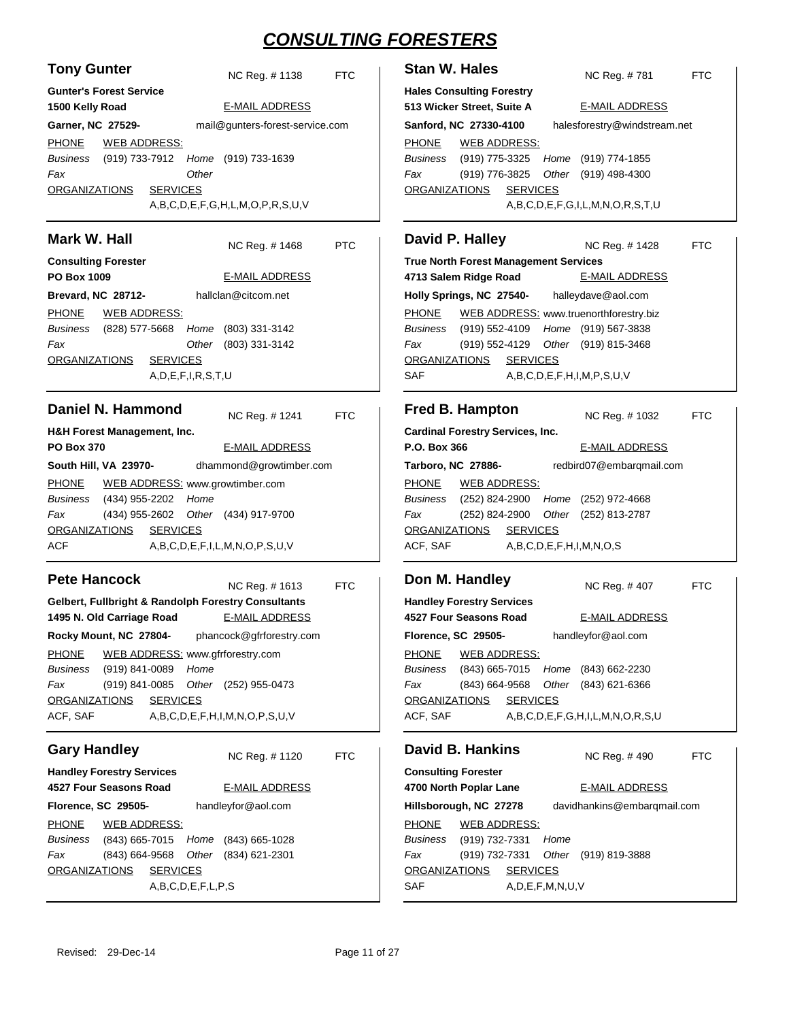**Stan W. Hales** 

| <b>Tony Gunter</b>                                                   | <b>FTC</b>                      |
|----------------------------------------------------------------------|---------------------------------|
| <b>Gunter's Forest Service</b>                                       | NC Reg. # 1138                  |
| 1500 Kelly Road                                                      | <b>E-MAIL ADDRESS</b>           |
| Garner, NC 27529-                                                    | mail@gunters-forest-service.com |
| PHONE WEB ADDRESS:                                                   |                                 |
| Business (919) 733-7912 Home (919) 733-1639<br>Other<br>Fax          |                                 |
| ORGANIZATIONS SERVICES                                               |                                 |
|                                                                      | A,B,C,D,E,F,G,H,L,M,O,P,R,S,U,V |
| Mark W. Hall                                                         | NC Reg. # 1468<br><b>PTC</b>    |
| <b>Consulting Forester</b>                                           |                                 |
| PO Box 1009                                                          | <b>E-MAIL ADDRESS</b>           |
| Brevard, NC 28712-                                                   | hallclan@citcom.net             |
| PHONE WEB ADDRESS:                                                   |                                 |
| Business (828) 577-5668 Home (803) 331-3142                          |                                 |
| Fax                                                                  | Other (803) 331-3142            |
| <u>ORGANIZATIONS</u><br><b>SERVICES</b>                              |                                 |
| A, D, E, F, I, R, S, T, U                                            |                                 |
| Daniel N. Hammond                                                    |                                 |
|                                                                      | NC Reg. # 1241<br><b>FTC</b>    |
| H&H Forest Management, Inc.<br><b>PO Box 370</b>                     | <b>E-MAIL ADDRESS</b>           |
| South Hill, VA  23970-                                               | dhammond@growtimber.com         |
| PHONE WEB ADDRESS: www.growtimber.com                                |                                 |
| Business (434) 955-2202 Home                                         |                                 |
| (434) 955-2602 Other (434) 917-9700<br>Fax                           |                                 |
| ORGANIZATIONS SERVICES                                               |                                 |
| ACF                                                                  | A,B,C,D,E,F,I,L,M,N,O,P,S,U,V   |
| <b>Pete Hancock</b>                                                  |                                 |
|                                                                      | NC Reg. # 1613<br>FTC           |
| Gelbert, Fullbright & Randolph Forestry Consultants                  |                                 |
| 1495 N. Old Carriage Road                                            | <b>E-MAIL ADDRESS</b>           |
| Rocky Mount, NC 27804-                                               | phancock@gfrforestry.com        |
| <b>PHONE</b><br>WEB ADDRESS: www.gfrforestry.com                     |                                 |
| Business<br>(919) 841-0089<br>Home<br>Fax<br>(919) 841-0085<br>Other | (252) 955-0473                  |
| <u>ORGANIZATIONS</u><br><b>SERVICES</b>                              |                                 |
| ACF, SAF                                                             | A,B,C,D,E,F,H,I,M,N,O,P,S,U,V   |
|                                                                      |                                 |
| <b>Gary Handley</b>                                                  | NC Reg. #1120<br>FTC            |
| <b>Handley Forestry Services</b><br>4527 Four Seasons Road           | <b>E-MAIL ADDRESS</b>           |
| Florence, SC 29505-                                                  | handleyfor@aol.com              |
| <b>PHONE</b><br><b>WEB ADDRESS:</b>                                  |                                 |
| Business<br>(843) 665-7015 Home (843) 665-1028                       |                                 |
| Fax<br>(843) 664-9568<br>Other                                       | $(834)$ 621-2301                |
| <u>ORGANIZATIONS</u><br><b>SERVICES</b>                              |                                 |
| A,B,C,D,E,F,L,P,S                                                    |                                 |

|                                                                                                                                        | 513 Wicker Street, Suite A |                 |                        | <b>E-MAIL ADDRESS</b>                        |            |
|----------------------------------------------------------------------------------------------------------------------------------------|----------------------------|-----------------|------------------------|----------------------------------------------|------------|
| Sanford, NC 27330-4100                                                                                                                 |                            |                 |                        | halesforestry@windstream.net                 |            |
|                                                                                                                                        |                            |                 |                        |                                              |            |
| PHONE WEB ADDRESS:                                                                                                                     |                            |                 |                        | Business (919) 775-3325 Home (919) 774-1855  |            |
| Fax                                                                                                                                    | (919) 776-3825             |                 |                        | Other (919) 498-4300                         |            |
| ORGANIZATIONS SERVICES                                                                                                                 |                            |                 |                        |                                              |            |
|                                                                                                                                        |                            |                 |                        | A,B,C,D,E,F,G,I,L,M,N,O,R,S,T,U              |            |
|                                                                                                                                        |                            |                 |                        |                                              |            |
| David P. Halley                                                                                                                        |                            |                 |                        | NC Reg. #1428                                | <b>FTC</b> |
| <b>True North Forest Management Services</b>                                                                                           |                            |                 |                        |                                              |            |
| 4713 Salem Ridge Road                                                                                                                  |                            |                 |                        | <b>E-MAIL ADDRESS</b>                        |            |
|                                                                                                                                        |                            |                 |                        | Holly Springs, NC 27540- halleydave@aol.com  |            |
|                                                                                                                                        |                            |                 |                        | PHONE WEB ADDRESS: www.truenorthforestry.biz |            |
|                                                                                                                                        |                            |                 |                        | Business (919) 552-4109 Home (919) 567-3838  |            |
| Fax                                                                                                                                    |                            |                 |                        | (919) 552-4129 Other (919) 815-3468          |            |
| ORGANIZATIONS SERVICES                                                                                                                 |                            |                 |                        |                                              |            |
| <b>SAF</b>                                                                                                                             |                            |                 |                        | A,B,C,D,E,F,H,I,M,P,S,U,V                    |            |
| Fred B. Hampton                                                                                                                        |                            |                 |                        |                                              |            |
|                                                                                                                                        |                            |                 |                        | NC Reg. # 1032                               | FTC        |
| <b>Cardinal Forestry Services, Inc.</b><br>P.O. Box 366                                                                                |                            |                 |                        |                                              |            |
|                                                                                                                                        |                            |                 |                        | <u>E-MAIL ADDRESS</u>                        |            |
| <b>Tarboro, NC 27886-</b>                                                                                                              |                            |                 |                        | redbird07@embarqmail.com                     |            |
| <u>PHONE WEB ADDRESS:</u>                                                                                                              |                            |                 |                        |                                              |            |
|                                                                                                                                        |                            |                 |                        | Business (252) 824-2900 Home (252) 972-4668  |            |
|                                                                                                                                        |                            |                 |                        |                                              |            |
| Fax                                                                                                                                    |                            |                 |                        | (252) 824-2900 Other (252) 813-2787          |            |
| ORGANIZATIONS SERVICES                                                                                                                 |                            |                 |                        |                                              |            |
| ACF, SAF                                                                                                                               |                            |                 |                        | A,B,C,D,E,F,H,I,M,N,O,S                      |            |
|                                                                                                                                        |                            |                 |                        |                                              |            |
|                                                                                                                                        |                            |                 |                        | NC Reg. #407                                 |            |
|                                                                                                                                        |                            |                 |                        | <b>E-MAIL ADDRESS</b>                        |            |
|                                                                                                                                        |                            |                 |                        |                                              |            |
| Don M. Handley<br><b>Handley Forestry Services</b><br>4527 Four Seasons Road<br><b>Florence, SC 29505-</b>                             |                            |                 |                        | handleyfor@aol.com                           |            |
| <u>PHONE WEB ADDRESS:</u>                                                                                                              |                            |                 |                        |                                              |            |
| Business                                                                                                                               | (843) 665-7015             |                 | Home                   | (843) 662-2230                               |            |
| Fax                                                                                                                                    | (843) 664-9568             |                 | Other                  | (843) 621-6366                               |            |
|                                                                                                                                        |                            | <b>SERVICES</b> |                        | A,B,C,D,E,F,G,H,I,L,M,N,O,R,S,U              |            |
|                                                                                                                                        |                            |                 |                        |                                              | FTC        |
|                                                                                                                                        |                            |                 |                        | NC Reg. #490                                 | FTC        |
|                                                                                                                                        |                            |                 |                        | <b>E-MAIL ADDRESS</b>                        |            |
|                                                                                                                                        |                            |                 |                        | davidhankins@embarqmail.com                  |            |
| <b>ORGANIZATIONS</b><br>ACF, SAF<br>David B. Hankins<br><b>Consulting Forester</b><br>4700 North Poplar Lane<br>Hillsborough, NC 27278 | <b>WEB ADDRESS:</b>        |                 |                        |                                              |            |
| Business                                                                                                                               | (919) 732-7331             |                 | Home                   |                                              |            |
| Fax                                                                                                                                    | (919) 732-7331             |                 | Other                  | (919) 819-3888                               |            |
|                                                                                                                                        |                            | <b>SERVICES</b> |                        |                                              |            |
| <b>PHONE</b><br>ORGANIZATIONS<br>SAF                                                                                                   |                            |                 | A, D, E, F, M, N, U, V |                                              |            |

NC Reg. # FTC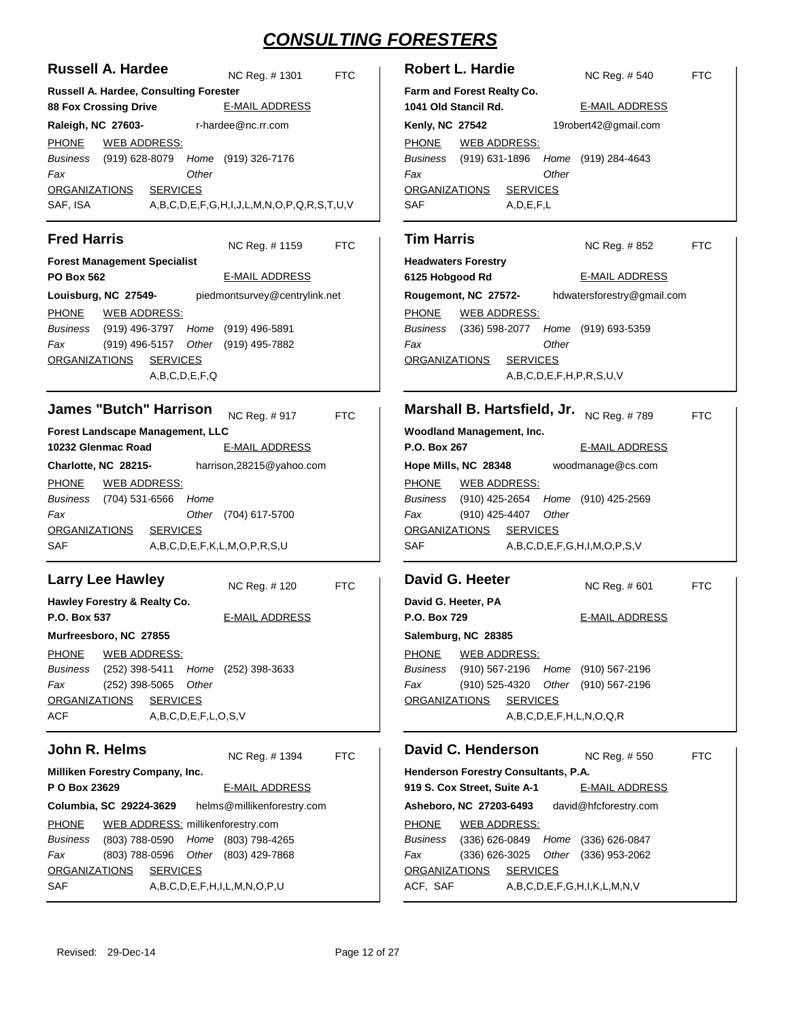| <b>Russell A. Hardee</b>                                                                                                                                                                                                                                                                                                                                                                                                           | <b>Robert L. Hardie</b>                                                                                                                                                                                                                                                                                                                                                                                                            |
|------------------------------------------------------------------------------------------------------------------------------------------------------------------------------------------------------------------------------------------------------------------------------------------------------------------------------------------------------------------------------------------------------------------------------------|------------------------------------------------------------------------------------------------------------------------------------------------------------------------------------------------------------------------------------------------------------------------------------------------------------------------------------------------------------------------------------------------------------------------------------|
| NC Reg. # 1301                                                                                                                                                                                                                                                                                                                                                                                                                     | NC Reg. # 540                                                                                                                                                                                                                                                                                                                                                                                                                      |
| <b>FTC</b>                                                                                                                                                                                                                                                                                                                                                                                                                         | <b>FTC</b>                                                                                                                                                                                                                                                                                                                                                                                                                         |
| Russell A. Hardee, Consulting Forester                                                                                                                                                                                                                                                                                                                                                                                             | Farm and Forest Realty Co.                                                                                                                                                                                                                                                                                                                                                                                                         |
| <b>E-MAIL ADDRESS</b>                                                                                                                                                                                                                                                                                                                                                                                                              | 1041 Old Stancil Rd.                                                                                                                                                                                                                                                                                                                                                                                                               |
| <b>88 Fox Crossing Drive</b>                                                                                                                                                                                                                                                                                                                                                                                                       | <b>E-MAIL ADDRESS</b>                                                                                                                                                                                                                                                                                                                                                                                                              |
| r-hardee@nc.rr.com<br>Raleigh, NC 27603-<br><b>PHONE</b><br><b>WEB ADDRESS:</b><br>(919) 628-8079 Home (919) 326-7176<br>Business<br>Fax<br>Other<br><b>SERVICES</b><br><b>ORGANIZATIONS</b><br>SAF, ISA<br>A,B,C,D,E,F,G,H,I,J,L,M,N,O,P,Q,R,S,T,U,V                                                                                                                                                                              | 19robert42@gmail.com<br><b>Kenly, NC 27542</b><br><b>PHONE</b><br><b>WEB ADDRESS:</b><br>Business<br>(919) 631-1896<br>(919) 284-4643<br>Home<br>Other<br>Fax<br><b>SERVICES</b><br><b>ORGANIZATIONS</b><br><b>SAF</b><br>A, D, E, F, L                                                                                                                                                                                            |
| <b>Fred Harris</b>                                                                                                                                                                                                                                                                                                                                                                                                                 | <b>Tim Harris</b>                                                                                                                                                                                                                                                                                                                                                                                                                  |
| NC Reg. #1159                                                                                                                                                                                                                                                                                                                                                                                                                      | NC Reg. #852                                                                                                                                                                                                                                                                                                                                                                                                                       |
| <b>FTC</b>                                                                                                                                                                                                                                                                                                                                                                                                                         | <b>FTC</b>                                                                                                                                                                                                                                                                                                                                                                                                                         |
| <b>Forest Management Specialist</b>                                                                                                                                                                                                                                                                                                                                                                                                | <b>Headwaters Forestry</b>                                                                                                                                                                                                                                                                                                                                                                                                         |
| <b>E-MAIL ADDRESS</b>                                                                                                                                                                                                                                                                                                                                                                                                              | <b>E-MAIL ADDRESS</b>                                                                                                                                                                                                                                                                                                                                                                                                              |
| <b>PO Box 562</b>                                                                                                                                                                                                                                                                                                                                                                                                                  | 6125 Hobgood Rd                                                                                                                                                                                                                                                                                                                                                                                                                    |
| Louisburg, NC 27549-                                                                                                                                                                                                                                                                                                                                                                                                               | Rougemont, NC 27572-                                                                                                                                                                                                                                                                                                                                                                                                               |
| piedmontsurvey@centrylink.net                                                                                                                                                                                                                                                                                                                                                                                                      | hdwatersforestry@gmail.com                                                                                                                                                                                                                                                                                                                                                                                                         |
| <b>PHONE</b>                                                                                                                                                                                                                                                                                                                                                                                                                       | <b>PHONE</b>                                                                                                                                                                                                                                                                                                                                                                                                                       |
| <b>WEB ADDRESS:</b>                                                                                                                                                                                                                                                                                                                                                                                                                | <b>WEB ADDRESS:</b>                                                                                                                                                                                                                                                                                                                                                                                                                |
| <b>Business</b>                                                                                                                                                                                                                                                                                                                                                                                                                    | Business                                                                                                                                                                                                                                                                                                                                                                                                                           |
| (919) 496-3797 Home                                                                                                                                                                                                                                                                                                                                                                                                                | (336) 598-2077                                                                                                                                                                                                                                                                                                                                                                                                                     |
| (919) 496-5891                                                                                                                                                                                                                                                                                                                                                                                                                     | Home                                                                                                                                                                                                                                                                                                                                                                                                                               |
| Fax                                                                                                                                                                                                                                                                                                                                                                                                                                | (919) 693-5359                                                                                                                                                                                                                                                                                                                                                                                                                     |
| (919) 496-5157                                                                                                                                                                                                                                                                                                                                                                                                                     | Other                                                                                                                                                                                                                                                                                                                                                                                                                              |
| Other (919) 495-7882                                                                                                                                                                                                                                                                                                                                                                                                               | Fax                                                                                                                                                                                                                                                                                                                                                                                                                                |
| <b>SERVICES</b>                                                                                                                                                                                                                                                                                                                                                                                                                    | <b>SERVICES</b>                                                                                                                                                                                                                                                                                                                                                                                                                    |
| <b>ORGANIZATIONS</b>                                                                                                                                                                                                                                                                                                                                                                                                               | <b>ORGANIZATIONS</b>                                                                                                                                                                                                                                                                                                                                                                                                               |
| A,B,C,D,E,F,Q                                                                                                                                                                                                                                                                                                                                                                                                                      | A,B,C,D,E,F,H,P,R,S,U,V                                                                                                                                                                                                                                                                                                                                                                                                            |
| <b>James "Butch" Harrison</b><br>NC Reg. #917<br><b>FTC</b><br>Forest Landscape Management, LLC<br>10232 Glenmac Road<br><b>E-MAIL ADDRESS</b><br>Charlotte, NC 28215-<br>harrison, 28215@yahoo.com<br><b>PHONE</b><br><u>WEB ADDRESS:</u><br>(704) 531-6566<br>Business<br>Home<br>Fax<br>Other (704) 617-5700<br><b>SERVICES</b><br><b>ORGANIZATIONS</b><br>SAF<br>A,B,C,D,E,F,K,L,M,O,P,R,S,U                                   | Marshall B. Hartsfield, Jr.<br>NC Reg. #789<br><b>FTC</b><br>Woodland Management, Inc.<br>P.O. Box 267<br><b>E-MAIL ADDRESS</b><br>woodmanage@cs.com<br>Hope Mills, NC 28348<br><b>PHONE</b><br><b>WEB ADDRESS:</b><br>(910) 425-2654<br>Business<br>Home<br>(910) 425-2569<br>(910) 425-4407<br>Other<br>Fax<br><b>ORGANIZATIONS</b><br><b>SERVICES</b><br>SAF<br>A,B,C,D,E,F,G,H,I,M,O,P,S,V                                     |
| <b>Larry Lee Hawley</b><br>NC Reg. #120<br><b>FTC</b><br>Hawley Forestry & Realty Co.<br><b>E-MAIL ADDRESS</b><br>P.O. Box 537<br>Murfreesboro, NC 27855<br><b>PHONE</b><br><b>WEB ADDRESS:</b><br>Business<br>(252) 398-5411 Home (252) 398-3633<br>Fax<br>$(252)$ 398-5065<br>Other<br><b>SERVICES</b><br><b>ORGANIZATIONS</b><br><b>ACF</b><br>A,B,C,D,E,F,L,O,S,V                                                              | David G. Heeter<br><b>FTC</b><br>NC Reg. # 601<br>David G. Heeter, PA<br><b>E-MAIL ADDRESS</b><br>P.O. Box 729<br>Salemburg, NC 28385<br><b>PHONE</b><br><b>WEB ADDRESS:</b><br>(910) 567-2196 Home (910) 567-2196<br>Business<br>(910) 525-4320 Other (910) 567-2196<br>Fax<br><b>SERVICES</b><br><b>ORGANIZATIONS</b><br>A,B,C,D,E,F,H,L,N,O,Q,R                                                                                 |
| John R. Helms<br>NC Reg. #1394<br><b>FTC</b><br><b>Milliken Forestry Company, Inc.</b><br>P O Box 23629<br><b>E-MAIL ADDRESS</b><br>Columbia, SC 29224-3629<br>helms@millikenforestry.com<br>WEB ADDRESS: millikenforestry.com<br><b>PHONE</b><br>(803) 788-0590 Home (803) 798-4265<br>Business<br>(803) 788-0596<br>Other (803) 429-7868<br>Fax<br><b>SERVICES</b><br>ORGANIZATIONS<br><b>SAF</b><br>A,B,C,D,E,F,H,I,L,M,N,O,P,U | David C. Henderson<br>NC Reg. #550<br><b>FTC</b><br>Henderson Forestry Consultants, P.A.<br>919 S. Cox Street, Suite A-1<br><b>E-MAIL ADDRESS</b><br>Asheboro, NC 27203-6493<br>david@hfcforestry.com<br><b>PHONE</b><br><b>WEB ADDRESS:</b><br>(336) 626-0849 Home (336) 626-0847<br>Business<br>(336) 626-3025 Other (336) 953-2062<br>Fax<br><b>SERVICES</b><br><b>ORGANIZATIONS</b><br>ACF, SAF<br>A,B,C,D,E,F,G,H,I,K,L,M,N,V |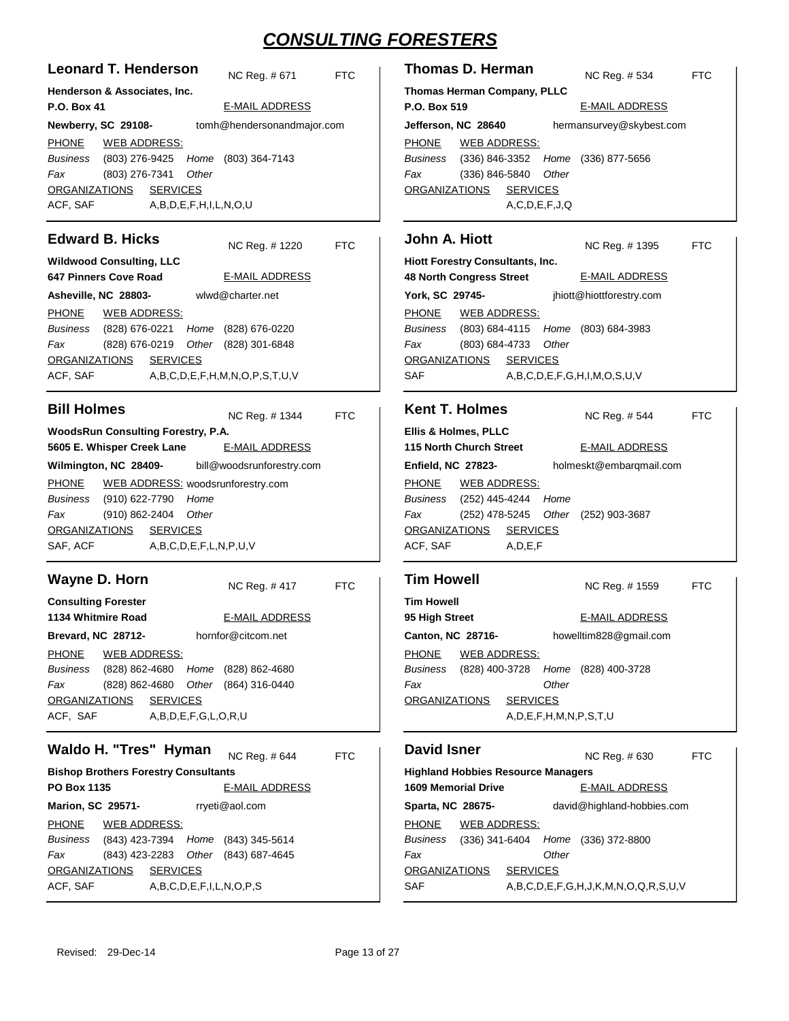| <b>Leonard T. Henderson</b>                                                                                                                                         | NC Reg. #671 FTC      |            | <b>Thomas</b>                                            |
|---------------------------------------------------------------------------------------------------------------------------------------------------------------------|-----------------------|------------|----------------------------------------------------------|
| Henderson & Associates, Inc.                                                                                                                                        |                       |            | <b>Thomas H</b>                                          |
| <b>P.O. Box 41</b>                                                                                                                                                  | <b>E-MAIL ADDRESS</b> |            | <b>P.O. Box!</b>                                         |
| Newberry, SC 29108- tomh@hendersonandmajor.com                                                                                                                      |                       |            | Jefferson.                                               |
| PHONE WEB ADDRESS:<br>Business (803) 276-9425 Home (803) 364-7143<br>Fax (803) 276-7341 Other<br>ORGANIZATIONS SERVICES<br>ACF, SAF A, B, D, E, F, H, I, L, N, O, U |                       |            | <b>PHONE</b><br><b>Business</b><br>Fax<br><b>ORGANIZ</b> |
| <b>Edward B. Hicks</b>                                                                                                                                              | NC Reg. #1220 FTC     |            | John A                                                   |
| <b>Wildwood Consulting, LLC</b>                                                                                                                                     |                       |            | <b>Hiott Fore</b>                                        |
| 647 Pinners Cove Road                                                                                                                                               | E-MAIL ADDRESS        |            | 48 North O                                               |
| Asheville, NC 28803-<br>wlwd@charter.net                                                                                                                            |                       |            | York, SC                                                 |
| PHONE WEB ADDRESS:                                                                                                                                                  |                       |            | <b>PHONE</b>                                             |
| Business (828) 676-0221 Home (828) 676-0220                                                                                                                         |                       |            | <b>Business</b>                                          |
| Fax<br>(828) 676-0219 Other (828) 301-6848                                                                                                                          |                       |            | Fax                                                      |
| ORGANIZATIONS SERVICES                                                                                                                                              |                       |            | ORGANIZ/                                                 |
| ACF, SAF A,B,C,D,E,F,H,M,N,O,P,S,T,U,V                                                                                                                              |                       |            | <b>SAF</b>                                               |
| <b>Bill Holmes</b>                                                                                                                                                  | NC Reg. #1344 FTC     |            | Kent T.                                                  |
| <b>WoodsRun Consulting Forestry, P.A.</b>                                                                                                                           |                       |            | Ellis & Ho                                               |
| 5605 E. Whisper Creek Lane E-MAIL ADDRESS                                                                                                                           |                       |            | 115 North                                                |
| Wilmington, NC 28409- bill@woodsrunforestry.com                                                                                                                     |                       |            | Enfield, N                                               |
| PHONE WEB ADDRESS: woodsrunforestry.com                                                                                                                             |                       |            | <b>PHONE</b>                                             |
| Business (910) 622-7790 Home                                                                                                                                        |                       |            | <b>Business</b>                                          |
| Fax<br>(910) 862-2404 Other                                                                                                                                         |                       |            | Fax                                                      |
| ORGANIZATIONS SERVICES                                                                                                                                              |                       |            | <b>ORGANIZ</b>                                           |
| SAF, ACF A,B,C,D,E,F,L,N,P,U,V                                                                                                                                      |                       |            | ACF, SAF                                                 |
| Wayne D. Horn                                                                                                                                                       |                       |            | Tim Ho                                                   |
|                                                                                                                                                                     | NC Reg. #417          | <b>FTC</b> |                                                          |
| <b>Consulting Forester</b>                                                                                                                                          |                       |            | <b>Tim Howe</b>                                          |
| 1134 Whitmire Road                                                                                                                                                  | <b>E-MAIL ADDRESS</b> |            | 95 High St                                               |
| <b>Brevard, NC 28712-</b>                                                                                                                                           | hornfor@citcom.net    |            | Canton, N                                                |
| <b>PHONE</b><br><b>WEB ADDRESS:</b><br>(828) 862-4680 Home (828) 862-4680<br><b>Business</b>                                                                        |                       |            | <b>PHONE</b>                                             |
| Fax<br>(828) 862-4680<br>Other                                                                                                                                      | (864) 316-0440        |            | Business<br>Fax                                          |
| <b>SERVICES</b><br><b>ORGANIZATIONS</b>                                                                                                                             |                       |            | <b>ORGANIZ</b>                                           |
| ACF, SAF<br>A,B,D,E,F,G,L,O,R,U                                                                                                                                     |                       |            |                                                          |
|                                                                                                                                                                     |                       |            |                                                          |
| Waldo H. "Tres" Hyman                                                                                                                                               | NC Reg. #644          | <b>FTC</b> | David Is                                                 |
| <b>Bishop Brothers Forestry Consultants</b><br>PO Box 1135                                                                                                          | <b>E-MAIL ADDRESS</b> |            | <b>Highland I</b><br>1609 Mem                            |
|                                                                                                                                                                     |                       |            |                                                          |
| <b>Marion, SC 29571-</b>                                                                                                                                            | rryeti@aol.com        |            | Sparta, NO                                               |
| <b>PHONE</b><br><b>WEB ADDRESS:</b><br>Business<br>(843) 423-7394 Home (843) 345-5614                                                                               |                       |            | <b>PHONE</b><br>Business                                 |
| Fax<br>Other<br>(843) 423-2283                                                                                                                                      | (843) 687-4645        |            | Fax                                                      |
| <b>ORGANIZATIONS</b><br><b>SERVICES</b>                                                                                                                             |                       |            | <b>ORGANIZ</b>                                           |
| ACF, SAF<br>A,B,C,D,E,F,I,L,N,O,P,S                                                                                                                                 |                       |            | SAF                                                      |

|                                        | <b>Thomas D. Herman</b>                     |                          | NC Reg. # 534            | FTC |  |  |  |
|----------------------------------------|---------------------------------------------|--------------------------|--------------------------|-----|--|--|--|
|                                        | <b>Thomas Herman Company, PLLC</b>          |                          |                          |     |  |  |  |
| P.O. Box 519                           |                                             |                          | <b>E-MAIL ADDRESS</b>    |     |  |  |  |
|                                        | Jefferson, NC 28640                         |                          | hermansurvey@skybest.com |     |  |  |  |
| PHONE                                  | <b>WEB ADDRESS:</b>                         |                          |                          |     |  |  |  |
|                                        | Business (336) 846-3352 Home (336) 877-5656 |                          |                          |     |  |  |  |
| Fax                                    | (336) 846-5840                              | Other                    |                          |     |  |  |  |
| ORGANIZATIONS                          | <b>SERVICES</b>                             |                          |                          |     |  |  |  |
| A.C.D.E.F.J.Q                          |                                             |                          |                          |     |  |  |  |
| John A. Hiott<br>NC Reg. # 1395<br>FTC |                                             |                          |                          |     |  |  |  |
|                                        | <b>Hiott Forestry Consultants, Inc.</b>     |                          |                          |     |  |  |  |
|                                        | 48 North Congress Street                    | <b>E-MAIL ADDRESS</b>    |                          |     |  |  |  |
| York, SC 29745-                        |                                             | jhiott@hiottforestry.com |                          |     |  |  |  |

(803) 684-4115 (803) 684-3983 *Home* (803) 684-4733 *Other*  $A,B,C,D,E,F,G,H,I,M,O,S,U,V$ ATIONS SERVICES WEB ADDRESS:

| <b>Kent T. Holmes</b>        |                                     |            |  | NC Reg. # 544           | FTC. |
|------------------------------|-------------------------------------|------------|--|-------------------------|------|
| Ellis & Holmes, PLLC         |                                     |            |  |                         |      |
| 115 North Church Street      |                                     |            |  | E-MAIL ADDRESS          |      |
| <b>Enfield, NC 27823-</b>    |                                     |            |  | holmeskt@embargmail.com |      |
| PHONE                        | <b>WEB ADDRESS:</b>                 |            |  |                         |      |
| Business (252) 445-4244 Home |                                     |            |  |                         |      |
| Fax                          | (252) 478-5245 Other (252) 903-3687 |            |  |                         |      |
| ORGANIZATIONS SERVICES       |                                     |            |  |                         |      |
| ACF, SAF                     |                                     | A, D, E, F |  |                         |      |
|                              |                                     |            |  |                         |      |

| <b>Tim Howell</b>        |                                                             |       | NC Reg. # 1559                  |                                                                                  |  |
|--------------------------|-------------------------------------------------------------|-------|---------------------------------|----------------------------------------------------------------------------------|--|
|                          |                                                             |       |                                 |                                                                                  |  |
|                          |                                                             |       | <b>E-MAIL ADDRESS</b>           |                                                                                  |  |
| <b>Canton, NC 28716-</b> |                                                             |       |                                 |                                                                                  |  |
|                          |                                                             |       |                                 |                                                                                  |  |
|                          |                                                             |       | (828) 400-3728                  |                                                                                  |  |
|                          |                                                             | Other |                                 |                                                                                  |  |
|                          |                                                             |       |                                 |                                                                                  |  |
|                          |                                                             |       |                                 |                                                                                  |  |
|                          | <b>Tim Howell</b><br>95 High Street<br><b>ORGANIZATIONS</b> |       | WEB ADDRESS:<br><b>SERVICES</b> | howelltim828@gmail.com<br>(828) 400-3728 Home<br>A, D, E, F, H, M, N, P, S, T, U |  |

| <b>David Isner</b>                        |                     |                 |       | NC Reg. # 630                                          | FTC |
|-------------------------------------------|---------------------|-----------------|-------|--------------------------------------------------------|-----|
| <b>Highland Hobbies Resource Managers</b> |                     |                 |       |                                                        |     |
| <b>1609 Memorial Drive</b>                |                     |                 |       | <b>E-MAIL ADDRESS</b>                                  |     |
| Sparta, NC 28675-                         |                     |                 |       | david@highland-hobbies.com                             |     |
| PHONE                                     | <b>WEB ADDRESS:</b> |                 |       |                                                        |     |
| Business                                  |                     |                 |       | (336) 341-6404 Home (336) 372-8800                     |     |
| Fax                                       |                     |                 | Other |                                                        |     |
| ORGANIZATIONS                             |                     | <b>SERVICES</b> |       |                                                        |     |
| <b>SAF</b>                                |                     |                 |       | $A, B, C, D, E, F, G, H, J, K, M, N, O, Q, R, S, U, V$ |     |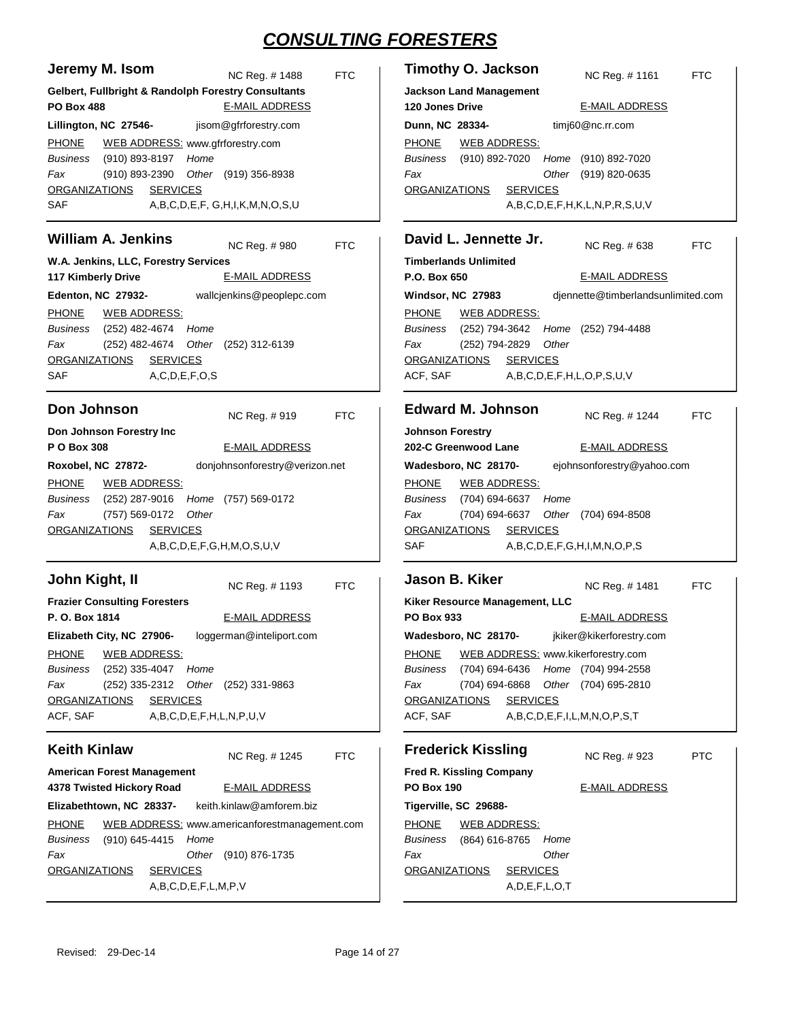| Jeremy M. Isom                                                                                                                                                                                                              | <b>Timothy O. Jackson</b>                                                                                                                                                                                                      |
|-----------------------------------------------------------------------------------------------------------------------------------------------------------------------------------------------------------------------------|--------------------------------------------------------------------------------------------------------------------------------------------------------------------------------------------------------------------------------|
| NC Reg. # 1488                                                                                                                                                                                                              | NC Reg. # 1161                                                                                                                                                                                                                 |
| <b>FTC</b>                                                                                                                                                                                                                  | <b>FTC</b>                                                                                                                                                                                                                     |
| Gelbert, Fullbright & Randolph Forestry Consultants                                                                                                                                                                         | <b>Jackson Land Management</b>                                                                                                                                                                                                 |
| <b>E-MAIL ADDRESS</b>                                                                                                                                                                                                       | <b>E-MAIL ADDRESS</b>                                                                                                                                                                                                          |
| <b>PO Box 488</b>                                                                                                                                                                                                           | 120 Jones Drive                                                                                                                                                                                                                |
| jisom@gfrforestry.com                                                                                                                                                                                                       | timj60@nc.rr.com                                                                                                                                                                                                               |
| Lillington, NC 27546-                                                                                                                                                                                                       | Dunn, NC 28334-                                                                                                                                                                                                                |
| <b>PHONE</b><br>WEB ADDRESS: www.gfrforestry.com<br>Business<br>(910) 893-8197<br>Home<br>(910) 893-2390<br>Other (919) 356-8938<br>Fax<br><b>ORGANIZATIONS</b><br><b>SERVICES</b><br>SAF<br>A,B,C,D,E,F, G,H,I,K,M,N,O,S,U | <b>PHONE</b><br><b>WEB ADDRESS:</b><br>(910) 892-7020<br>Home (910) 892-7020<br>Business<br>Fax<br>Other (919) 820-0635<br><b>ORGANIZATIONS</b><br><b>SERVICES</b><br>A,B,C,D,E,F,H,K,L,N,P,R,S,U,V                            |
| <b>William A. Jenkins</b>                                                                                                                                                                                                   | David L. Jennette Jr.                                                                                                                                                                                                          |
| NC Reg. #980                                                                                                                                                                                                                | NC Reg. # 638                                                                                                                                                                                                                  |
| <b>FTC</b>                                                                                                                                                                                                                  | <b>FTC</b>                                                                                                                                                                                                                     |
| W.A. Jenkins, LLC, Forestry Services                                                                                                                                                                                        | <b>Timberlands Unlimited</b>                                                                                                                                                                                                   |
| <b>E-MAIL ADDRESS</b>                                                                                                                                                                                                       | <b>E-MAIL ADDRESS</b>                                                                                                                                                                                                          |
| 117 Kimberly Drive                                                                                                                                                                                                          | P.O. Box 650                                                                                                                                                                                                                   |
| Edenton, NC 27932-                                                                                                                                                                                                          | djennette@timberlandsunlimited.com                                                                                                                                                                                             |
| wallcjenkins@peoplepc.com                                                                                                                                                                                                   | Windsor, NC 27983                                                                                                                                                                                                              |
| <b>PHONE</b><br>WEB ADDRESS:<br>Business<br>(252) 482-4674<br>Home<br>Fax<br>(252) 482-4674<br>Other (252) 312-6139<br><b>ORGANIZATIONS</b><br><b>SERVICES</b><br>SAF<br>A, C, D, E, F, O, S                                | <b>PHONE</b><br><b>WEB ADDRESS:</b><br><b>Business</b><br>(252) 794-3642 Home (252) 794-4488<br>Other<br>Fax<br>(252) 794-2829<br><b>ORGANIZATIONS</b><br><b>SERVICES</b><br>ACF, SAF<br>A, B, C, D, E, F, H, L, O, P, S, U, V |
|                                                                                                                                                                                                                             |                                                                                                                                                                                                                                |
| Don Johnson                                                                                                                                                                                                                 | <b>Edward M. Johnson</b>                                                                                                                                                                                                       |
| NC Reg. #919                                                                                                                                                                                                                | NC Reg. # 1244                                                                                                                                                                                                                 |
| <b>FTC</b>                                                                                                                                                                                                                  | <b>FTC</b>                                                                                                                                                                                                                     |
| Don Johnson Forestry Inc                                                                                                                                                                                                    | <b>Johnson Forestry</b>                                                                                                                                                                                                        |
| P O Box 308                                                                                                                                                                                                                 | 202-C Greenwood Lane                                                                                                                                                                                                           |
| <b>E-MAIL ADDRESS</b>                                                                                                                                                                                                       | <b>E-MAIL ADDRESS</b>                                                                                                                                                                                                          |
| Roxobel, NC 27872-                                                                                                                                                                                                          | Wadesboro, NC 28170-                                                                                                                                                                                                           |
| donjohnsonforestry@verizon.net                                                                                                                                                                                              | ejohnsonforestry@yahoo.com                                                                                                                                                                                                     |
| <b>PHONE</b>                                                                                                                                                                                                                | <b>PHONE</b>                                                                                                                                                                                                                   |
| <b>WEB ADDRESS:</b>                                                                                                                                                                                                         | <b>WEB ADDRESS:</b>                                                                                                                                                                                                            |
| (252) 287-9016<br>Business<br>Home (757) 569-0172                                                                                                                                                                           | (704) 694-6637 Home<br>Business                                                                                                                                                                                                |
| (757) 569-0172                                                                                                                                                                                                              | (704) 694-6637                                                                                                                                                                                                                 |
| Other                                                                                                                                                                                                                       | Other (704) 694-8508                                                                                                                                                                                                           |
| Fax                                                                                                                                                                                                                         | Fax                                                                                                                                                                                                                            |
| <b>ORGANIZATIONS</b>                                                                                                                                                                                                        | <b>ORGANIZATIONS</b>                                                                                                                                                                                                           |
| <b>SERVICES</b>                                                                                                                                                                                                             | <b>SERVICES</b>                                                                                                                                                                                                                |
| A,B,C,D,E,F,G,H,M,O,S,U,V                                                                                                                                                                                                   | <b>SAF</b><br>A,B,C,D,E,F,G,H,I,M,N,O,P,S                                                                                                                                                                                      |
|                                                                                                                                                                                                                             |                                                                                                                                                                                                                                |
| John Kight, II                                                                                                                                                                                                              | Jason B. Kiker                                                                                                                                                                                                                 |
| <b>FTC</b>                                                                                                                                                                                                                  | NC Reg. # 1481                                                                                                                                                                                                                 |
| NC Reg. #1193                                                                                                                                                                                                               | <b>FTC</b>                                                                                                                                                                                                                     |
| <b>Frazier Consulting Foresters</b>                                                                                                                                                                                         | Kiker Resource Management, LLC                                                                                                                                                                                                 |
| P. O. Box 1814                                                                                                                                                                                                              | PO Box 933                                                                                                                                                                                                                     |
| <b>E-MAIL ADDRESS</b>                                                                                                                                                                                                       | <b>E-MAIL ADDRESS</b>                                                                                                                                                                                                          |
| Elizabeth City, NC 27906- loggerman@inteliport.com                                                                                                                                                                          | jkiker@kikerforestry.com<br>Wadesboro, NC 28170-                                                                                                                                                                               |
| <b>PHONE</b>                                                                                                                                                                                                                | WEB ADDRESS: www.kikerforestry.com                                                                                                                                                                                             |
| <b>WEB ADDRESS:</b>                                                                                                                                                                                                         | <b>PHONE</b>                                                                                                                                                                                                                   |
| (252) 335-4047 Home<br>Business                                                                                                                                                                                             | (704) 694-6436<br>Home (704) 994-2558<br><b>Business</b>                                                                                                                                                                       |
| (252) 335-2312 Other (252) 331-9863<br>Fax                                                                                                                                                                                  | (704) 694-6868<br>Other (704) 695-2810<br>Fax                                                                                                                                                                                  |
| <b>SERVICES</b>                                                                                                                                                                                                             | <b>ORGANIZATIONS</b>                                                                                                                                                                                                           |
| <b>ORGANIZATIONS</b>                                                                                                                                                                                                        | <b>SERVICES</b>                                                                                                                                                                                                                |
| ACF, SAF                                                                                                                                                                                                                    | ACF, SAF                                                                                                                                                                                                                       |
| A,B,C,D,E,F,H,L,N,P,U,V                                                                                                                                                                                                     | A,B,C,D,E,F,I,L,M,N,O,P,S,T                                                                                                                                                                                                    |
| <b>Keith Kinlaw</b>                                                                                                                                                                                                         | <b>Frederick Kissling</b>                                                                                                                                                                                                      |
| NC Reg. # 1245                                                                                                                                                                                                              | <b>PTC</b>                                                                                                                                                                                                                     |
| <b>FTC</b>                                                                                                                                                                                                                  | NC Reg. #923                                                                                                                                                                                                                   |
| <b>American Forest Management</b>                                                                                                                                                                                           | <b>Fred R. Kissling Company</b>                                                                                                                                                                                                |
| 4378 Twisted Hickory Road                                                                                                                                                                                                   | <b>PO Box 190</b>                                                                                                                                                                                                              |
| <b>E-MAIL ADDRESS</b>                                                                                                                                                                                                       | <u>E-MAIL ADDRESS</u>                                                                                                                                                                                                          |
| keith.kinlaw@amforem.biz<br>Elizabethtown, NC 28337-                                                                                                                                                                        | Tigerville, SC 29688-                                                                                                                                                                                                          |
| <b>PHONE</b>                                                                                                                                                                                                                | <b>PHONE</b>                                                                                                                                                                                                                   |
| WEB ADDRESS: www.americanforestmanagement.com                                                                                                                                                                               | <b>WEB ADDRESS:</b>                                                                                                                                                                                                            |
| (910) 645-4415                                                                                                                                                                                                              | (864) 616-8765                                                                                                                                                                                                                 |
| Business                                                                                                                                                                                                                    | <b>Business</b>                                                                                                                                                                                                                |
| Home                                                                                                                                                                                                                        | Home                                                                                                                                                                                                                           |
| Fax                                                                                                                                                                                                                         | Other                                                                                                                                                                                                                          |
| Other (910) 876-1735                                                                                                                                                                                                        | Fax                                                                                                                                                                                                                            |
| <b>ORGANIZATIONS</b>                                                                                                                                                                                                        | <b>ORGANIZATIONS</b>                                                                                                                                                                                                           |
| <b>SERVICES</b>                                                                                                                                                                                                             | <b>SERVICES</b>                                                                                                                                                                                                                |
| A,B,C,D,E,F,L,M,P,V                                                                                                                                                                                                         | A, D, E, F, L, O, T                                                                                                                                                                                                            |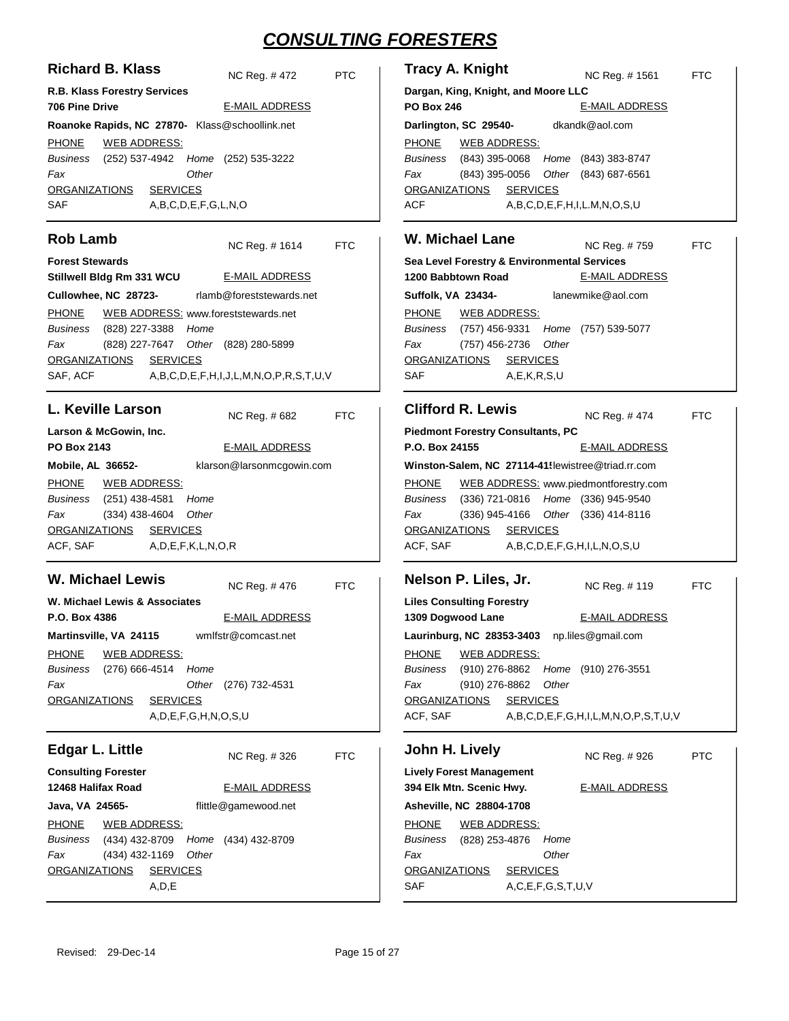| <b>Richard B. Klass</b>                                                                                                                                                                                                                                                                                                      | <b>Tracy A. Knight</b>                                                                                                                                                                                                                                                                                                                                                                                            |
|------------------------------------------------------------------------------------------------------------------------------------------------------------------------------------------------------------------------------------------------------------------------------------------------------------------------------|-------------------------------------------------------------------------------------------------------------------------------------------------------------------------------------------------------------------------------------------------------------------------------------------------------------------------------------------------------------------------------------------------------------------|
| <b>PTC</b>                                                                                                                                                                                                                                                                                                                   | NC Reg. #1561                                                                                                                                                                                                                                                                                                                                                                                                     |
| NC Reg. #472                                                                                                                                                                                                                                                                                                                 | <b>FTC</b>                                                                                                                                                                                                                                                                                                                                                                                                        |
| R.B. Klass Forestry Services                                                                                                                                                                                                                                                                                                 | Dargan, King, Knight, and Moore LLC                                                                                                                                                                                                                                                                                                                                                                               |
| <b>706 Pine Drive</b>                                                                                                                                                                                                                                                                                                        | <b>PO Box 246</b>                                                                                                                                                                                                                                                                                                                                                                                                 |
| <b>E-MAIL ADDRESS</b>                                                                                                                                                                                                                                                                                                        | <b>E-MAIL ADDRESS</b>                                                                                                                                                                                                                                                                                                                                                                                             |
| Roanoke Rapids, NC 27870- Klass@schoollink.net                                                                                                                                                                                                                                                                               | dkandk@aol.com<br>Darlington, SC 29540-                                                                                                                                                                                                                                                                                                                                                                           |
|                                                                                                                                                                                                                                                                                                                              |                                                                                                                                                                                                                                                                                                                                                                                                                   |
| <b>PHONE</b><br><b>WEB ADDRESS:</b><br><b>Business</b><br>(252) 537-4942 Home (252) 535-3222<br>Fax<br>Other<br><b>SERVICES</b><br><b>ORGANIZATIONS</b>                                                                                                                                                                      | <b>PHONE</b><br><b>WEB ADDRESS:</b><br><b>Business</b><br>(843) 395-0068<br>Home (843) 383-8747<br>Fax<br>(843) 395-0056<br>Other (843) 687-6561<br><b>ORGANIZATIONS</b><br><b>SERVICES</b>                                                                                                                                                                                                                       |
| SAF                                                                                                                                                                                                                                                                                                                          | <b>ACF</b>                                                                                                                                                                                                                                                                                                                                                                                                        |
| A,B,C,D,E,F,G,L,N,O                                                                                                                                                                                                                                                                                                          | A,B,C,D,E,F,H,I,L.M,N,O,S,U                                                                                                                                                                                                                                                                                                                                                                                       |
| <b>Rob Lamb</b>                                                                                                                                                                                                                                                                                                              | <b>W. Michael Lane</b>                                                                                                                                                                                                                                                                                                                                                                                            |
| NC Reg. #1614                                                                                                                                                                                                                                                                                                                | NC Reg. #759                                                                                                                                                                                                                                                                                                                                                                                                      |
| <b>FTC</b>                                                                                                                                                                                                                                                                                                                   | <b>FTC</b>                                                                                                                                                                                                                                                                                                                                                                                                        |
| <b>Forest Stewards</b>                                                                                                                                                                                                                                                                                                       | Sea Level Forestry & Environmental Services                                                                                                                                                                                                                                                                                                                                                                       |
| Stillwell Bldg Rm 331 WCU                                                                                                                                                                                                                                                                                                    | 1200 Babbtown Road                                                                                                                                                                                                                                                                                                                                                                                                |
| <b>E-MAIL ADDRESS</b>                                                                                                                                                                                                                                                                                                        | <b>E-MAIL ADDRESS</b>                                                                                                                                                                                                                                                                                                                                                                                             |
| Cullowhee, NC 28723-                                                                                                                                                                                                                                                                                                         | lanewmike@aol.com                                                                                                                                                                                                                                                                                                                                                                                                 |
| rlamb@foreststewards.net                                                                                                                                                                                                                                                                                                     | <b>Suffolk, VA 23434-</b>                                                                                                                                                                                                                                                                                                                                                                                         |
| <b>PHONE</b>                                                                                                                                                                                                                                                                                                                 | <b>PHONE</b>                                                                                                                                                                                                                                                                                                                                                                                                      |
| WEB ADDRESS: www.foreststewards.net                                                                                                                                                                                                                                                                                          | <b>WEB ADDRESS:</b>                                                                                                                                                                                                                                                                                                                                                                                               |
| Business                                                                                                                                                                                                                                                                                                                     | <b>Business</b>                                                                                                                                                                                                                                                                                                                                                                                                   |
| (828) 227-3388                                                                                                                                                                                                                                                                                                               | (757) 456-9331                                                                                                                                                                                                                                                                                                                                                                                                    |
| Home                                                                                                                                                                                                                                                                                                                         | Home (757) 539-5077                                                                                                                                                                                                                                                                                                                                                                                               |
| Fax                                                                                                                                                                                                                                                                                                                          | Other                                                                                                                                                                                                                                                                                                                                                                                                             |
| Other (828) 280-5899                                                                                                                                                                                                                                                                                                         | Fax                                                                                                                                                                                                                                                                                                                                                                                                               |
| (828) 227-7647                                                                                                                                                                                                                                                                                                               | (757) 456-2736                                                                                                                                                                                                                                                                                                                                                                                                    |
| <b>SERVICES</b>                                                                                                                                                                                                                                                                                                              | <b>ORGANIZATIONS</b>                                                                                                                                                                                                                                                                                                                                                                                              |
| <b>ORGANIZATIONS</b>                                                                                                                                                                                                                                                                                                         | <b>SERVICES</b>                                                                                                                                                                                                                                                                                                                                                                                                   |
| SAF, ACF                                                                                                                                                                                                                                                                                                                     | <b>SAF</b>                                                                                                                                                                                                                                                                                                                                                                                                        |
| A,B,C,D,E,F,H,I,J,L,M,N,O,P,R,S,T,U,V                                                                                                                                                                                                                                                                                        | A, E, K, R, S, U                                                                                                                                                                                                                                                                                                                                                                                                  |
| <b>L. Keville Larson</b>                                                                                                                                                                                                                                                                                                     | <b>Clifford R. Lewis</b>                                                                                                                                                                                                                                                                                                                                                                                          |
| NC Reg. # 682                                                                                                                                                                                                                                                                                                                | NC Reg. #474                                                                                                                                                                                                                                                                                                                                                                                                      |
| <b>FTC</b>                                                                                                                                                                                                                                                                                                                   | <b>FTC</b>                                                                                                                                                                                                                                                                                                                                                                                                        |
| Larson & McGowin, Inc.<br><b>PO Box 2143</b><br><b>E-MAIL ADDRESS</b><br>klarson@larsonmcgowin.com<br>Mobile, AL 36652-<br><b>PHONE</b><br><b>WEB ADDRESS:</b><br>(251) 438-4581<br>Business<br>Home<br>Fax<br>$(334)$ 438-4604<br>Other<br><b>ORGANIZATIONS</b><br><b>SERVICES</b><br>ACF, SAF<br>A, D, E, F, K, L, N, O, R | <b>Piedmont Forestry Consultants, PC</b><br>P.O. Box 24155<br><b>E-MAIL ADDRESS</b><br>Winston-Salem, NC 27114-41! lewistree@triad.rr.com<br><b>PHONE</b><br>WEB ADDRESS: www.piedmontforestry.com<br><b>Business</b><br>(336) 721-0816 Home (336) 945-9540<br>$(336)$ 945-4166<br>Other (336) 414-8116<br>Fax<br><b>ORGANIZATIONS</b><br><b>SERVICES</b><br>ACF, SAF<br>A, B, C, D, E, F, G, H, I, L, N, O, S, U |
| <b>W. Michael Lewis</b>                                                                                                                                                                                                                                                                                                      | Nelson P. Liles, Jr.                                                                                                                                                                                                                                                                                                                                                                                              |
| NC Reg. #476                                                                                                                                                                                                                                                                                                                 | NC Req. #119                                                                                                                                                                                                                                                                                                                                                                                                      |
| <b>FTC</b>                                                                                                                                                                                                                                                                                                                   | <b>FTC</b>                                                                                                                                                                                                                                                                                                                                                                                                        |
| W. Michael Lewis & Associates                                                                                                                                                                                                                                                                                                | <b>Liles Consulting Forestry</b>                                                                                                                                                                                                                                                                                                                                                                                  |
| P.O. Box 4386                                                                                                                                                                                                                                                                                                                | 1309 Dogwood Lane                                                                                                                                                                                                                                                                                                                                                                                                 |
| <b>E-MAIL ADDRESS</b>                                                                                                                                                                                                                                                                                                        | <b>E-MAIL ADDRESS</b>                                                                                                                                                                                                                                                                                                                                                                                             |
| wmlfstr@comcast.net<br>Martinsville, VA 24115                                                                                                                                                                                                                                                                                | Laurinburg, NC 28353-3403 np.liles@gmail.com                                                                                                                                                                                                                                                                                                                                                                      |
| <b>PHONE</b><br><b>WEB ADDRESS:</b><br>Business<br>(276) 666-4514<br>Home<br>Fax<br>Other<br>(276) 732-4531<br><b>ORGANIZATIONS</b><br><b>SERVICES</b><br>A, D, E, F, G, H, N, O, S, U                                                                                                                                       | <b>PHONE</b><br><b>WEB ADDRESS:</b><br><b>Business</b><br>(910) 276-8862<br>Home (910) 276-3551<br>(910) 276-8862<br>Other<br>Fax<br><b>ORGANIZATIONS</b><br><b>SERVICES</b><br>ACF, SAF<br>$A, B, C, D, E, F, G, H, I, L, M, N, O, P, S, T, U, V$                                                                                                                                                                |
| <b>Edgar L. Little</b>                                                                                                                                                                                                                                                                                                       | John H. Lively                                                                                                                                                                                                                                                                                                                                                                                                    |
| <b>FTC</b>                                                                                                                                                                                                                                                                                                                   | NC Reg. #926                                                                                                                                                                                                                                                                                                                                                                                                      |
| NC Reg. #326                                                                                                                                                                                                                                                                                                                 | <b>PTC</b>                                                                                                                                                                                                                                                                                                                                                                                                        |
| <b>Consulting Forester</b><br>12468 Halifax Road<br><b>E-MAIL ADDRESS</b><br>flittle@gamewood.net<br>Java, VA 24565-<br><b>PHONE</b><br><b>WEB ADDRESS:</b><br>(434) 432-8709<br>Business<br>Home<br>(434) 432-8709                                                                                                          | <b>Lively Forest Management</b><br>394 Elk Mtn. Scenic Hwy.<br><b>E-MAIL ADDRESS</b><br>Asheville, NC 28804-1708<br><b>PHONE</b><br><b>WEB ADDRESS:</b><br><b>Business</b><br>(828) 253-4876<br>Home                                                                                                                                                                                                              |
| Fax                                                                                                                                                                                                                                                                                                                          | Other                                                                                                                                                                                                                                                                                                                                                                                                             |
| (434) 432-1169                                                                                                                                                                                                                                                                                                               | Fax                                                                                                                                                                                                                                                                                                                                                                                                               |
| Other                                                                                                                                                                                                                                                                                                                        | <b>ORGANIZATIONS</b>                                                                                                                                                                                                                                                                                                                                                                                              |
| <b>ORGANIZATIONS</b>                                                                                                                                                                                                                                                                                                         | <b>SERVICES</b>                                                                                                                                                                                                                                                                                                                                                                                                   |
| <b>SERVICES</b>                                                                                                                                                                                                                                                                                                              | SAF                                                                                                                                                                                                                                                                                                                                                                                                               |
| A, D, E                                                                                                                                                                                                                                                                                                                      | A, C, E, F, G, S, T, U, V                                                                                                                                                                                                                                                                                                                                                                                         |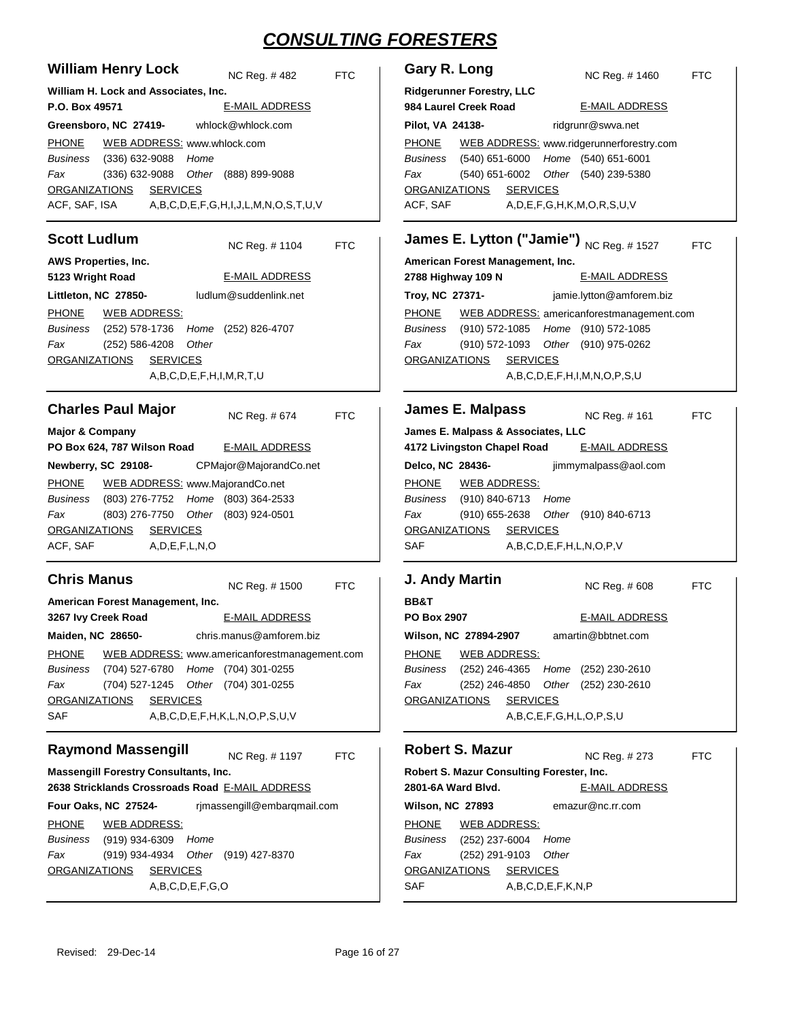| <b>William Henry Lock</b>                                                                       | Gary R. Long                                                                             |
|-------------------------------------------------------------------------------------------------|------------------------------------------------------------------------------------------|
| NC Reg. #482                                                                                    | NC Reg. #1460                                                                            |
| <b>FTC</b>                                                                                      | <b>FTC</b>                                                                               |
| William H. Lock and Associates, Inc.                                                            | <b>Ridgerunner Forestry, LLC</b>                                                         |
| <b>E-MAIL ADDRESS</b>                                                                           | 984 Laurel Creek Road                                                                    |
| P.O. Box 49571                                                                                  | <b>E-MAIL ADDRESS</b>                                                                    |
| whlock@whlock.com                                                                               | ridgrunr@swva.net                                                                        |
| Greensboro, NC 27419-                                                                           | Pilot, VA 24138-                                                                         |
| <b>PHONE</b>                                                                                    | WEB ADDRESS: www.ridgerunnerforestry.com                                                 |
| WEB ADDRESS: www.whlock.com                                                                     | <b>PHONE</b>                                                                             |
| Business                                                                                        | Home (540) 651-6001                                                                      |
| $(336)$ 632-9088                                                                                | Business                                                                                 |
| Home                                                                                            | (540) 651-6000                                                                           |
| Fax                                                                                             | Fax                                                                                      |
| $(336)$ 632-9088                                                                                | (540) 651-6002                                                                           |
| Other (888) 899-9088                                                                            | Other (540) 239-5380                                                                     |
| ORGANIZATIONS                                                                                   | <b>ORGANIZATIONS</b>                                                                     |
| <b>SERVICES</b>                                                                                 | <b>SERVICES</b>                                                                          |
| ACF, SAF, ISA                                                                                   | ACF, SAF                                                                                 |
| A,B,C,D,E,F,G,H,I,J,L,M,N,O,S,T,U,V                                                             | A, D, E, F, G, H, K, M, O, R, S, U, V                                                    |
| <b>Scott Ludlum</b><br><b>FTC</b><br>NC Reg. #1104                                              | James E. Lytton ("Jamie") NC Reg. #1527<br><b>FTC</b>                                    |
| AWS Properties, Inc.                                                                            | American Forest Management, Inc.                                                         |
| 5123 Wright Road                                                                                | <b>E-MAIL ADDRESS</b>                                                                    |
| <b>E-MAIL ADDRESS</b>                                                                           | 2788 Highway 109 N                                                                       |
| Littleton, NC 27850-                                                                            | Troy, NC 27371-                                                                          |
| ludlum@suddenlink.net                                                                           | jamie.lytton@amforem.biz                                                                 |
| <b>PHONE</b>                                                                                    | <b>PHONE</b>                                                                             |
| <b>WEB ADDRESS:</b>                                                                             | WEB ADDRESS: americanforestmanagement.com                                                |
| Business                                                                                        | Business                                                                                 |
| (252) 578-1736                                                                                  | (910) 572-1085                                                                           |
| Home (252) 826-4707                                                                             | Home (910) 572-1085                                                                      |
| Fax                                                                                             | Fax                                                                                      |
| $(252) 586 - 4208$                                                                              | (910) 572-1093                                                                           |
| Other                                                                                           | Other (910) 975-0262                                                                     |
| <b>ORGANIZATIONS</b>                                                                            | <b>ORGANIZATIONS</b>                                                                     |
| <b>SERVICES</b>                                                                                 | <b>SERVICES</b>                                                                          |
| A,B,C,D,E,F,H,I,M,R,T,U                                                                         | $A, B, C, D, E, F, H, I, M, N, O, P, S, U$                                               |
| <b>Charles Paul Major</b>                                                                       | <b>James E. Malpass</b>                                                                  |
| NC Reg. #674                                                                                    | NC Reg. # 161                                                                            |
| <b>FTC</b>                                                                                      | <b>FTC</b>                                                                               |
| <b>Major &amp; Company</b>                                                                      | James E. Malpass & Associates, LLC                                                       |
| PO Box 624, 787 Wilson Road                                                                     | 4172 Livingston Chapel Road                                                              |
| <b>E-MAIL ADDRESS</b>                                                                           | <b>E-MAIL ADDRESS</b>                                                                    |
| Newberry, SC 29108-                                                                             | Delco, NC 28436-                                                                         |
| CPMajor@MajorandCo.net                                                                          | jimmymalpass@aol.com                                                                     |
| WEB ADDRESS: www.MajorandCo.net                                                                 | <b>PHONE</b>                                                                             |
| <b>PHONE</b>                                                                                    | <u>WEB ADDRESS:</u>                                                                      |
| (803) 276-7752 Home (803) 364-2533<br>Business                                                  | Business<br>(910) 840-6713<br>Home                                                       |
| Fax                                                                                             | Fax                                                                                      |
| (803) 276-7750                                                                                  | $(910)$ 655-2638                                                                         |
| Other (803) 924-0501                                                                            | Other (910) 840-6713                                                                     |
| <b>ORGANIZATIONS</b>                                                                            | <b>SERVICES</b>                                                                          |
| <b>SERVICES</b>                                                                                 | <b>ORGANIZATIONS</b>                                                                     |
| ACF, SAF                                                                                        | SAF                                                                                      |
| A, D, E, F, L, N, O                                                                             | A,B,C,D,E,F,H,L,N,O,P,V                                                                  |
| <b>Chris Manus</b>                                                                              | J. Andy Martin                                                                           |
| <b>FTC</b>                                                                                      | NC Reg. # 608                                                                            |
| NC Reg. #1500                                                                                   | <b>FTC</b>                                                                               |
| American Forest Management, Inc.                                                                | <b>BB&amp;T</b>                                                                          |
| <b>E-MAIL ADDRESS</b>                                                                           | PO Box 2907                                                                              |
| 3267 Ivy Creek Road                                                                             | <b>E-MAIL ADDRESS</b>                                                                    |
| Maiden, NC 28650-                                                                               | Wilson, NC 27894-2907                                                                    |
| chris.manus@amforem.biz                                                                         | amartin@bbtnet.com                                                                       |
| <b>PHONE</b>                                                                                    | <b>WEB ADDRESS:</b>                                                                      |
| WEB ADDRESS: www.americanforestmanagement.com                                                   | <b>PHONE</b>                                                                             |
| (704) 527-6780 Home (704) 301-0255                                                              | Business                                                                                 |
| Business                                                                                        | (252) 246-4365 Home (252) 230-2610                                                       |
| (704) 527-1245 Other (704) 301-0255                                                             | Fax                                                                                      |
| Fax                                                                                             | (252) 246-4850 Other (252) 230-2610                                                      |
| <b>SERVICES</b>                                                                                 | <b>ORGANIZATIONS</b>                                                                     |
| <u>ORGANIZATIONS</u>                                                                            | <b>SERVICES</b>                                                                          |
| A,B,C,D,E,F,H,K,L,N,O,P,S,U,V<br>SAF                                                            | A,B,C,E,F,G,H,L,O,P,S,U                                                                  |
| <b>Raymond Massengill</b>                                                                       | <b>Robert S. Mazur</b>                                                                   |
| NC Reg. #1197                                                                                   | NC Reg. # 273                                                                            |
| <b>FTC</b>                                                                                      | <b>FTC</b>                                                                               |
| <b>Massengill Forestry Consultants, Inc.</b><br>2638 Stricklands Crossroads Road E-MAIL ADDRESS | Robert S. Mazur Consulting Forester, Inc.<br>2801-6A Ward Blvd.<br><b>E-MAIL ADDRESS</b> |
| Four Oaks, NC 27524-                                                                            | emazur@nc.rr.com                                                                         |
| rimassengill@embargmail.com                                                                     | <b>Wilson, NC 27893</b>                                                                  |
| <b>PHONE</b>                                                                                    | <b>PHONE</b>                                                                             |
| WEB ADDRESS:                                                                                    | <b>WEB ADDRESS:</b>                                                                      |
| Business                                                                                        | Business                                                                                 |
| (919) 934-6309                                                                                  | (252) 237-6004                                                                           |
| Home                                                                                            | Home                                                                                     |
| Fax                                                                                             | Fax                                                                                      |
| (919) 934-4934                                                                                  | (252) 291-9103                                                                           |
| Other (919) 427-8370                                                                            | Other                                                                                    |
| <u>ORGANIZATIONS</u>                                                                            | <b>ORGANIZATIONS</b>                                                                     |
| <b>SERVICES</b>                                                                                 | <b>SERVICES</b>                                                                          |
| A,B,C,D,E,F,G,O                                                                                 | SAF<br>A,B,C,D,E,F,K,N,P                                                                 |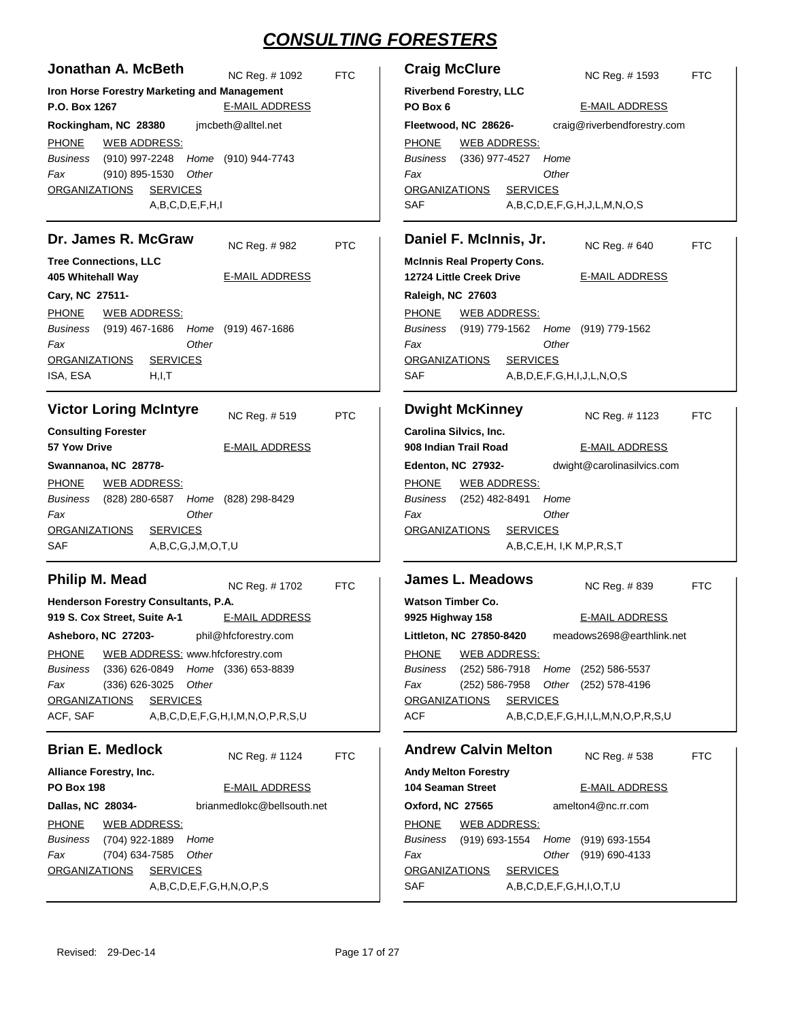| Jonathan A. McBeth<br>Iron Horse Forestry Marketing and Management<br>P.O. Box 1267<br>Rockingham, NC 28380 jmcbeth@alltel.net<br>PHONE WEB ADDRESS:<br>Business (910) 997-2248 Home (910) 944-7743<br>Fax<br>(910) 895-1530<br>Other<br><u>ORGANIZATIONS</u><br><b>SERVICES</b><br>A,B,C,D,E,F,H,I                   | NC Reg. #1092<br><b>E-MAIL ADDRESS</b>                                                            | Crai<br><b>FTC</b><br>River<br>PO B<br>Fleet<br><b>PHOI</b><br>Busin<br>Fax<br>ORG/<br>SAF |
|-----------------------------------------------------------------------------------------------------------------------------------------------------------------------------------------------------------------------------------------------------------------------------------------------------------------------|---------------------------------------------------------------------------------------------------|--------------------------------------------------------------------------------------------|
| Dr. James R. McGraw<br><b>Tree Connections, LLC</b>                                                                                                                                                                                                                                                                   | NC Reg. #982                                                                                      | Dan<br><b>PTC</b><br>McInı                                                                 |
| 405 Whitehall Way<br>Cary, NC 27511-<br>PHONE WEB ADDRESS:<br>Business (919) 467-1686 Home (919) 467-1686<br>Other<br>Fax<br>ORGANIZATIONS<br><b>SERVICES</b><br>ISA, ESA<br>H, I, T                                                                                                                                  | <b>E-MAIL ADDRESS</b>                                                                             | 12724<br>Ralei<br><b>PHOI</b><br>Busin<br>Fax<br>ORG/<br>SAF                               |
| <b>Victor Loring McIntyre</b><br><b>Consulting Forester</b><br><b>57 Yow Drive</b><br>Swannanoa, NC 28778-<br><b>PHONE WEB ADDRESS:</b><br>Business (828) 280-6587 Home (828) 298-8429                                                                                                                                | NC Reg. #519<br><b>E-MAIL ADDRESS</b>                                                             | Dwi<br><b>PTC</b><br>Carol<br>908 lı<br>Eden<br><u>PHON</u><br>Busin                       |
| Fax<br>Other<br><b>SERVICES</b><br><u>ORGANIZATIONS</u><br>SAF<br>A,B,C,G,J,M,O,T,U                                                                                                                                                                                                                                   |                                                                                                   | Fax<br>ORG,                                                                                |
| Philip M. Mead<br>Henderson Forestry Consultants, P.A.<br>919 S. Cox Street, Suite A-1<br>Asheboro, NC 27203-<br><b>PHONE</b><br>WEB ADDRESS: www.hfcforestry.com<br>(336) 626-0849 Home (336) 653-8839<br><b>Business</b><br>Fax<br>Other<br>$(336)$ 626-3025<br><b>ORGANIZATIONS</b><br><b>SERVICES</b><br>ACF, SAF | NC Reg. #1702<br><b>E-MAIL ADDRESS</b><br>phil@hfcforestry.com<br>A,B,C,D,E,F,G,H,I,M,N,O,P,R,S,U | Jam<br><b>FTC</b><br>Wats<br>9925<br>Little<br>PHOI<br>Busin<br>Fax<br>ORG<br>ACF          |
| <b>Brian E. Medlock</b><br><b>Alliance Forestry, Inc.</b><br><b>PO Box 198</b><br>Dallas, NC 28034-<br><b>PHONE</b><br><b>WEB ADDRESS:</b><br><b>Business</b><br>(704) 922-1889<br>Home<br>Fax<br>(704) 634-7585<br>Other<br><b>ORGANIZATIONS</b><br><b>SERVICES</b><br>A,B,C,D,E,F,G,H,N,O,P,S                       | NC Reg. # 1124<br><b>E-MAIL ADDRESS</b><br>brianmedlokc@bellsouth.net                             | And<br><b>FTC</b><br>Andy<br>104 S<br>Oxfor<br><b>PHOI</b><br>Busin<br>Fax<br>ORG/<br>SAF  |

| <b>Craig McClure</b>                                  |                                             |       | NC Reg. # 1593                             | <b>FTC</b> |
|-------------------------------------------------------|---------------------------------------------|-------|--------------------------------------------|------------|
| <b>Riverbend Forestry, LLC</b><br>PO Box 6            |                                             |       | <b>E-MAIL ADDRESS</b>                      |            |
|                                                       | Fleetwood, NC 28626-                        |       | craig@riverbendforestry.com                |            |
|                                                       | PHONE WEB ADDRESS:                          |       |                                            |            |
|                                                       | Business (336) 977-4527 Home                |       |                                            |            |
| Fax                                                   |                                             | Other |                                            |            |
|                                                       | ORGANIZATIONS SERVICES                      |       |                                            |            |
| <b>SAF</b>                                            |                                             |       | $A, B, C, D, E, F, G, H, J, L, M, N, O, S$ |            |
| Daniel F. McInnis, Jr.<br>NC Reg. # 640<br><b>FTC</b> |                                             |       |                                            |            |
|                                                       | <b>McInnis Real Property Cons.</b>          |       |                                            |            |
|                                                       | 12724 Little Creek Drive                    |       | <b>E-MAIL ADDRESS</b>                      |            |
| Raleigh, NC 27603                                     |                                             |       |                                            |            |
|                                                       | PHONE WEB ADDRESS:                          |       |                                            |            |
|                                                       | Business (919) 779-1562 Home (919) 779-1562 |       |                                            |            |
| Fax                                                   |                                             | Other |                                            |            |
| ORGANIZATIONS                                         | <b>SERVICES</b>                             |       |                                            |            |

|     | --------                  |
|-----|---------------------------|
| SAF | A,B,D,E,F,G,H,I,J,L,N,O,S |

|                           | <b>Dwight McKinney</b> | NC Reg. # 1123             |
|---------------------------|------------------------|----------------------------|
| Carolina Silvics, Inc.    |                        |                            |
| 908 Indian Trail Road     |                        | <b>E-MAIL ADDRESS</b>      |
| <b>Edenton, NC 27932-</b> |                        | dwight@carolinasilvics.com |
| <b>PHONE</b>              | <b>WEB ADDRESS:</b>    |                            |
| <b>Business</b>           | (252) 482-8491         | Home                       |

```
A,B,C,E,H, I,K M,P,R,S,T
                    Other
ANIZATIONS SERVICES
```

| FTC |
|-----|
|     |
|     |
|     |
|     |
|     |
|     |
|     |
|     |

### **Andrew Calvin Melton**

FTC

| Andrew Galvin Melton                             |                     |  | NC Reg. #538          | <b>FTC</b>                                  |  |
|--------------------------------------------------|---------------------|--|-----------------------|---------------------------------------------|--|
| <b>Andy Melton Forestry</b>                      |                     |  |                       |                                             |  |
| 104 Seaman Street                                |                     |  | <b>E-MAIL ADDRESS</b> |                                             |  |
| Oxford, NC 27565                                 |                     |  |                       | amelton4@nc.rr.com                          |  |
| PHONE                                            | <b>WEB ADDRESS:</b> |  |                       |                                             |  |
|                                                  |                     |  |                       | Business (919) 693-1554 Home (919) 693-1554 |  |
| Fax                                              |                     |  |                       | Other (919) 690-4133                        |  |
| <b>SERVICES</b><br><b>ORGANIZATIONS</b>          |                     |  |                       |                                             |  |
| <b>SAF</b><br>A, B, C, D, E, F, G, H, I, O, T, U |                     |  |                       |                                             |  |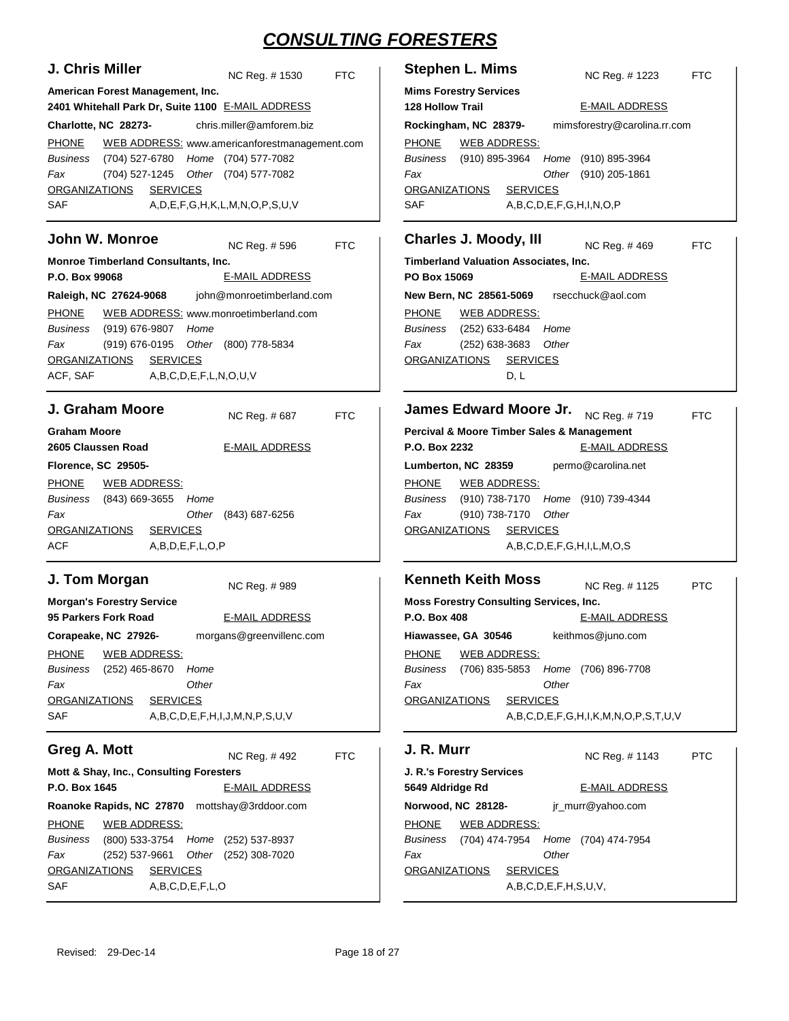| J. Chris Miller                                                                                                                                                                                                                     | <b>Stephen L. Mims</b>                                                                                                                                                                                    |
|-------------------------------------------------------------------------------------------------------------------------------------------------------------------------------------------------------------------------------------|-----------------------------------------------------------------------------------------------------------------------------------------------------------------------------------------------------------|
| NC Reg. # 1530                                                                                                                                                                                                                      | <b>FTC</b>                                                                                                                                                                                                |
| <b>FTC</b>                                                                                                                                                                                                                          | NC Reg. # 1223                                                                                                                                                                                            |
| American Forest Management, Inc.<br>2401 Whitehall Park Dr, Suite 1100 E-MAIL ADDRESS                                                                                                                                               | <b>Mims Forestry Services</b><br><b>128 Hollow Trail</b><br><b>E-MAIL ADDRESS</b>                                                                                                                         |
| chris.miller@amforem.biz                                                                                                                                                                                                            | mimsforestry@carolina.rr.com                                                                                                                                                                              |
| Charlotte, NC 28273-                                                                                                                                                                                                                | Rockingham, NC 28379-                                                                                                                                                                                     |
| <b>PHONE</b>                                                                                                                                                                                                                        | <b>PHONE</b>                                                                                                                                                                                              |
| WEB ADDRESS: www.americanforestmanagement.com                                                                                                                                                                                       | <b>WEB ADDRESS:</b>                                                                                                                                                                                       |
| (704) 527-6780 Home (704) 577-7082                                                                                                                                                                                                  | (910) 895-3964                                                                                                                                                                                            |
| <b>Business</b>                                                                                                                                                                                                                     | <b>Business</b>                                                                                                                                                                                           |
| (704) 527-1245                                                                                                                                                                                                                      | Home (910) 895-3964                                                                                                                                                                                       |
| Other (704) 577-7082                                                                                                                                                                                                                | Fax                                                                                                                                                                                                       |
| Fax                                                                                                                                                                                                                                 | Other (910) 205-1861                                                                                                                                                                                      |
| <b>SERVICES</b>                                                                                                                                                                                                                     | <b>ORGANIZATIONS</b>                                                                                                                                                                                      |
| <b>ORGANIZATIONS</b>                                                                                                                                                                                                                | <b>SERVICES</b>                                                                                                                                                                                           |
| <b>SAF</b>                                                                                                                                                                                                                          | <b>SAF</b>                                                                                                                                                                                                |
| $A, D, E, F, G, H, K, L, M, N, O, P, S, U, V$                                                                                                                                                                                       | A, B, C, D, E, F, G, H, I, N, O, P                                                                                                                                                                        |
| John W. Monroe                                                                                                                                                                                                                      | <b>Charles J. Moody, III</b>                                                                                                                                                                              |
| NC Reg. #596                                                                                                                                                                                                                        | NC Reg. #469                                                                                                                                                                                              |
| <b>FTC</b>                                                                                                                                                                                                                          | <b>FTC</b>                                                                                                                                                                                                |
| Monroe Timberland Consultants, Inc.                                                                                                                                                                                                 | <b>Timberland Valuation Associates, Inc.</b>                                                                                                                                                              |
| P.O. Box 99068                                                                                                                                                                                                                      | PO Box 15069                                                                                                                                                                                              |
| <b>E-MAIL ADDRESS</b>                                                                                                                                                                                                               | <b>E-MAIL ADDRESS</b>                                                                                                                                                                                     |
| Raleigh, NC 27624-9068                                                                                                                                                                                                              | rsecchuck@aol.com                                                                                                                                                                                         |
| john@monroetimberland.com                                                                                                                                                                                                           | New Bern, NC 28561-5069                                                                                                                                                                                   |
| <b>PHONE</b><br>WEB ADDRESS: www.monroetimberland.com<br><b>Business</b><br>(919) 676-9807<br>Home<br>Fax<br>(919) 676-0195<br>Other (800) 778-5834<br><b>SERVICES</b><br><b>ORGANIZATIONS</b><br>ACF, SAF<br>A,B,C,D,E,F,L,N,O,U,V | <b>PHONE</b><br><b>WEB ADDRESS:</b><br><b>Business</b><br>(252) 633-6484<br>Home<br>Fax<br>(252) 638-3683<br>Other<br><b>ORGANIZATIONS</b><br><b>SERVICES</b><br>D, L                                     |
| J. Graham Moore                                                                                                                                                                                                                     | James Edward Moore Jr.                                                                                                                                                                                    |
| NC Reg. #687                                                                                                                                                                                                                        | NC Reg. #719                                                                                                                                                                                              |
| <b>FTC</b>                                                                                                                                                                                                                          | <b>FTC</b>                                                                                                                                                                                                |
| <b>Graham Moore</b>                                                                                                                                                                                                                 | Percival & Moore Timber Sales & Management                                                                                                                                                                |
| 2605 Claussen Road                                                                                                                                                                                                                  | P.O. Box 2232                                                                                                                                                                                             |
| <b>E-MAIL ADDRESS</b>                                                                                                                                                                                                               | <b>E-MAIL ADDRESS</b>                                                                                                                                                                                     |
| Florence, SC 29505-                                                                                                                                                                                                                 | permo@carolina.net<br>Lumberton, NC 28359                                                                                                                                                                 |
| <b>PHONE</b><br><u>WEB ADDRESS:</u><br><b>Business</b><br>(843) 669-3655<br>Home<br>Fax<br>Other<br>(843) 687-6256<br><b>ORGANIZATIONS</b><br><b>SERVICES</b><br>ACF<br>A,B,D,E,F,L,O,P                                             | <b>PHONE</b><br><u>WEB ADDRESS:</u><br><b>Business</b><br>(910) 738-7170<br>Home (910) 739-4344<br>(910) 738-7170<br>Other<br>Fax<br><b>ORGANIZATIONS</b><br><b>SERVICES</b><br>A,B,C,D,E,F,G,H,I,L,M,O,S |
| J. Tom Morgan                                                                                                                                                                                                                       | <b>Kenneth Keith Moss</b>                                                                                                                                                                                 |
| NC Reg. #989                                                                                                                                                                                                                        | NC Reg. #1125<br><b>PTC</b>                                                                                                                                                                               |
| <b>Morgan's Forestry Service</b>                                                                                                                                                                                                    | <b>Moss Forestry Consulting Services, Inc.</b>                                                                                                                                                            |
| 95 Parkers Fork Road                                                                                                                                                                                                                | P.O. Box 408                                                                                                                                                                                              |
| <b>E-MAIL ADDRESS</b>                                                                                                                                                                                                               | <b>E-MAIL ADDRESS</b>                                                                                                                                                                                     |
| morgans@greenvillenc.com                                                                                                                                                                                                            | keithmos@juno.com                                                                                                                                                                                         |
| Corapeake, NC 27926-                                                                                                                                                                                                                | Hiawassee, GA 30546                                                                                                                                                                                       |
| <b>PHONE</b>                                                                                                                                                                                                                        | <b>PHONE</b>                                                                                                                                                                                              |
| <b>WEB ADDRESS:</b>                                                                                                                                                                                                                 | <b>WEB ADDRESS:</b>                                                                                                                                                                                       |
| Business                                                                                                                                                                                                                            | (706) 835-5853                                                                                                                                                                                            |
| (252) 465-8670                                                                                                                                                                                                                      | Home (706) 896-7708                                                                                                                                                                                       |
| Home                                                                                                                                                                                                                                | <b>Business</b>                                                                                                                                                                                           |
| Other                                                                                                                                                                                                                               | Other                                                                                                                                                                                                     |
| Fax                                                                                                                                                                                                                                 | Fax                                                                                                                                                                                                       |
| <b>SERVICES</b>                                                                                                                                                                                                                     | <b>SERVICES</b>                                                                                                                                                                                           |
| <b>ORGANIZATIONS</b>                                                                                                                                                                                                                | <b>ORGANIZATIONS</b>                                                                                                                                                                                      |
| SAF<br>A,B,C,D,E,F,H,I,J,M,N,P,S,U,V                                                                                                                                                                                                | A,B,C,D,E,F,G,H,I,K,M,N,O,P,S,T,U,V                                                                                                                                                                       |
| Greg A. Mott                                                                                                                                                                                                                        | J. R. Murr                                                                                                                                                                                                |
| <b>FTC</b>                                                                                                                                                                                                                          | NC Reg. # 1143                                                                                                                                                                                            |
| NC Req. #492                                                                                                                                                                                                                        | <b>PTC</b>                                                                                                                                                                                                |
| Mott & Shay, Inc., Consulting Foresters                                                                                                                                                                                             | J. R.'s Forestry Services                                                                                                                                                                                 |
| P.O. Box 1645                                                                                                                                                                                                                       | 5649 Aldridge Rd                                                                                                                                                                                          |
| <b>E-MAIL ADDRESS</b>                                                                                                                                                                                                               | <b>E-MAIL ADDRESS</b>                                                                                                                                                                                     |
| Roanoke Rapids, NC 27870 mottshay@3rddoor.com                                                                                                                                                                                       | jr_murr@yahoo.com<br>Norwood, NC 28128-                                                                                                                                                                   |
| <b>PHONE</b>                                                                                                                                                                                                                        | <b>WEB ADDRESS:</b>                                                                                                                                                                                       |
| <b>WEB ADDRESS:</b>                                                                                                                                                                                                                 | <b>PHONE</b>                                                                                                                                                                                              |
| (800) 533-3754 Home (252) 537-8937<br><b>Business</b>                                                                                                                                                                               | (704) 474-7954<br>Home (704) 474-7954<br><b>Business</b>                                                                                                                                                  |
| Other (252) 308-7020<br>Fax<br>(252) 537-9661                                                                                                                                                                                       | Other<br>Fax                                                                                                                                                                                              |
| <b>SERVICES</b>                                                                                                                                                                                                                     | <b>ORGANIZATIONS</b>                                                                                                                                                                                      |
| <b>ORGANIZATIONS</b>                                                                                                                                                                                                                | <b>SERVICES</b>                                                                                                                                                                                           |
| <b>SAF</b><br>A,B,C,D,E,F,L,O                                                                                                                                                                                                       | A,B,C,D,E,F,H,S,U,V,                                                                                                                                                                                      |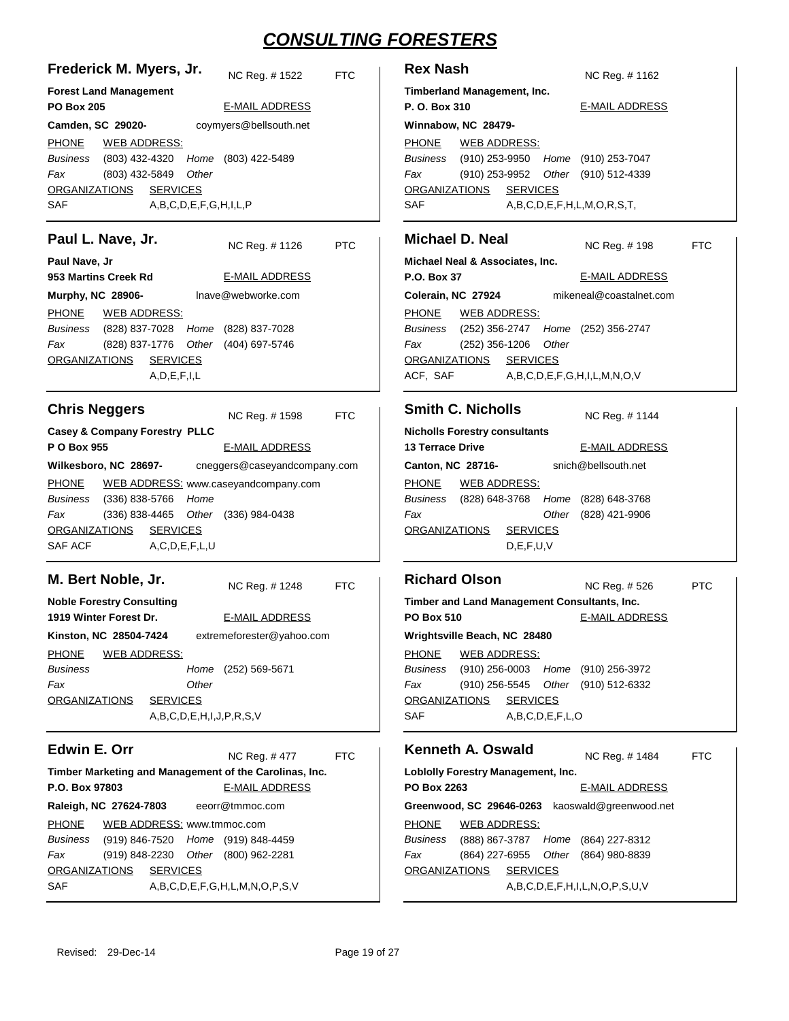| Frederick M. Myers, Jr.       |                |                                 | NC Reg. #1522                               | FTC |
|-------------------------------|----------------|---------------------------------|---------------------------------------------|-----|
| <b>Forest Land Management</b> |                |                                 |                                             |     |
| <b>PO Box 205</b>             |                |                                 | <b>E-MAIL ADDRESS</b>                       |     |
| Camden, SC 29020-             |                |                                 | coymyers@bellsouth.net                      |     |
| PHONE WEB ADDRESS:            |                |                                 |                                             |     |
|                               |                |                                 | Business (803) 432-4320 Home (803) 422-5489 |     |
| Fax                           | (803) 432-5849 | Other                           |                                             |     |
| ORGANIZATIONS SERVICES        |                |                                 |                                             |     |
| <b>SAF</b>                    |                | A, B, C, D, E, F, G, H, I, L, P |                                             |     |
| <b>B</b> ook in Marco La      |                |                                 |                                             |     |

#### **Paul L. Nave, Jr.**

NC Reg. # PTC

| Paul Nave, Jr            |                                             |                                     |  |
|--------------------------|---------------------------------------------|-------------------------------------|--|
| 953 Martins Creek Rd     |                                             | <b>E-MAIL ADDRESS</b>               |  |
| <b>Murphy, NC 28906-</b> |                                             | Inave@webworke.com                  |  |
|                          | PHONE WEB ADDRESS:                          |                                     |  |
|                          | Business (828) 837-7028 Home (828) 837-7028 |                                     |  |
| Fax                      |                                             | (828) 837-1776 Other (404) 697-5746 |  |
|                          | ORGANIZATIONS SERVICES                      |                                     |  |
|                          | A, D, E, F, I, L                            |                                     |  |

| <b>Chris Neggers</b>                     |                                     |                     | NC Reg. # 1598                       | FTC. |  |
|------------------------------------------|-------------------------------------|---------------------|--------------------------------------|------|--|
| <b>Casey &amp; Company Forestry PLLC</b> |                                     |                     |                                      |      |  |
| P O Box 955                              |                                     |                     | <b>E-MAIL ADDRESS</b>                |      |  |
|                                          | Wilkesboro, NC 28697-               |                     | cneggers@caseyandcompany.com         |      |  |
| PHONE                                    |                                     |                     | WEB ADDRESS: www.caseyandcompany.com |      |  |
|                                          | Business (336) 838-5766 Home        |                     |                                      |      |  |
| Fax                                      | (336) 838-4465 Other (336) 984-0438 |                     |                                      |      |  |
|                                          | ORGANIZATIONS SERVICES              |                     |                                      |      |  |
| SAF ACF                                  |                                     | A, C, D, E, F, L, U |                                      |      |  |

### **M. Bert Noble, Jr.**

NC Reg. # FTC

| <b>Noble Forestry Consulting</b> |                 |       |                                    |
|----------------------------------|-----------------|-------|------------------------------------|
| 1919 Winter Forest Dr.           |                 |       | E-MAIL ADDRESS                     |
| Kinston, NC 28504-7424           |                 |       | extremeforester@yahoo.com          |
| PHONE                            | WEB ADDRESS:    |       |                                    |
| <b>Business</b>                  |                 |       | Home (252) 569-5671                |
| Fax                              |                 | Other |                                    |
| <b>ORGANIZATIONS</b>             | <b>SERVICES</b> |       |                                    |
|                                  |                 |       | A, B, C, D, E, H, I, J, P, R, S, V |
|                                  |                 |       |                                    |

### **Edwin E. Orr**

NC Reg. # FTC

**Timber Marketing and Management of the Carolinas, Inc. P.O. Box 97803 Raleigh, NC 27624-7803** E-MAIL ADDRESS eeorr@tmmoc.com PHONE (919) 846-7520 (919) 848-4459 *Business Home* (919) 848-2230 Other (800) 962-2281 SAF A,B,C,D,E,F,G,H,L,M,N,O,P,S,V *Fax* ORGANIZATIONS SERVICES WEB ADDRESS: www.tmmoc.com

| <b>Rex Nash</b>     | NC Reg. #1162         |  |                                                                             |                                                                                                                 |  |
|---------------------|-----------------------|--|-----------------------------------------------------------------------------|-----------------------------------------------------------------------------------------------------------------|--|
| P. O. Box 310       | <b>E-MAIL ADDRESS</b> |  |                                                                             |                                                                                                                 |  |
| Winnabow, NC 28479- |                       |  |                                                                             |                                                                                                                 |  |
|                     |                       |  |                                                                             |                                                                                                                 |  |
|                     |                       |  |                                                                             |                                                                                                                 |  |
|                     |                       |  |                                                                             |                                                                                                                 |  |
|                     |                       |  |                                                                             |                                                                                                                 |  |
|                     |                       |  |                                                                             |                                                                                                                 |  |
|                     |                       |  |                                                                             |                                                                                                                 |  |
|                     |                       |  | Timberland Management, Inc.<br>PHONE WEB ADDRESS:<br>ORGANIZATIONS SERVICES | Business (910) 253-9950 Home (910) 253-7047<br>(910) 253-9952 Other (910) 512-4339<br>A,B,C,D,E,F,H,L,M,O,R,S,T |  |

#### **Michael D. Neal** NC Reg. # FTC

| Michael Neal & Associates, Inc. |                      |  |                       |                                             |  |  |
|---------------------------------|----------------------|--|-----------------------|---------------------------------------------|--|--|
| <b>P.O. Box 37</b>              |                      |  | <b>E-MAIL ADDRESS</b> |                                             |  |  |
| Colerain, NC 27924              |                      |  |                       | mikeneal@coastalnet.com                     |  |  |
| PHONE WEB ADDRESS:              |                      |  |                       |                                             |  |  |
|                                 |                      |  |                       | Business (252) 356-2747 Home (252) 356-2747 |  |  |
| Fax                             | (252) 356-1206 Other |  |                       |                                             |  |  |
| ORGANIZATIONS SERVICES          |                      |  |                       |                                             |  |  |
| ACF, SAF                        |                      |  |                       | $A, B, C, D, E, F, G, H, I, L, M, N, O, V$  |  |  |

#### **Smith C. Nicholls**

| SMIIN G. NICHOIIS                    |                        |  | NC Req. # 1144      |                                             |  |  |  |
|--------------------------------------|------------------------|--|---------------------|---------------------------------------------|--|--|--|
| <b>Nicholls Forestry consultants</b> |                        |  |                     |                                             |  |  |  |
| <b>13 Terrace Drive</b>              |                        |  |                     | <b>E-MAIL ADDRESS</b>                       |  |  |  |
| Canton, NC 28716-                    |                        |  | snich@bellsouth.net |                                             |  |  |  |
| PHONE                                | <b>WEB ADDRESS:</b>    |  |                     |                                             |  |  |  |
|                                      |                        |  |                     | Business (828) 648-3768 Home (828) 648-3768 |  |  |  |
| Fax                                  |                        |  |                     | Other (828) 421-9906                        |  |  |  |
|                                      | ORGANIZATIONS SERVICES |  |                     |                                             |  |  |  |

D,E,F,U,V

#### **Richard Olson Timber and Land Management Consultants, Inc. PO Box 510 Wrightsville Beach, NC 28480-** NC Reg. # PTC E-MAIL ADDRESS PHONE (910) 256-0003 Home (910) 256-3972 (910) 256-5545 (910) 512-6332 *Other* SAF A,B,C,D,E,F,L,O *Business Fax* ORGANIZATIONS SERVICES WEB ADDRESS:

#### **Kenneth A. Oswald**

NC Reg. # FTC

| <b>Lobiolly Forestry Management, Inc.</b>       |             |  |  |                                             |  |
|-------------------------------------------------|-------------|--|--|---------------------------------------------|--|
|                                                 | PO Box 2263 |  |  | <b>E-MAIL ADDRESS</b>                       |  |
| Greenwood, SC 29646-0263 kaoswald@greenwood.net |             |  |  |                                             |  |
| PHONE WEB ADDRESS:                              |             |  |  |                                             |  |
|                                                 |             |  |  | Business (888) 867-3787 Home (864) 227-8312 |  |
| Fax                                             |             |  |  | (864) 227-6955 Other (864) 980-8839         |  |
| ORGANIZATIONS SERVICES                          |             |  |  |                                             |  |
| $A, B, C, D, E, F, H, I, L, N, O, P, S, U, V$   |             |  |  |                                             |  |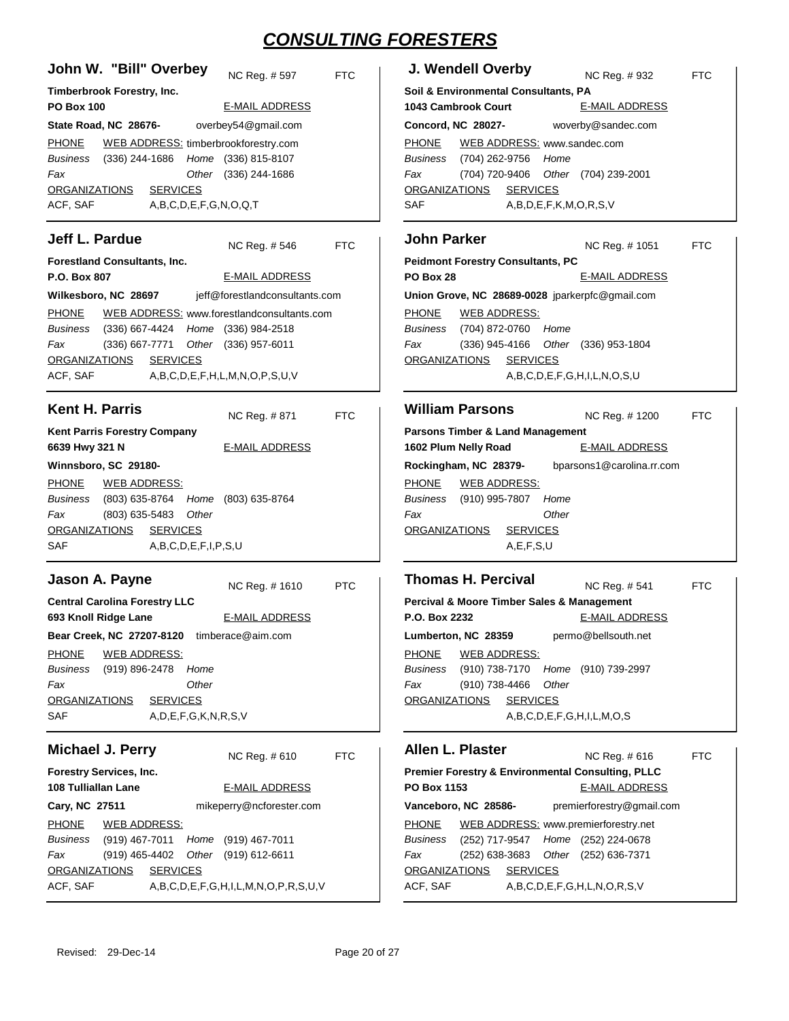| John W. "Bill" Overbey                                                                          | J. Wendell Overby                                                                                  |
|-------------------------------------------------------------------------------------------------|----------------------------------------------------------------------------------------------------|
| NC Reg. #597                                                                                    | NC Reg. #932                                                                                       |
| <b>FTC</b>                                                                                      | <b>FTC</b>                                                                                         |
| Timberbrook Forestry, Inc.                                                                      | Soil & Environmental Consultants, PA                                                               |
| <b>E-MAIL ADDRESS</b>                                                                           | 1043 Cambrook Court                                                                                |
| <b>PO Box 100</b>                                                                               | <b>E-MAIL ADDRESS</b>                                                                              |
|                                                                                                 |                                                                                                    |
| overbey54@gmail.com                                                                             | woverby@sandec.com                                                                                 |
| State Road, NC 28676-                                                                           | Concord, NC 28027-                                                                                 |
| <b>PHONE</b>                                                                                    | <b>PHONE</b>                                                                                       |
| WEB ADDRESS: timberbrookforestry.com                                                            | WEB ADDRESS: www.sandec.com                                                                        |
| (336) 244-1686 Home (336) 815-8107<br>Business<br>Fax<br>Other (336) 244-1686                   | (704) 262-9756<br>Home<br>Business<br>(704) 720-9406<br>Fax<br>Other (704) 239-2001                |
| <b>SERVICES</b>                                                                                 | <b>SERVICES</b>                                                                                    |
| <b>ORGANIZATIONS</b>                                                                            | <b>ORGANIZATIONS</b>                                                                               |
| ACF, SAF                                                                                        | SAF                                                                                                |
| A,B,C,D,E,F,G,N,O,Q,T                                                                           | A,B,D,E,F,K,M,O,R,S,V                                                                              |
|                                                                                                 |                                                                                                    |
| <b>Jeff L. Pardue</b>                                                                           | <b>John Parker</b>                                                                                 |
| NC Reg. #546                                                                                    | NC Reg. # 1051                                                                                     |
| <b>FTC</b>                                                                                      | <b>FTC</b>                                                                                         |
| Forestland Consultants, Inc.                                                                    | <b>Peidmont Forestry Consultants, PC</b>                                                           |
| P.O. Box 807                                                                                    | <b>PO Box 28</b>                                                                                   |
| <b>E-MAIL ADDRESS</b>                                                                           | <b>E-MAIL ADDRESS</b>                                                                              |
| Wilkesboro, NC 28697<br>jeff@forestlandconsultants.com                                          | Union Grove, NC 28689-0028 jparkerpfc@gmail.com                                                    |
| <b>PHONE</b>                                                                                    | <b>PHONE</b>                                                                                       |
| WEB ADDRESS: www.forestlandconsultants.com                                                      | <b>WEB ADDRESS:</b>                                                                                |
| Business                                                                                        | Home                                                                                               |
| (336) 667-4424                                                                                  | <b>Business</b>                                                                                    |
| Home (336) 984-2518                                                                             | (704) 872-0760                                                                                     |
| Fax                                                                                             | Fax                                                                                                |
| (336) 667-7771                                                                                  | $(336)$ 945-4166                                                                                   |
| Other (336) 957-6011                                                                            | Other (336) 953-1804                                                                               |
| <b>ORGANIZATIONS</b>                                                                            | <b>ORGANIZATIONS</b>                                                                               |
| <b>SERVICES</b>                                                                                 | <b>SERVICES</b>                                                                                    |
| ACF, SAF<br>A,B,C,D,E,F,H,L,M,N,O,P,S,U,V                                                       | A,B,C,D,E,F,G,H,I,L,N,O,S,U                                                                        |
| <b>Kent H. Parris</b>                                                                           | <b>William Parsons</b>                                                                             |
| NC Reg. #871                                                                                    | NC Reg. #1200                                                                                      |
| <b>FTC</b>                                                                                      | <b>FTC</b>                                                                                         |
| <b>Kent Parris Forestry Company</b>                                                             | Parsons Timber & Land Management                                                                   |
| 6639 Hwy 321 N                                                                                  | 1602 Plum Nelly Road                                                                               |
| <b>E-MAIL ADDRESS</b>                                                                           | <b>E-MAIL ADDRESS</b>                                                                              |
| Winnsboro, SC 29180-                                                                            | Rockingham, NC 28379-<br>bparsons1@carolina.rr.com                                                 |
| <b>PHONE</b>                                                                                    | <b>PHONE</b>                                                                                       |
| <b>WEB ADDRESS:</b>                                                                             | <b>WEB ADDRESS:</b>                                                                                |
| Business<br>(803) 635-8764 Home (803) 635-8764                                                  | (910) 995-7807<br>Business<br>Home                                                                 |
| Fax                                                                                             | Fax                                                                                                |
| (803) 635-5483 Other                                                                            | Other                                                                                              |
| <b>SERVICES</b>                                                                                 | <b>ORGANIZATIONS</b>                                                                               |
| <b>ORGANIZATIONS</b>                                                                            | <b>SERVICES</b>                                                                                    |
| SAF<br>A,B,C,D,E,F,I,P,S,U                                                                      | A, E, F, S, U                                                                                      |
|                                                                                                 |                                                                                                    |
| Jason A. Payne                                                                                  | <b>Thomas H. Percival</b>                                                                          |
| NC Reg. #1610                                                                                   | NC Reg. #541                                                                                       |
| <b>PTC</b>                                                                                      | <b>FTC</b>                                                                                         |
| <b>Central Carolina Forestry LLC</b>                                                            | Percival & Moore Timber Sales & Management                                                         |
| 693 Knoll Ridge Lane                                                                            | <b>E-MAIL ADDRESS</b>                                                                              |
| <b>E-MAIL ADDRESS</b>                                                                           | P.O. Box 2232                                                                                      |
| Bear Creek, NC 27207-8120 timberace@aim.com                                                     | permo@bellsouth.net<br>Lumberton, NC 28359                                                         |
| <b>PHONE</b>                                                                                    | <b>PHONE</b>                                                                                       |
| <b>WEB ADDRESS:</b>                                                                             | <b>WEB ADDRESS:</b>                                                                                |
| <b>Business</b>                                                                                 | (910) 738-7170                                                                                     |
| (919) 896-2478                                                                                  | Business                                                                                           |
| Home                                                                                            | Home (910) 739-2997                                                                                |
| Other<br>Fax                                                                                    | (910) 738-4466<br>Other<br>Fax                                                                     |
| <b>ORGANIZATIONS</b>                                                                            | <b>ORGANIZATIONS</b>                                                                               |
| <b>SERVICES</b>                                                                                 | <b>SERVICES</b>                                                                                    |
| SAF<br>A, D, E, F, G, K, N, R, S, V                                                             | A,B,C,D,E,F,G,H,I,L,M,O,S                                                                          |
| Michael J. Perry                                                                                | Allen L. Plaster                                                                                   |
| NC Req. #610                                                                                    | NC Reg. #616                                                                                       |
| <b>FTC</b>                                                                                      | <b>FTC</b>                                                                                         |
| <b>Forestry Services, Inc.</b>                                                                  | <b>Premier Forestry &amp; Environmental Consulting, PLLC</b>                                       |
| <b>108 Tulliallan Lane</b>                                                                      | PO Box 1153                                                                                        |
| <b>E-MAIL ADDRESS</b>                                                                           | <b>E-MAIL ADDRESS</b>                                                                              |
|                                                                                                 |                                                                                                    |
| mikeperry@ncforester.com                                                                        | premierforestry@gmail.com                                                                          |
| Cary, NC 27511                                                                                  | Vanceboro, NC 28586-                                                                               |
| <b>PHONE</b>                                                                                    | <b>PHONE</b>                                                                                       |
| WEB ADDRESS:                                                                                    | WEB ADDRESS: www.premierforestry.net                                                               |
| Business<br>(919) 467-7011 Home (919) 467-7011<br>Fax<br>(919) 465-4402<br>Other (919) 612-6611 | Business<br>(252) 717-9547<br>Home (252) 224-0678<br>(252) 638-3683<br>Fax<br>Other (252) 636-7371 |
| <b>SERVICES</b>                                                                                 | <b>ORGANIZATIONS</b>                                                                               |
| <b>ORGANIZATIONS</b>                                                                            | <b>SERVICES</b>                                                                                    |
| ACF, SAF                                                                                        | ACF, SAF                                                                                           |
| A,B,C,D,E,F,G,H,I,L,M,N,O,P,R,S,U,V                                                             | A,B,C,D,E,F,G,H,L,N,O,R,S,V                                                                        |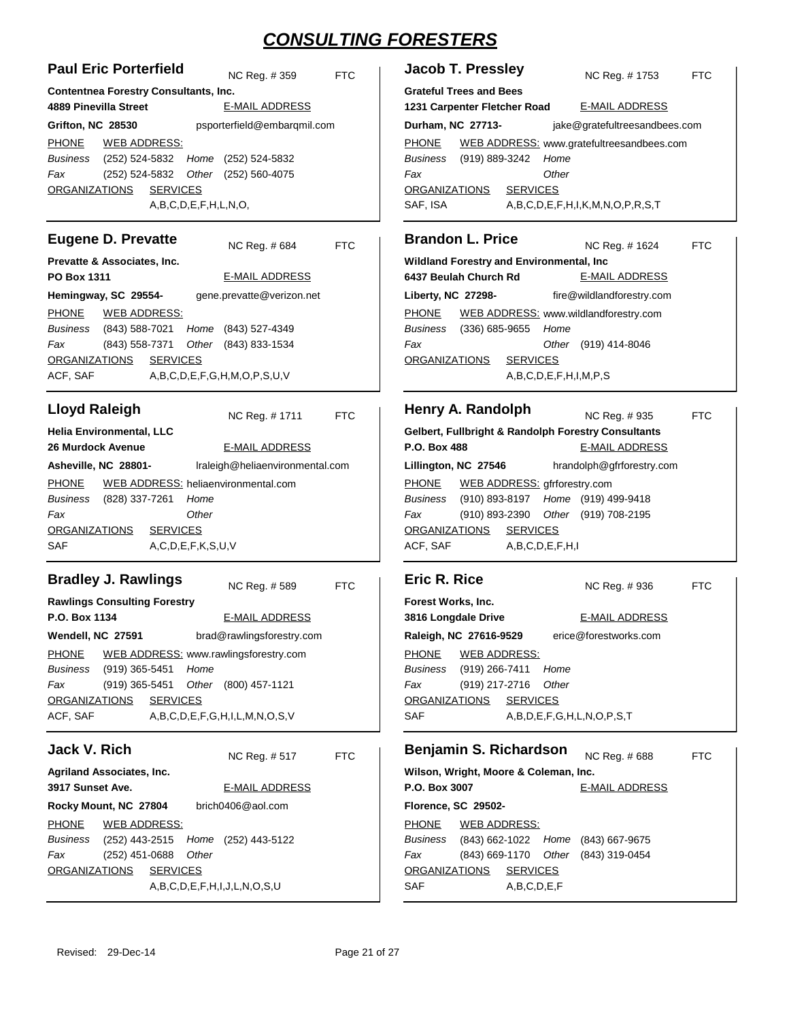| <b>Paul Eric Porterfield</b>                             | NC Reg. #359                    | <b>FTC</b>                  | J              |  |  |
|----------------------------------------------------------|---------------------------------|-----------------------------|----------------|--|--|
| <b>Contentnea Forestry Consultants, Inc.</b>             |                                 |                             | G              |  |  |
| <b>4889 Pinevilla Street</b>                             | <b>E-MAIL ADDRESS</b>           | 12                          |                |  |  |
| Grifton, NC 28530                                        |                                 | psporterfield@embarqmil.com |                |  |  |
| PHONE<br><b>WEB ADDRESS:</b>                             |                                 |                             | <u>P</u>       |  |  |
| Business (252) 524-5832 Home (252) 524-5832              |                                 |                             | в              |  |  |
| Fax<br>(252) 524-5832 Other (252) 560-4075               |                                 |                             | F              |  |  |
| <u>ORGANIZATIONS</u><br><b>SERVICES</b>                  |                                 |                             | <u>o</u>       |  |  |
| A,B,C,D,E,F,H,L,N,O,                                     |                                 |                             | S.             |  |  |
| <b>Eugene D. Prevatte</b>                                | NC Reg. #684                    | <b>FTC</b>                  | В              |  |  |
| Prevatte & Associates, Inc.                              |                                 |                             | W              |  |  |
| <b>PO Box 1311</b>                                       | <b>E-MAIL ADDRESS</b>           |                             | 64             |  |  |
| Hemingway, SC 29554-                                     | gene.prevatte@verizon.net       |                             | Li             |  |  |
| PHONE<br><b>WEB ADDRESS:</b>                             |                                 |                             | $\mathsf{P}$   |  |  |
| Business (843) 588-7021 Home (843) 527-4349              |                                 |                             | в              |  |  |
| Fax<br>(843) 558-7371 Other (843) 833-1534               |                                 |                             | F              |  |  |
| ORGANIZATIONS SERVICES                                   |                                 |                             | <u>o</u>       |  |  |
| ACF, SAF A,B,C,D,E,F,G,H,M,O,P,S,U,V                     |                                 |                             |                |  |  |
|                                                          |                                 |                             |                |  |  |
| <b>Lloyd Raleigh</b>                                     | NC Reg. # 1711                  | <b>FTC</b>                  | Н              |  |  |
| <b>Helia Environmental, LLC</b>                          |                                 |                             | G              |  |  |
| <b>26 Murdock Avenue</b>                                 | <b>E-MAIL ADDRESS</b>           |                             | P.             |  |  |
| Asheville, NC 28801-                                     | Iraleigh@heliaenvironmental.com |                             | Li             |  |  |
| PHONE WEB ADDRESS: heliaenvironmental.com                |                                 |                             | <u>P</u>       |  |  |
| Business (828) 337-7261<br>Home                          |                                 |                             | В              |  |  |
| Fax<br>Other                                             |                                 |                             | F              |  |  |
| ORGANIZATIONS SERVICES                                   |                                 |                             | Q              |  |  |
| SAF<br>A, C, D, E, F, K, S, U, V                         |                                 |                             | A١             |  |  |
| <b>Bradley J. Rawlings</b>                               | NC Reg. # 589                   | <b>FTC</b>                  | Е              |  |  |
| <b>Rawlings Consulting Forestry</b>                      |                                 |                             | F٥             |  |  |
| P.O. Box 1134                                            | <b>E-MAIL ADDRESS</b>           |                             | 38             |  |  |
| Wendell, NC 27591                                        | brad@rawlingsforestry.com       |                             | R              |  |  |
| PHONE WEB ADDRESS: www.rawlingsforestry.com              |                                 |                             | <u>Pl</u>      |  |  |
| Home<br>Business<br>(919) 365-5451                       |                                 |                             | в              |  |  |
| Fax<br>(919) 365-5451                                    | Other (800) 457-1121            |                             | F              |  |  |
| ORGANIZATIONS SERVICES                                   |                                 |                             | ⊻              |  |  |
| ACF, SAF                                                 | A,B,C,D,E,F,G,H,I,L,M,N,O,S,V   |                             | S,             |  |  |
| Jack V. Rich                                             |                                 |                             | В              |  |  |
|                                                          | NC Reg. #517                    | <b>FTC</b>                  |                |  |  |
| <b>Agriland Associates, Inc.</b>                         |                                 |                             | W              |  |  |
| 3917 Sunset Ave.                                         | <b>E-MAIL ADDRESS</b>           |                             | Р.             |  |  |
| Rocky Mount, NC 27804                                    | brich0406@aol.com               |                             | FI             |  |  |
| <b>PHONE</b><br><b>WEB ADDRESS:</b>                      |                                 |                             | <u>P</u>       |  |  |
| Business<br>(252) 443-2515                               | Home (252) 443-5122             |                             | в              |  |  |
| Fax<br>(252) 451-0688<br>Other<br>ORGANIZATIONS SERVICES |                                 |                             | F              |  |  |
|                                                          | A,B,C,D,E,F,H,I,J,L,N,O,S,U     |                             | <u>o</u><br>S. |  |  |
|                                                          |                                 |                             |                |  |  |

| Jacob T. Pressley                                                                                              |                                                                                                                                    | NC Reg. # 1753                                   | <b>FTC</b> |  |  |
|----------------------------------------------------------------------------------------------------------------|------------------------------------------------------------------------------------------------------------------------------------|--------------------------------------------------|------------|--|--|
| <b>Grateful Trees and Bees</b>                                                                                 |                                                                                                                                    |                                                  |            |  |  |
| 1231 Carpenter Fletcher Road                                                                                   |                                                                                                                                    | <b>E-MAIL ADDRESS</b>                            |            |  |  |
| Durham, NC 27713-                                                                                              |                                                                                                                                    | jake@gratefultreesandbees.com                    |            |  |  |
| PHONE WEB ADDRESS: www.gratefultreesandbees.com<br>Business (919) 889-3242<br>Fax<br>ORGANIZATIONS<br>SAF, ISA | Home<br>Other<br><b>SERVICES</b>                                                                                                   | $A, B, C, D, E, F, H, I, K, M, N, O, P, R, S, T$ |            |  |  |
| 6437 Beulah Church Rd                                                                                          | <b>Brandon L. Price</b><br><b>FTC</b><br>NC Reg. #1624<br><b>Wildland Forestry and Environmental, Inc</b><br><b>E-MAIL ADDRESS</b> |                                                  |            |  |  |
| Liberty, NC 27298-                                                                                             |                                                                                                                                    | fire@wildlandforestry.com                        |            |  |  |
| PHONE WEB ADDRESS: www.wildlandforestry.com<br>Business (336) 685-9655<br>Fax<br>ORGANIZATIONS                 | Home<br><b>SERVICES</b><br>A, B, C, D, E, F, H, I, M, P, S                                                                         | Other (919) 414-8046                             |            |  |  |
| Henry A. Randolph<br>Gelbert, Fullbright & Randolph Forestry Consultants                                       |                                                                                                                                    | NC Reg. # 935                                    | <b>FTC</b> |  |  |
| P.O. Box 488                                                                                                   |                                                                                                                                    | <b>E-MAIL ADDRESS</b>                            |            |  |  |
| Lillington, NC 27546                                                                                           |                                                                                                                                    | hrandolph@gfrforestry.com                        |            |  |  |
| PHONE WER ADDRESS: afrforestry com                                                                             |                                                                                                                                    |                                                  |            |  |  |

| PHONE WEB ADDRESS: gfrforestry.com |                        |                                             |  |
|------------------------------------|------------------------|---------------------------------------------|--|
|                                    |                        | Business (910) 893-8197 Home (919) 499-9418 |  |
| Fax                                |                        | (910) 893-2390 Other (919) 708-2195         |  |
| ORGANIZATIONS SERVICES             |                        |                                             |  |
| ACF, SAF                           | A, B, C, D, E, F, H, I |                                             |  |
|                                    |                        |                                             |  |

| Eric R. Rice                                  |                                       |       | NC Reg. #936          | FTC |  |  |  |
|-----------------------------------------------|---------------------------------------|-------|-----------------------|-----|--|--|--|
| Forest Works, Inc.                            |                                       |       |                       |     |  |  |  |
|                                               | 3816 Longdale Drive                   |       | <b>E-MAIL ADDRESS</b> |     |  |  |  |
|                                               | Raleigh, NC 27616-9529                |       | erice@forestworks.com |     |  |  |  |
| PHONE                                         | <b>WEB ADDRESS:</b>                   |       |                       |     |  |  |  |
|                                               | Business (919) 266-7411 Home          |       |                       |     |  |  |  |
| Fax                                           | (919) 217-2716                        | Other |                       |     |  |  |  |
| <b>ORGANIZATIONS</b><br><b>SERVICES</b>       |                                       |       |                       |     |  |  |  |
| <b>SAF</b>                                    | A.B.D.E.F.G.H.L.N.O.P.S.T             |       |                       |     |  |  |  |
| Benjamin S. Richardson<br>NC Reg. #688<br>FTC |                                       |       |                       |     |  |  |  |
|                                               | Wilson, Wright, Moore & Coleman, Inc. |       |                       |     |  |  |  |

|                                | <b>THE COLUMN PRISP</b>                     |  |                       |  |  |  |
|--------------------------------|---------------------------------------------|--|-----------------------|--|--|--|
| P.O. Box 3007                  |                                             |  | <b>E-MAIL ADDRESS</b> |  |  |  |
| <b>Florence, SC 29502-</b>     |                                             |  |                       |  |  |  |
|                                | PHONE WEB ADDRESS:                          |  |                       |  |  |  |
|                                | Business (843) 662-1022 Home (843) 667-9675 |  |                       |  |  |  |
| Fax                            | (843) 669-1170 Other (843) 319-0454         |  |                       |  |  |  |
| ORGANIZATIONS SERVICES         |                                             |  |                       |  |  |  |
| <b>SAF</b><br>A, B, C, D, E, F |                                             |  |                       |  |  |  |
|                                |                                             |  |                       |  |  |  |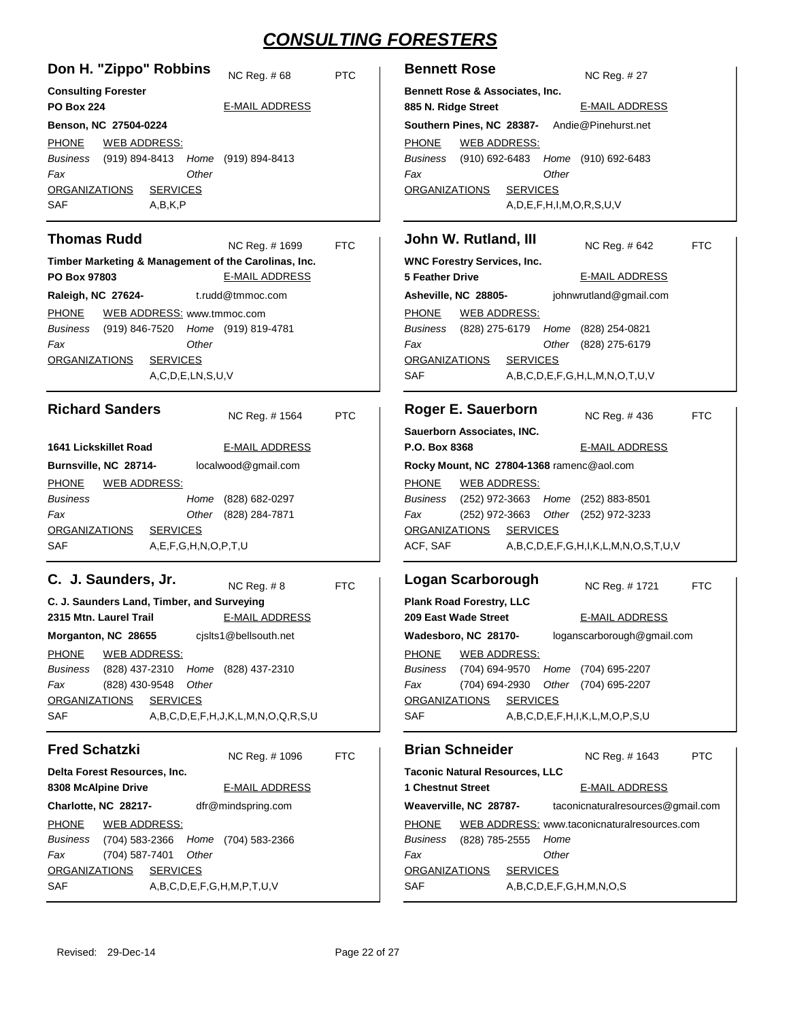| Don H. "Zippo" Robbins<br>NC Reg. #68                                                                                                                              | <b>PTC</b> | <b>Bennett Rose</b><br>NC Reg. # 27                                                                                                                                                              |
|--------------------------------------------------------------------------------------------------------------------------------------------------------------------|------------|--------------------------------------------------------------------------------------------------------------------------------------------------------------------------------------------------|
| <b>Consulting Forester</b><br><b>PO Box 224</b><br><b>E-MAIL ADDRESS</b>                                                                                           |            | Bennett Rose & Associates, Inc.<br>885 N. Ridge Street<br><b>E-MAIL ADDRESS</b>                                                                                                                  |
| Benson, NC 27504-0224                                                                                                                                              |            | Andie@Pinehurst.net<br>Southern Pines, NC 28387-                                                                                                                                                 |
| <b>PHONE</b><br><b>WEB ADDRESS:</b><br>Business<br>(919) 894-8413 Home (919) 894-8413<br>Other<br>Fax<br><b>ORGANIZATIONS</b><br><b>SERVICES</b><br>SAF<br>A,B,K,P |            | <b>PHONE</b><br><b>WEB ADDRESS:</b><br><b>Business</b><br>(910) 692-6483<br>Home (910) 692-6483<br>Fax<br>Other<br><b>ORGANIZATIONS</b><br><b>SERVICES</b><br>A, D, E, F, H, I, M, O, R, S, U, V |
| <b>Thomas Rudd</b><br>NC Reg. #1699                                                                                                                                | <b>FTC</b> | John W. Rutland, III<br>NC Reg. # 642<br><b>FTC</b>                                                                                                                                              |
| Timber Marketing & Management of the Carolinas, Inc.                                                                                                               |            | <b>WNC Forestry Services, Inc.</b>                                                                                                                                                               |
| <b>E-MAIL ADDRESS</b><br>PO Box 97803                                                                                                                              |            | <b>5 Feather Drive</b><br><b>E-MAIL ADDRESS</b>                                                                                                                                                  |
| t.rudd@tmmoc.com<br>Raleigh, NC 27624-                                                                                                                             |            | Asheville, NC 28805-<br>johnwrutland@gmail.com                                                                                                                                                   |
| <b>PHONE</b><br>WEB ADDRESS: www.tmmoc.com                                                                                                                         |            | <b>PHONE</b><br><b>WEB ADDRESS:</b>                                                                                                                                                              |
| Business<br>Home (919) 819-4781<br>(919) 846-7520<br>Other                                                                                                         |            | Business<br>(828) 275-6179<br>Home<br>(828) 254-0821                                                                                                                                             |
| Fax<br><b>SERVICES</b><br>ORGANIZATIONS                                                                                                                            |            | Fax<br>Other<br>(828) 275-6179<br><b>ORGANIZATIONS</b><br><b>SERVICES</b>                                                                                                                        |
| A,C,D,E,LN,S,U,V                                                                                                                                                   |            | SAF<br>A,B,C,D,E,F,G,H,L,M,N,O,T,U,V                                                                                                                                                             |
| <b>Richard Sanders</b><br>NC Reg. # 1564                                                                                                                           | <b>PTC</b> | Roger E. Sauerborn<br>NC Req. #436<br><b>FTC</b>                                                                                                                                                 |
|                                                                                                                                                                    |            | Sauerborn Associates, INC.                                                                                                                                                                       |
| 1641 Lickskillet Road<br><b>E-MAIL ADDRESS</b>                                                                                                                     |            | P.O. Box 8368<br><b>E-MAIL ADDRESS</b>                                                                                                                                                           |
| localwood@gmail.com<br>Burnsville, NC 28714-                                                                                                                       |            | Rocky Mount, NC 27804-1368 ramenc@aol.com                                                                                                                                                        |
| <b>PHONE</b><br><u>WEB ADDRESS:</u>                                                                                                                                |            | <b>PHONE</b><br><b>WEB ADDRESS:</b>                                                                                                                                                              |
| <b>Business</b><br>(828) 682-0297<br>Home<br>Fax<br>Other<br>(828) 284-7871                                                                                        |            | Home (252) 883-8501<br><b>Business</b><br>(252) 972-3663<br>(252) 972-3663<br>(252) 972-3233<br>Fax<br>Other                                                                                     |
| <b>ORGANIZATIONS</b><br><b>SERVICES</b>                                                                                                                            |            | <b>ORGANIZATIONS</b><br><b>SERVICES</b>                                                                                                                                                          |
| SAF<br>A,E,F,G,H,N,O,P,T,U                                                                                                                                         |            | ACF, SAF<br>A,B,C,D,E,F,G,H,I,K,L,M,N,O,S,T,U,V                                                                                                                                                  |
| C. J. Saunders, Jr.<br><b>NC Reg. #8</b>                                                                                                                           | <b>FTC</b> | <b>Logan Scarborough</b><br>NC Reg. #1721<br><b>FTC</b>                                                                                                                                          |
| C. J. Saunders Land, Timber, and Surveying                                                                                                                         |            | <b>Plank Road Forestry, LLC</b>                                                                                                                                                                  |
| <b>E-MAIL ADDRESS</b><br>2315 Mtn. Laurel Trail                                                                                                                    |            | 209 East Wade Street<br><b>E-MAIL ADDRESS</b>                                                                                                                                                    |
| cjslts1@bellsouth.net<br>Morganton, NC 28655                                                                                                                       |            | Wadesboro, NC 28170-<br>loganscarborough@gmail.com                                                                                                                                               |
| <b>PHONE</b><br><b>WEB ADDRESS:</b>                                                                                                                                |            | <b>PHONE</b><br><b>WEB ADDRESS:</b>                                                                                                                                                              |
| Business<br>(828) 437-2310<br>Home (828) 437-2310<br>Fax<br>(828) 430-9548<br>Other                                                                                |            | (704) 694-9570<br>Business<br>Home (704) 695-2207<br>Fax<br>(704) 694-2930<br>Other<br>(704) 695-2207                                                                                            |
| <b>SERVICES</b><br><b>ORGANIZATIONS</b>                                                                                                                            |            | <b>SERVICES</b><br><b>ORGANIZATIONS</b>                                                                                                                                                          |
| A,B,C,D,E,F,H,J,K,L,M,N,O,Q,R,S,U<br>SAF                                                                                                                           |            | A,B,C,D,E,F,H,I,K,L,M,O,P,S,U<br>SAF                                                                                                                                                             |
| <b>Fred Schatzki</b><br>NC Reg. #1096                                                                                                                              | <b>FTC</b> | <b>Brian Schneider</b><br><b>PTC</b><br>NC Reg. # 1643                                                                                                                                           |
| Delta Forest Resources, Inc.                                                                                                                                       |            | <b>Taconic Natural Resources, LLC</b>                                                                                                                                                            |
| <b>E-MAIL ADDRESS</b><br>8308 McAlpine Drive                                                                                                                       |            | <b>1 Chestnut Street</b><br><b>E-MAIL ADDRESS</b>                                                                                                                                                |
| dfr@mindspring.com<br>Charlotte, NC 28217-                                                                                                                         |            | Weaverville, NC 28787-<br>taconicnaturalresources@gmail.com                                                                                                                                      |
| <b>PHONE</b><br><b>WEB ADDRESS:</b>                                                                                                                                |            | <b>PHONE</b><br>WEB ADDRESS: www.taconicnaturalresources.com                                                                                                                                     |
| Business<br>(704) 583-2366<br>Home<br>(704) 583-2366<br>(704) 587-7401<br>Fax<br>Other                                                                             |            | Business<br>(828) 785-2555<br>Home<br>Other<br>Fax                                                                                                                                               |
| <b>ORGANIZATIONS</b><br><b>SERVICES</b>                                                                                                                            |            | <b>ORGANIZATIONS</b><br><b>SERVICES</b>                                                                                                                                                          |
| SAF<br>A,B,C,D,E,F,G,H,M,P,T,U,V                                                                                                                                   |            | SAF<br>A,B,C,D,E,F,G,H,M,N,O,S                                                                                                                                                                   |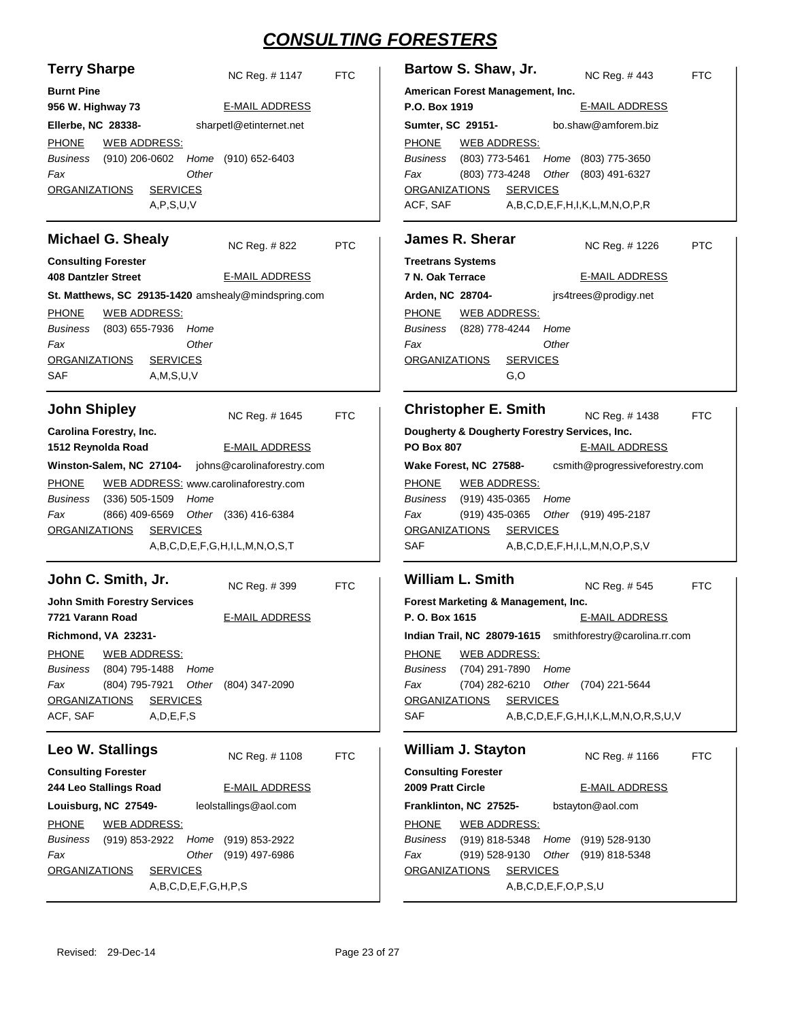FTC

PTC

FTC

FTC

FTC

| <b>Terry Sharpe</b><br>NC Reg. #1147<br><b>Burnt Pine</b><br>956 W. Highway 73<br><b>E-MAIL ADDRESS</b><br>sharpetl@etinternet.net<br>Ellerbe, NC 28338-<br><b>WEB ADDRESS:</b><br><b>PHONE</b><br>$(910)$ 206-0602<br>(910) 652-6403<br>Business<br>Home<br>Other<br>Fax<br><b>ORGANIZATIONS</b><br><b>SERVICES</b><br>A, P, S, U, V                                                                    | <b>FTC</b> | Bartow S. Shaw, Jr.<br>NC Reg. #443<br>FT<br>American Forest Management, Inc.<br>P.O. Box 1919<br><b>E-MAIL ADDRESS</b><br>bo.shaw@amforem.biz<br>Sumter, SC 29151-<br><b>PHONE</b><br><b>WEB ADDRESS:</b><br>(803) 773-5461<br>(803) 775-3650<br><b>Business</b><br>Home<br>(803) 773-4248<br>Other<br>Fax<br>(803) 491-6327<br><b>ORGANIZATIONS</b><br><b>SERVICES</b><br>ACF, SAF<br>A,B,C,D,E,F,H,I,K,L,M,N,O,P,R                             |
|----------------------------------------------------------------------------------------------------------------------------------------------------------------------------------------------------------------------------------------------------------------------------------------------------------------------------------------------------------------------------------------------------------|------------|---------------------------------------------------------------------------------------------------------------------------------------------------------------------------------------------------------------------------------------------------------------------------------------------------------------------------------------------------------------------------------------------------------------------------------------------------|
| <b>Michael G. Shealy</b><br>NC Reg. #822<br><b>Consulting Forester</b><br><b>408 Dantzler Street</b><br><b>E-MAIL ADDRESS</b><br>St. Matthews, SC 29135-1420 amshealy@mindspring.com<br><b>PHONE</b><br><b>WEB ADDRESS:</b><br><b>Business</b><br>(803) 655-7936<br>Home<br>Fax<br>Other<br><b>ORGANIZATIONS</b><br><b>SERVICES</b><br>SAF<br>A, M, S, U, V                                              | <b>PTC</b> | <b>James R. Sherar</b><br>NC Reg. # 1226<br>PT<br><b>Treetrans Systems</b><br>7 N. Oak Terrace<br><b>E-MAIL ADDRESS</b><br>Arden, NC 28704-<br>jrs4trees@prodigy.net<br><b>PHONE</b><br><b>WEB ADDRESS:</b><br><b>Business</b><br>(828) 778-4244<br>Home<br>Other<br>Fax<br><b>ORGANIZATIONS</b><br><b>SERVICES</b><br>G, O                                                                                                                       |
| <b>John Shipley</b><br>NC Reg. # 1645<br>Carolina Forestry, Inc.<br>1512 Reynolda Road<br><b>E-MAIL ADDRESS</b><br>johns@carolinaforestry.com<br>Winston-Salem, NC 27104-<br><b>PHONE</b><br>WEB ADDRESS: www.carolinaforestry.com<br>(336) 505-1509<br>Business<br>Home<br>Other<br>Fax<br>(866) 409-6569<br>(336) 416-6384<br><b>SERVICES</b><br><b>ORGANIZATIONS</b><br>A,B,C,D,E,F,G,H,I,L,M,N,O,S,T | <b>FTC</b> | <b>Christopher E. Smith</b><br>NC Reg. # 1438<br>FT<br>Dougherty & Dougherty Forestry Services, Inc.<br><b>PO Box 807</b><br><b>E-MAIL ADDRESS</b><br>csmith@progressiveforestry.com<br>Wake Forest, NC 27588-<br><b>PHONE</b><br><u>WEB ADDRESS:</u><br><b>Business</b><br>$(919)$ 435-0365<br>Home<br>(919) 435-0365<br>Other<br>Fax<br>(919) 495-2187<br><b>SERVICES</b><br><b>ORGANIZATIONS</b><br>SAF<br>A,B,C,D,E,F,H,I,L,M,N,O,P,S,V       |
| John C. Smith, Jr.<br>NC Reg. #399<br><b>John Smith Forestry Services</b><br><b>E-MAIL ADDRESS</b><br>7721 Varann Road<br>Richmond, VA 23231-<br><b>PHONE</b><br><b>WEB ADDRESS:</b><br>(804) 795-1488<br>Business<br>Home<br>(804) 795-7921<br>Other<br>Fax<br>(804) 347-2090<br><b>ORGANIZATIONS</b><br><b>SERVICES</b><br>ACF, SAF<br>A, D, E, F, S                                                   | <b>FTC</b> | <b>William L. Smith</b><br>NC Reg. # 545<br>FT<br>Forest Marketing & Management, Inc.<br>P. O. Box 1615<br><b>E-MAIL ADDRESS</b><br>Indian Trail, NC 28079-1615 smithforestry@carolina.rr.com<br><b>PHONE</b><br><b>WEB ADDRESS:</b><br>(704) 291-7890<br>Home<br>Business<br>(704) 282-6210<br>Other<br>Fax<br>(704) 221-5644<br><b>SERVICES</b><br><b>ORGANIZATIONS</b><br><b>SAF</b><br>$A, B, C, D, E, F, G, H, I, K, L, M, N, O, R, S, U, V$ |
| Leo W. Stallings<br>NC Req. #1108<br><b>Consulting Forester</b><br>244 Leo Stallings Road<br><b>E-MAIL ADDRESS</b><br>Louisburg, NC 27549-<br>leolstallings@aol.com<br><b>PHONE</b><br><b>WEB ADDRESS:</b><br>Business<br>(919) 853-2922<br>Home<br>(919) 853-2922<br>Fax<br>Other<br>(919) 497-6986<br><b>SERVICES</b><br><b>ORGANIZATIONS</b><br>A,B,C,D,E,F,G,H,P,S                                   | <b>FTC</b> | <b>William J. Stayton</b><br>NC Reg. #1166<br>FT<br><b>Consulting Forester</b><br>2009 Pratt Circle<br><b>E-MAIL ADDRESS</b><br>bstayton@aol.com<br>Franklinton, NC 27525-<br><b>PHONE</b><br><b>WEB ADDRESS:</b><br>(919) 818-5348<br>Business<br>Home<br>(919) 528-9130<br>(919) 528-9130<br>Other<br>Fax<br>(919) 818-5348<br><b>ORGANIZATIONS</b><br><b>SERVICES</b><br>A,B,C,D,E,F,O,P,S,U                                                   |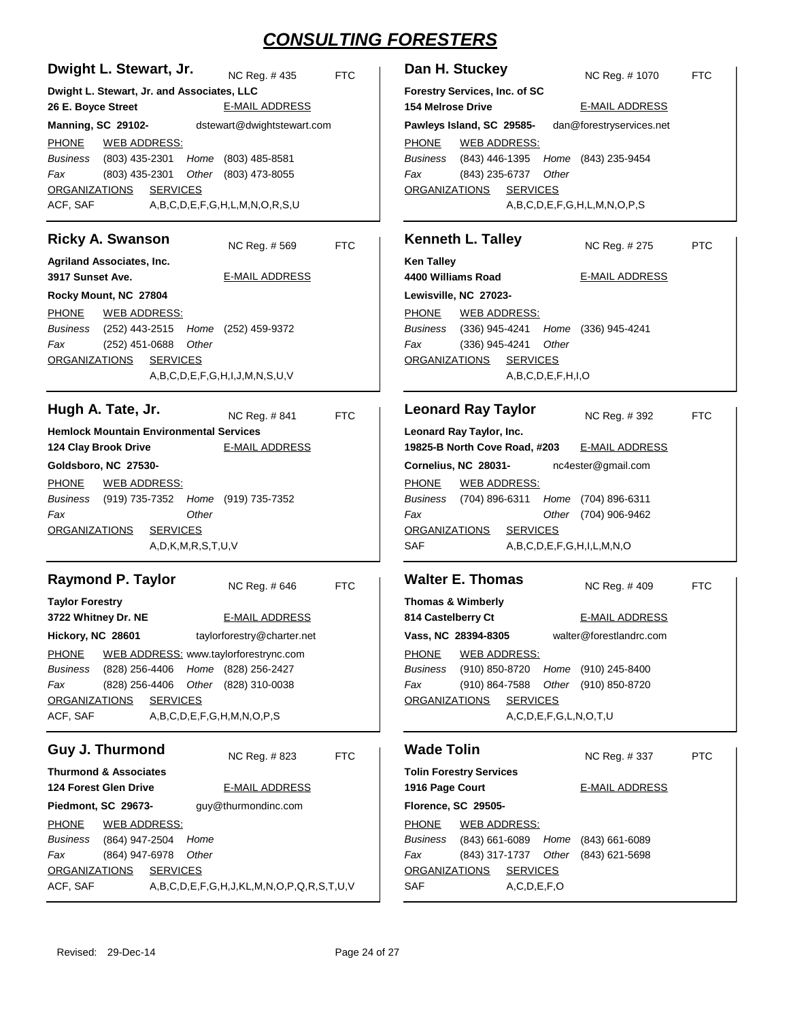| Dan H. Stuckey<br>NC Reg. # 1070<br><b>FTC</b>                                                                                                                                                                                                                                                                                                                                                                              |
|-----------------------------------------------------------------------------------------------------------------------------------------------------------------------------------------------------------------------------------------------------------------------------------------------------------------------------------------------------------------------------------------------------------------------------|
| Forestry Services, Inc. of SC<br><b>154 Melrose Drive</b><br><b>E-MAIL ADDRESS</b>                                                                                                                                                                                                                                                                                                                                          |
| dan@forestryservices.net<br>Pawleys Island, SC 29585-<br><b>PHONE</b><br><b>WEB ADDRESS:</b><br><b>Business</b><br>(843) 446-1395<br>Home (843) 235-9454<br>Fax<br>(843) 235-6737<br>Other<br><b>SERVICES</b><br><b>ORGANIZATIONS</b><br>A,B,C,D,E,F,G,H,L,M,N,O,P,S                                                                                                                                                        |
| <b>Kenneth L. Talley</b><br>NC Reg. # 275<br><b>PTC</b>                                                                                                                                                                                                                                                                                                                                                                     |
| <b>Ken Talley</b><br>4400 Williams Road<br><b>E-MAIL ADDRESS</b><br>Lewisville, NC 27023-                                                                                                                                                                                                                                                                                                                                   |
| <b>PHONE</b><br>WEB ADDRESS:<br><b>Business</b><br>(336) 945-4241<br>Home<br>(336) 945-4241<br>Fax<br>(336) 945-4241<br>Other<br><b>SERVICES</b><br><b>ORGANIZATIONS</b><br>A,B,C,D,E,F,H,I,O                                                                                                                                                                                                                               |
| <b>Leonard Ray Taylor</b><br>NC Reg. #392<br><b>FTC</b>                                                                                                                                                                                                                                                                                                                                                                     |
| Leonard Ray Taylor, Inc.<br>19825-B North Cove Road, #203<br><b>E-MAIL ADDRESS</b><br>Cornelius, NC 28031-<br>nc4ester@gmail.com<br><b>PHONE</b><br><u>WEB ADDRESS:</u><br>(704) 896-6311<br><b>Business</b><br>Home<br>(704) 896-6311<br>Fax<br>Other<br>(704) 906-9462<br><b>SERVICES</b><br><b>ORGANIZATIONS</b><br>SAF<br>A,B,C,D,E,F,G,H,I,L,M,N,O                                                                     |
| <b>Walter E. Thomas</b><br>NC Reg. #409<br><b>FTC</b><br><b>Thomas &amp; Wimberly</b><br><b>E-MAIL ADDRESS</b><br>814 Castelberry Ct<br>walter@forestlandrc.com<br>Vass, NC 28394-8305<br><b>PHONE</b><br><b>WEB ADDRESS:</b><br>(910) 850-8720<br><b>Business</b><br>Home (910) 245-8400<br>(910) 864-7588<br>Other<br>Fax<br>(910) 850-8720<br><b>ORGANIZATIONS</b><br><b>SERVICES</b><br>A, C, D, E, F, G, L, N, O, T, U |
| <b>Wade Tolin</b><br>NC Reg. #337<br><b>PTC</b><br><b>Tolin Forestry Services</b><br><b>E-MAIL ADDRESS</b><br>1916 Page Court<br>Florence, SC 29505-<br><b>PHONE</b><br><b>WEB ADDRESS:</b><br>$(843)$ 661-6089<br><b>Business</b><br>$(843)$ 661-6089<br>Home<br>(843) 317-1737<br>Other<br>Fax<br>$(843)$ 621-5698<br><b>ORGANIZATIONS</b><br><b>SERVICES</b><br>SAF<br>A, C, D, E, F, O                                  |
|                                                                                                                                                                                                                                                                                                                                                                                                                             |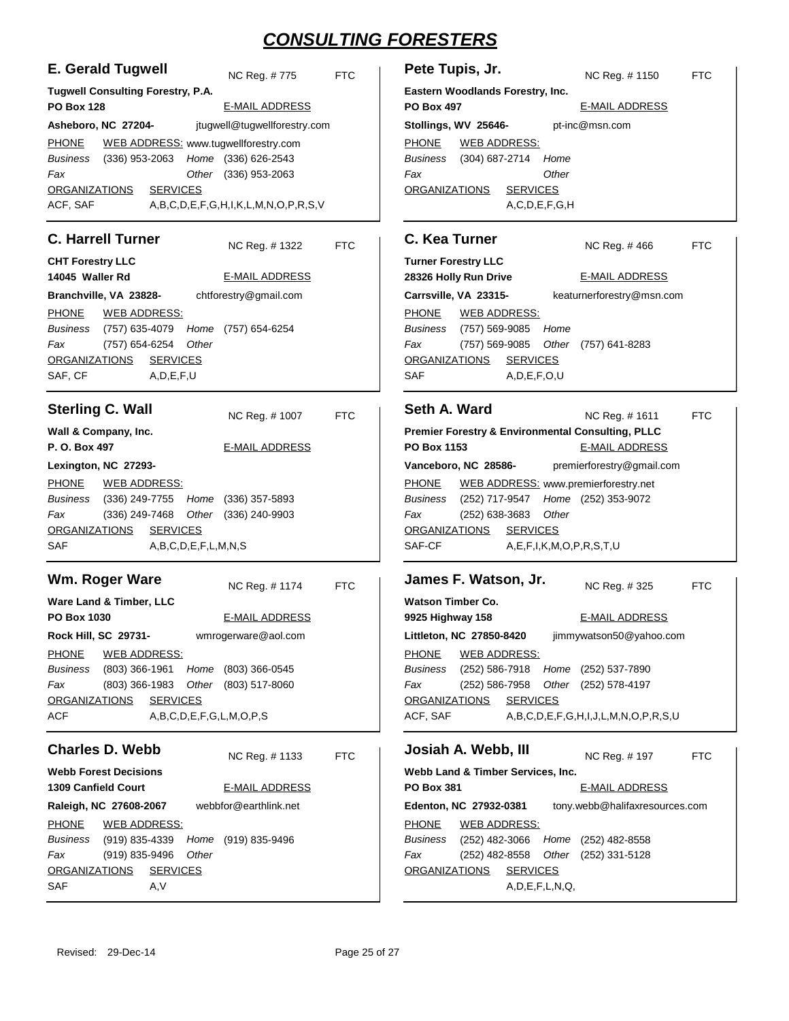| <b>E. Gerald Tugwell</b><br>NC Reg. #775                                                                                                                                                                                                                                                                                                                       | <b>FTC</b> | Pete Tupis, Jr.<br>NC Reg. # 1150<br><b>FTC</b>                                                                                                                                                                                                                                                                                                                                                                          |
|----------------------------------------------------------------------------------------------------------------------------------------------------------------------------------------------------------------------------------------------------------------------------------------------------------------------------------------------------------------|------------|--------------------------------------------------------------------------------------------------------------------------------------------------------------------------------------------------------------------------------------------------------------------------------------------------------------------------------------------------------------------------------------------------------------------------|
| <b>Tugwell Consulting Forestry, P.A.</b><br><b>PO Box 128</b><br><b>E-MAIL ADDRESS</b>                                                                                                                                                                                                                                                                         |            | Eastern Woodlands Forestry, Inc.<br><b>E-MAIL ADDRESS</b><br><b>PO Box 497</b>                                                                                                                                                                                                                                                                                                                                           |
| jtugwell@tugwellforestry.com<br>Asheboro, NC 27204-                                                                                                                                                                                                                                                                                                            |            | pt-inc@msn.com<br>Stollings, WV 25646-                                                                                                                                                                                                                                                                                                                                                                                   |
| WEB ADDRESS: www.tugwellforestry.com<br><b>PHONE</b><br>Home (336) 626-2543<br>Business<br>$(336)$ 953-2063<br>Fax<br>$(336)$ 953-2063<br>Other<br><b>ORGANIZATIONS</b><br><b>SERVICES</b><br>ACF, SAF<br>A,B,C,D,E,F,G,H,I,K,L,M,N,O,P,R,S,V                                                                                                                  |            | <b>PHONE</b><br><b>WEB ADDRESS:</b><br>(304) 687-2714<br>Business<br>Home<br>Fax<br>Other<br><b>SERVICES</b><br><b>ORGANIZATIONS</b><br>A, C, D, E, F, G, H                                                                                                                                                                                                                                                              |
| <b>C. Harrell Turner</b><br>NC Reg. #1322                                                                                                                                                                                                                                                                                                                      | <b>FTC</b> | C. Kea Turner<br>NC Reg. #466<br><b>FTC</b>                                                                                                                                                                                                                                                                                                                                                                              |
| <b>CHT Forestry LLC</b>                                                                                                                                                                                                                                                                                                                                        |            | <b>Turner Forestry LLC</b>                                                                                                                                                                                                                                                                                                                                                                                               |
| 14045 Waller Rd<br><b>E-MAIL ADDRESS</b>                                                                                                                                                                                                                                                                                                                       |            | 28326 Holly Run Drive<br><b>E-MAIL ADDRESS</b>                                                                                                                                                                                                                                                                                                                                                                           |
| chtforestry@gmail.com<br>Branchville, VA 23828-                                                                                                                                                                                                                                                                                                                |            | Carrsville, VA 23315-<br>keaturnerforestry@msn.com                                                                                                                                                                                                                                                                                                                                                                       |
| <b>PHONE</b><br><b>WEB ADDRESS:</b><br>Business<br>(757) 635-4079<br>Home (757) 654-6254<br>Fax<br>(757) 654-6254<br>Other<br>ORGANIZATIONS<br><b>SERVICES</b><br>SAF, CF<br>A, D, E, F, U                                                                                                                                                                     |            | <b>PHONE</b><br><b>WEB ADDRESS:</b><br>Business<br>(757) 569-9085<br>Home<br>Fax<br>(757) 569-9085<br>Other<br>(757) 641-8283<br><b>SERVICES</b><br><b>ORGANIZATIONS</b><br>SAF<br>A, D, E, F, O, U                                                                                                                                                                                                                      |
| <b>Sterling C. Wall</b>                                                                                                                                                                                                                                                                                                                                        |            | Seth A. Ward                                                                                                                                                                                                                                                                                                                                                                                                             |
| NC Reg. # 1007<br>Wall & Company, Inc.<br>P. O. Box 497<br><b>E-MAIL ADDRESS</b><br>Lexington, NC 27293-<br><b>PHONE</b><br><u>WEB ADDRESS:</u><br>Home (336) 357-5893<br>Business<br>(336) 249-7755<br>Fax<br>(336) 249-7468<br>Other<br>$(336)$ 240-9903<br><b>SERVICES</b><br><b>ORGANIZATIONS</b><br>A,B,C,D,E,F,L,M,N,S<br>SAF                            | <b>FTC</b> | NC Reg. # 1611<br><b>FTC</b><br>Premier Forestry & Environmental Consulting, PLLC<br>PO Box 1153<br><b>E-MAIL ADDRESS</b><br>Vanceboro, NC 28586-<br>premierforestry@gmail.com<br><b>PHONE</b><br>WEB ADDRESS: www.premierforestry.net<br>Home (252) 353-9072<br>Business<br>(252) 717-9547<br>(252) 638-3683<br>Other<br>Fax<br><b>ORGANIZATIONS</b><br><b>SERVICES</b><br>SAF-CF<br>A, E, F, I, K, M, O, P, R, S, T, U |
| Wm. Roger Ware<br>NC Reg. #1174                                                                                                                                                                                                                                                                                                                                | <b>FTC</b> | James F. Watson, Jr.<br>NC Req. #325<br><b>FTC</b>                                                                                                                                                                                                                                                                                                                                                                       |
| Ware Land & Timber, LLC<br><b>E-MAIL ADDRESS</b><br><b>PO Box 1030</b><br>wmrogerware@aol.com<br>Rock Hill, SC 29731-<br><b>PHONE</b><br><b>WEB ADDRESS:</b><br>(803) 366-1961<br><b>Business</b><br>Home<br>(803) 366-0545<br>(803) 366-1983<br>Fax<br>Other<br>$(803)$ 517-8060<br><b>ORGANIZATIONS</b><br><b>SERVICES</b><br>A,B,C,D,E,F,G,L,M,O,P,S<br>ACF |            | <b>Watson Timber Co.</b><br><b>E-MAIL ADDRESS</b><br>9925 Highway 158<br>Littleton, NC 27850-8420<br>jimmywatson50@yahoo.com<br><b>PHONE</b><br><b>WEB ADDRESS:</b><br>Business<br>(252) 586-7918<br>Home (252) 537-7890<br>$(252) 586 - 7958$<br>Other (252) 578-4197<br>Fax<br><b>SERVICES</b><br><b>ORGANIZATIONS</b><br>ACF, SAF<br>$A, B, C, D, E, F, G, H, I, J, L, M, N, O, P, R, S, U$                           |
| <b>Charles D. Webb</b><br>NC Reg. #1133                                                                                                                                                                                                                                                                                                                        | <b>FTC</b> | Josiah A. Webb, III<br>NC Reg. # 197<br><b>FTC</b>                                                                                                                                                                                                                                                                                                                                                                       |
| <b>Webb Forest Decisions</b><br><b>1309 Canfield Court</b><br><b>E-MAIL ADDRESS</b>                                                                                                                                                                                                                                                                            |            | Webb Land & Timber Services, Inc.<br><b>PO Box 381</b><br><b>E-MAIL ADDRESS</b>                                                                                                                                                                                                                                                                                                                                          |
| webbfor@earthlink.net<br>Raleigh, NC 27608-2067<br><b>PHONE</b><br><b>WEB ADDRESS:</b><br>(919) 835-4339<br>Business<br>Home<br>(919) 835-9496<br>Fax<br>(919) 835-9496<br>Other<br><b>ORGANIZATIONS</b><br><b>SERVICES</b><br>SAF<br>A,V                                                                                                                      |            | tony.webb@halifaxresources.com<br>Edenton, NC 27932-0381<br><b>PHONE</b><br><b>WEB ADDRESS:</b><br>Business<br>$(252)$ 482-3066<br>Home (252) 482-8558<br>$(252)$ 482-8558<br>Other (252) 331-5128<br>Fax<br><b>SERVICES</b><br><b>ORGANIZATIONS</b><br>A, D, E, F, L, N, Q,                                                                                                                                             |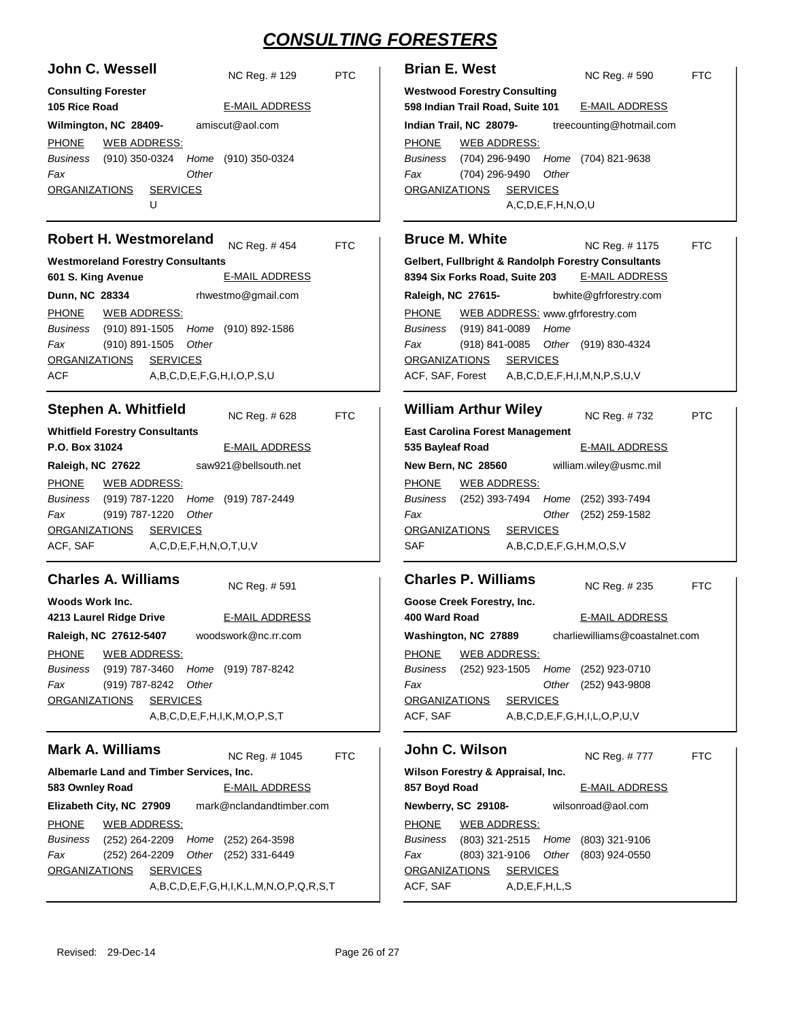| John C. Wessell            |                 |       | NC Reg. #129                                | PTC. |
|----------------------------|-----------------|-------|---------------------------------------------|------|
| <b>Consulting Forester</b> |                 |       |                                             |      |
| 105 Rice Road              |                 |       | <b>E-MAIL ADDRESS</b>                       |      |
| Wilmington, NC 28409-      |                 |       | amiscut@aol.com                             |      |
| PHONE WEB ADDRESS:         |                 |       |                                             |      |
|                            |                 |       | Business (910) 350-0324 Home (910) 350-0324 |      |
| Fax                        |                 | Other |                                             |      |
| ORGANIZATIONS              | <b>SERVICES</b> |       |                                             |      |
|                            | U               |       |                                             |      |
| Dahart LL Mactmaraland     |                 |       |                                             |      |

#### **Robert H. Westmoreland**

NC Reg. # FTC

**Westmoreland Forestry Consultants 601 S. King Avenue Dunn, NC 28334** E-MAIL ADDRESS rhwestmo@gmail.com PHONE (910) 891-1505 (910) 892-1586 *Home* (910) 891-1505 ACF A,B,C,D,E,F,G,H,I,O,P,S,U *Business Fax Other* ORGANIZATIONS SERVICES WEB ADDRESS:

#### **Stephen A. Whitfield**

NC Reg. # FTC

**Whitfield Forestry Consultants P.O. Box 31024 Raleigh, NC 27622** E-MAIL ADDRESS saw921@bellsouth.net PHONE (919) 787-1220 (919) 787-2449 *Home* (919) 787-1220 *Other* ACF, SAF A,C,D,E,F,H,N,O,T,U,V *Business Fax* ORGANIZATIONS SERVICES WEB ADDRESS:

#### **Charles A. Williams**

NC Reg. #

**Woods Work Inc. 4213 Laurel Ridge Drive Raleigh, NC 27612-5407** E-MAIL ADDRESS woodswork@nc.rr.com PHONE (919) 787-3460 (919) 787-8242 *Home* (919) 787-8242 A,B,C,D,E,F,H,I,K,M,O,P,S,T *Business Fax Other* ORGANIZATIONS SERVICES WEB ADDRESS:

### **Mark A. Williams**

NC Reg. # FTC

**Albemarle Land and Timber Services, Inc. 583 Ownley Road Elizabeth City, NC 27909** E-MAIL ADDRESS mark@nclandandtimber.com PHONE (252) 264-2209 Home (252) 264-3598 (252) 264-2209 (252) 331-6449 *Other* A,B,C,D,E,F,G,H,I,K,L,M,N,O,P,Q,R,S,T *Business Fax* ORGANIZATIONS SERVICES WEB ADDRESS:

| <b>Brian E. West</b>                                                    |                                                     | NC Req. # 590         | FTC. |  |  |
|-------------------------------------------------------------------------|-----------------------------------------------------|-----------------------|------|--|--|
| <b>Westwood Forestry Consulting</b><br>598 Indian Trail Road, Suite 101 |                                                     | <b>E-MAIL ADDRESS</b> |      |  |  |
|                                                                         | treecounting@hotmail.com<br>Indian Trail, NC 28079- |                       |      |  |  |
| <b>PHONE</b>                                                            | <b>WEB ADDRESS:</b>                                 |                       |      |  |  |
| Business                                                                | (704) 296-9490 Home (704) 821-9638                  |                       |      |  |  |
| Fax                                                                     | (704) 296-9490 Other                                |                       |      |  |  |
| <b>SERVICES</b><br><b>ORGANIZATIONS</b>                                 |                                                     |                       |      |  |  |
| A, C, D, E, F, H, N, O, U                                               |                                                     |                       |      |  |  |

#### **Bruce M. White Gelbert, Fullbright & Randolph Forestry Consultants 8394 Six Forks Road, Suite 203 Raleigh, NC 27615-** NC Reg. # FTC E-MAIL ADDRESS bwhite@gfrforestry.com PHONE (919) 841-0089 *Home Business* WEB ADDRESS: www.gfrforestry.com

(918) 841-0085 (919) 830-4324 *Other* ACF, SAF, Forest A,B,C,D,E,F,H,I,M,N,P,S,U,V *Fax* ORGANIZATIONS SERVICES

#### **William Arthur Wiley East Carolina Forest Management 535 Bayleaf Road New Bern, NC 28560** NC Reg. # PTC E-MAIL ADDRESS william.wiley@usmc.mil

PHONE (252) 393-7494 (252) 393-7494 *Home* (252) 259-1582 *Other* SAF A,B,C,D,E,F,G,H,M,O,S,V *Business Fax* ORGANIZATIONS SERVICES WEB ADDRESS:

#### **Charles P. Williams**

**Goose Creek Forestry, Inc. 400 Ward Road Washington, NC 27889** NC Reg. # FTC E-MAIL ADDRESS charliewilliams@coastalnet.com PHONE (252) 923-1505 Home (252) 923-0710 (252) 943-9808 *Other* ACF, SAF A,B,C,D,E,F,G,H,I,L,O,P,U,V *Business Fax* ORGANIZATIONS SERVICES WEB ADDRESS:

### **John C. Wilson**

NC Reg. # FTC

| Wilson Forestry & Appraisal, Inc. |                     |                     |                    |                                             |  |
|-----------------------------------|---------------------|---------------------|--------------------|---------------------------------------------|--|
| 857 Boyd Road                     |                     |                     |                    | <b>E-MAIL ADDRESS</b>                       |  |
|                                   | Newberry, SC 29108- |                     | wilsonroad@aol.com |                                             |  |
| PHONE WEB ADDRESS:                |                     |                     |                    |                                             |  |
|                                   |                     |                     |                    | Business (803) 321-2515 Home (803) 321-9106 |  |
| Fax                               |                     |                     |                    | (803) 321-9106 Other (803) 924-0550         |  |
| ORGANIZATIONS SERVICES            |                     |                     |                    |                                             |  |
| ACF, SAF                          |                     | A, D, E, F, H, L, S |                    |                                             |  |